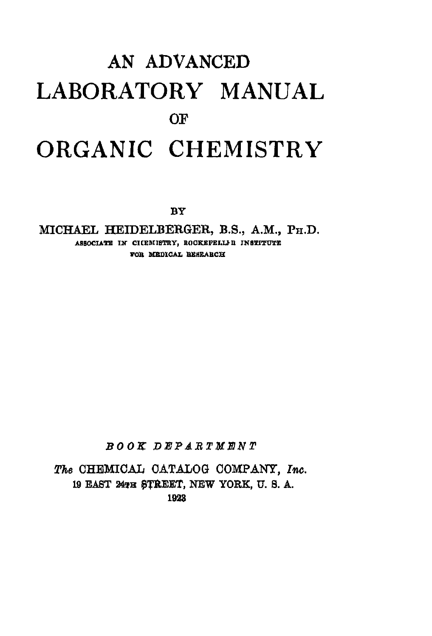# **A N ADVANCE D LABORATOR Y MANUA L o r ORGANI C CHEMISTR Y**

BY

MICHAEL HEIDELBERGER, B.S., A.M., PH.D. ASSOCIATE IN CILEMISTRY, ROCKEFELLI I INSTITUTE FOR MEDICAL RESEARCH

*BOOK DEPABTMENT*

*The* CHEMICAL CATALOG COMPANY, *Inc.* 19 EAST 24TH STREET, NEW YORK, U.S.A. 1923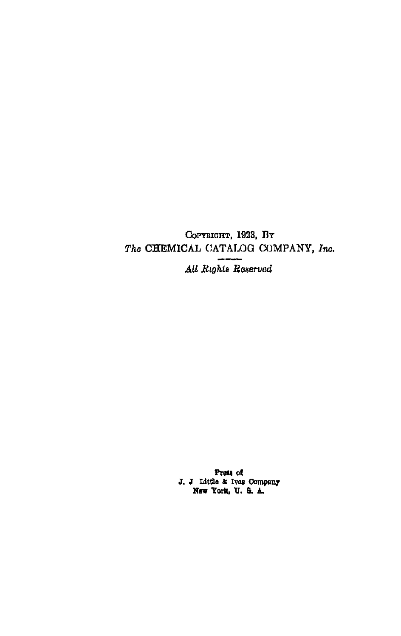# COPYRIGHT, 1923, BY *The* CHEMICAL CATALOG COMPANY, *Ino. All Bighta Reserved*

Press of J, J Uttte & Ivos Company HOT York, U. S. *L.*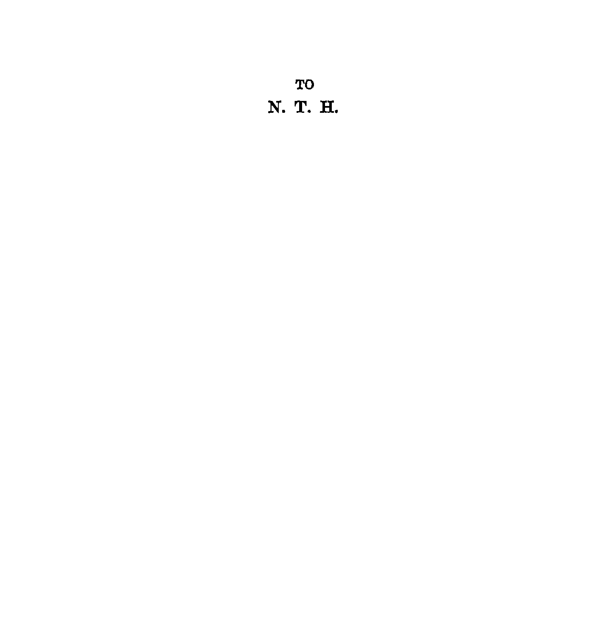**TO N. T. H.**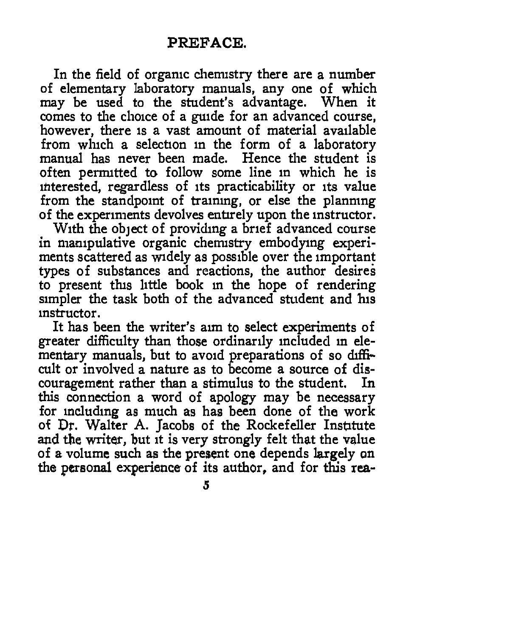In the field of organic chemistry there are a number of elementary laboratory manuals, any one of which may be used to the student's advantage. When it comes to the choice of a guide for an advanced course, however, there is a vast amount of material available from which a selection in the form of a laboratory manual has never been made. Hence the student is often permitted to follow some line in which he is interested, regardless of its practicability or its value from the standpoint of training, or else the planning of the experiments devolves entirely upon the instructor.

With the object of providing a brief advanced course in manipulative organic chemistry embodying experiments scattered as widely as possible over the important types of substances and reactions, the author desires to present this little book in the hope of rendering simpler the task both of the advanced student and his instructor.

It has been the writer's aim to select experiments of greater difficulty than those ordinarily included m elementary manuals, but to avoid preparations of so difficult or involved a nature as to become a source of discouragement rather than a stimulus to the student. In this connection a word of apology may be necessary for including as much as has been done of the work of Dr. Walter A. Jacobs of the Rockefeller Institute and the writer, but it is very strongly felt that the value of a volume such as the present one depends largely on the personal experience of its author, and for this rea-

5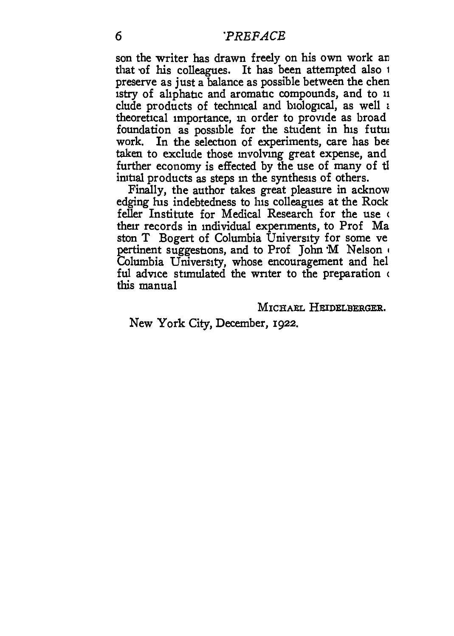# 6 *-PREFACE*

son the writer has drawn freely on his own work an that of his colleagues. It has been attempted also 1 preserve as just a balance as possible between the chen istry of aliphatic and aromatic compounds, and to u elude products of technical and biological, as well *\* theoretical importance, in order to provide as broad foundation as possible for the student in his futui work. In the selection of experiments, care has bee taken to exclude those involving great expense, and further economy is effected by the use of many of tl initial products as steps in the synthesis of others.

Finally, the author takes great pleasure in acknow edging his indebtedness to his colleagues at the Rock feller Institute for Medical Research for the use < their records in individual experiments, to Prof Ma ston T Bogert of Columbia University for some ve pertinent suggestions, and to Prof John 'M Nelson Columbia University, whose encouragement and hel ful advice stimulated the writer to the preparation  $\epsilon$ this manual

MICHAEL HEIDELBERGER.

New York City, December, 1922.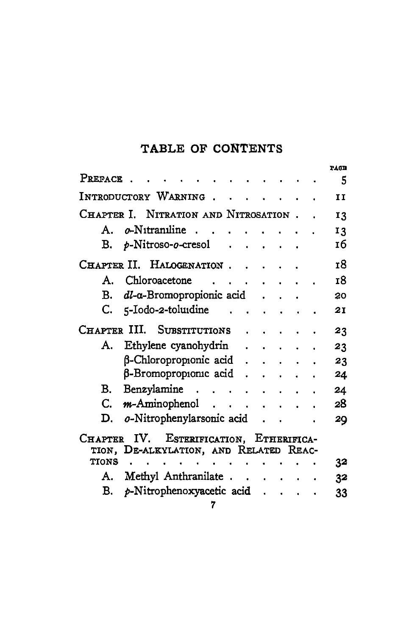# **TABLE OF CONTENTS**

|              |                                                                      |  | PAGE |
|--------------|----------------------------------------------------------------------|--|------|
| PREFACE      |                                                                      |  | 5    |
|              | INTRODUCTORY WARNING                                                 |  | 11   |
|              | CHAPTER I. NITRATION AND NITROSATION                                 |  | 13   |
| А.           | o-Nitraniine.                                                        |  | 13   |
| В.           | $p$ -Nitroso- $q$ -cresol<br>$\ddot{\phantom{a}}$                    |  | 16   |
|              | CHAPTER II. HALOGENATION.                                            |  | 18   |
| $A_{-}$      | Chloroacetone<br>$\bullet$                                           |  | 18   |
|              | B. dl-a-Bromopropionic acid                                          |  | 20   |
| C.           | 5-Iodo-2-toluidine                                                   |  | 21   |
|              | CHAPTER III. SUBSTITUTIONS                                           |  | 23   |
| А.           | Ethylene cyanohydrin<br>$\ddot{\phantom{a}}$<br>$\ddot{\phantom{0}}$ |  | 23   |
|              | β-Chloropropionic acid                                               |  | 23   |
|              | β-Bromopropionic acid                                                |  | 24   |
| В.           | Benzylamine.<br>$\ddot{\phantom{a}}$                                 |  | 24   |
| C.           | $m$ -Aminophenol                                                     |  | 28   |
| D.           | o-Nitrophenylarsonic acid                                            |  | 29   |
| Chapter      | IV. ESTERIFICATION, ETHERIFICA-                                      |  |      |
|              | TION, DE-ALKYLATION, AND RELATED REAC-                               |  |      |
| <b>TIONS</b> |                                                                      |  | 32   |
| А.           | Methyl Anthranilate.                                                 |  | 32   |
| в.           | p-Nitrophenoxyacetic acid<br>$\ddot{\phantom{a}}$                    |  | 33   |
|              |                                                                      |  |      |

**7**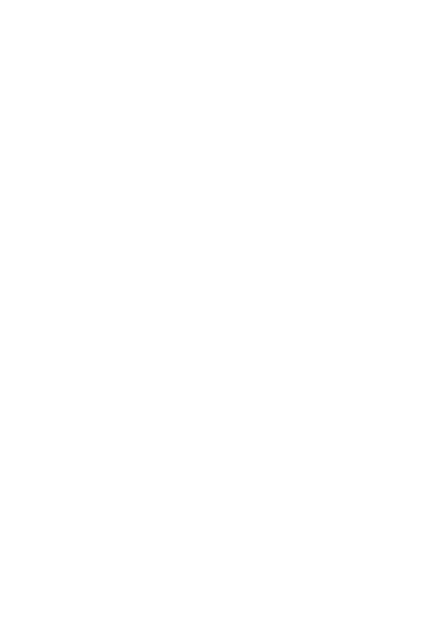# 8 *TABLE OF CONTENTS*

|           |                                                                | PAGE |
|-----------|----------------------------------------------------------------|------|
|           | $C.$ <i>m</i> -Phenetidine.                                    | 34   |
| D.        | Allyl Phenyl Ether and Its Molecular<br>Rearrangements         | 36   |
|           | Allyl bromide.<br>I.                                           | 36   |
|           | Allyl phenyl ether<br>2.                                       | 37   |
|           | 3. o-Allylphenol                                               | 37   |
|           | 4. o-Propenylphenol.                                           | 39   |
|           | a-Methylcoumarane<br>5.                                        | 39   |
| Е.        | Dihydrocupreine                                                | 41   |
| Chapter V | Reduction                                                      | 45   |
| А.        | With stannous chloride · p-Aminodi-<br>methylanılıne           | 45   |
| B.        | With ferrous sulfate and ammonia.<br>p-Aminophenoxyacetic acid | 46   |
| C.        | With sodium amalgam dl-1-Phenyl-1-<br>hydroxy-2-aminoethane    | 48   |
| D.        | With palladium black. Dihydroquinine                           | 50   |
|           | CHAPTER VI. OXIDATION.                                         | 54   |
| А.        | With potassium ferricyanide: p-Nitro-<br>o-cresol              | 54   |
| B.        | With nitrites: Isonitrosocamphor and<br>Camphorquinone         | 55   |
| C.        | With atmospheric oxygen: Camphoric<br>açid                     | 58   |
| D.        | With bromine Calcium gluconate                                 | 59   |
| Ē.        | With hydrogen peroxide: d-Arabinose                            | 61   |
|           |                                                                |      |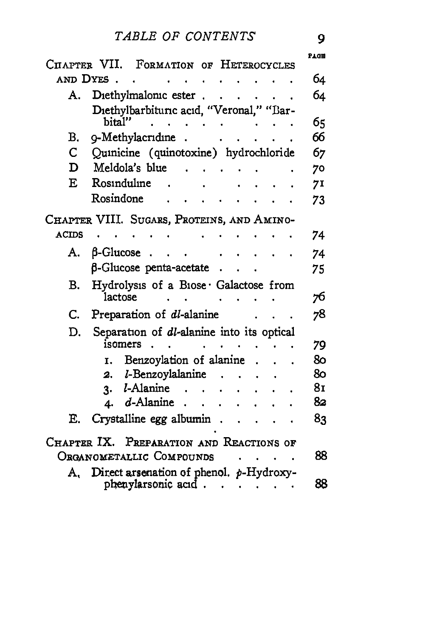# *TABLE OF CONTENTS' g*

| CITAPTER VII. FORMATION OF HETEROCYCLES    |                                           |                     |                                   |                          |  |                                                     |  |    | PAGH |
|--------------------------------------------|-------------------------------------------|---------------------|-----------------------------------|--------------------------|--|-----------------------------------------------------|--|----|------|
| AND DYES.                                  |                                           |                     |                                   |                          |  |                                                     |  |    | 64   |
| А.                                         | Diethylmalonic ester                      |                     |                                   |                          |  |                                                     |  |    | 64   |
|                                            | Diethylbarbituric acid, "Veronal," "Bar-  |                     |                                   |                          |  |                                                     |  |    |      |
|                                            | bital"                                    |                     |                                   | <b>Contract Contract</b> |  |                                                     |  |    | 65   |
| Β.                                         | 9-Methylacridine.                         |                     |                                   |                          |  |                                                     |  |    | 66   |
| C                                          | Quinicine (quinotoxine) hydrochloride     |                     |                                   |                          |  |                                                     |  | 67 |      |
| D                                          | Meldola's blue                            |                     |                                   |                          |  |                                                     |  |    | 70   |
| E                                          | Rosinduline                               |                     |                                   |                          |  |                                                     |  |    | 71   |
|                                            | Rosindone                                 |                     |                                   |                          |  |                                                     |  |    | 73   |
| CHAPTER VIII. SUGARS, PROTEINS, AND AMINO- |                                           |                     |                                   |                          |  |                                                     |  |    |      |
| <b>ACIDS</b>                               | $\cdot$ $\cdot$                           | $\sim$              | <b>Contract Contract Contract</b> |                          |  |                                                     |  |    | 74   |
| A.                                         | $\beta$ -Glucose                          |                     |                                   |                          |  |                                                     |  |    | 74   |
|                                            | $\beta$ -Glucose penta-acetate            |                     |                                   |                          |  |                                                     |  |    | 75   |
| В.                                         | Hydrolysis of a Biose Galactose from      |                     |                                   |                          |  |                                                     |  |    |      |
|                                            | lactose                                   |                     |                                   |                          |  |                                                     |  |    | 76   |
| C.                                         | Preparation of dl-alanine                 |                     |                                   |                          |  |                                                     |  |    | 78   |
| D.                                         | Separation of dl-alanine into its optical |                     |                                   |                          |  |                                                     |  |    |      |
|                                            | isomers                                   |                     |                                   |                          |  | $\mathbf{r} = \mathbf{r} + \mathbf{r} + \mathbf{r}$ |  |    | 79   |
|                                            | Ϊ.                                        |                     | Benzoylation of alanine.          |                          |  |                                                     |  |    | 80   |
|                                            | 2.                                        |                     | <i>l</i> -Benzoylalanine          |                          |  |                                                     |  |    | 80   |
|                                            | 3.                                        | <i>l</i> -Alanine . |                                   |                          |  | $\ddot{\phantom{0}}$                                |  |    | 81   |
|                                            | 4.                                        | $d$ -Alanine.       |                                   | <b>Contract Contract</b> |  |                                                     |  |    | 82   |
| Ε.                                         | Crystalline egg albumin                   |                     |                                   |                          |  |                                                     |  |    | 83   |
| CHAPTER IX. PREPARATION AND REACTIONS OF   |                                           |                     |                                   |                          |  |                                                     |  |    |      |
| ORGANOMETALLIC COMPOUNDS<br>$\cdot$ .      |                                           |                     |                                   |                          |  | 88                                                  |  |    |      |
| А.                                         | Direct arsenation of phenol. p-Hydroxy-   |                     |                                   |                          |  |                                                     |  |    |      |
|                                            |                                           |                     | phenylarsonic acid                |                          |  |                                                     |  |    | 88   |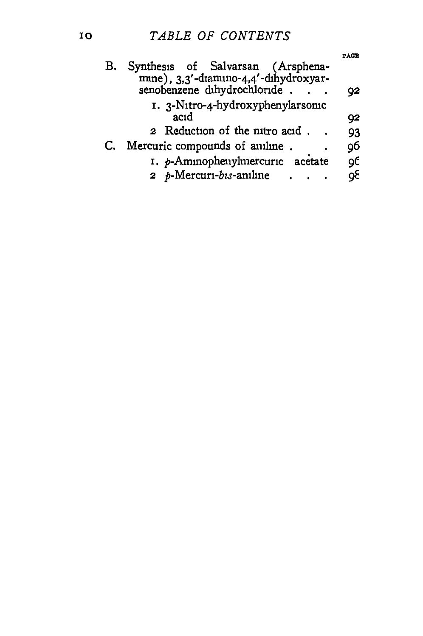# i o *TABLE OF CONTENTS*

|    |                                       | rauk. |
|----|---------------------------------------|-------|
| В. | Synthesis of Salvarsan (Arsphena-     |       |
|    | mine), 3,3'-diamino-4,4'-dihydroxyar- |       |
|    | senobenzene dihydrochloride           | Q2    |
|    | 1. 3-Nitro-4-hydroxyphenylarsonic     |       |
|    | acıd                                  | 92    |
|    | 2 Reduction of the nitro acid.        | 93    |
|    | Mercuric compounds of aniline.        | 96    |
|    | 1. p-Ammophenylmercuric acetate       | 9É    |
|    | $2$ <i>p</i> -Mercuri-bis-aniline     | gε    |
|    |                                       |       |

PAGE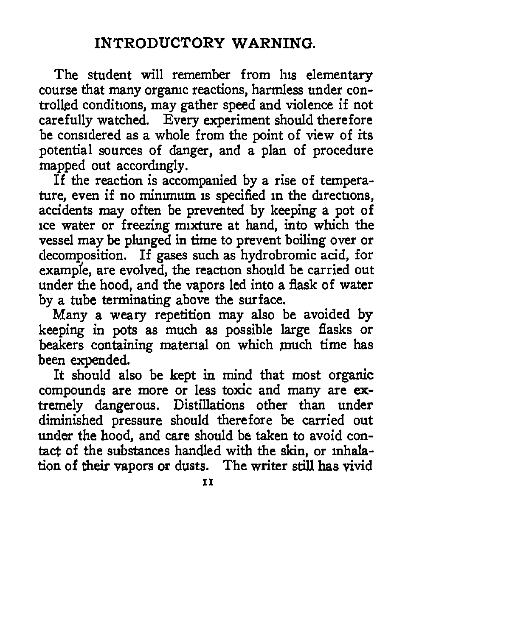The student will remember from his elementary course that many organic reactions, harmless under controlled conditions, may gather speed and violence if not carefully watched. Every experiment should therefore be considered as a whole from the point of view of its potential sources of danger, and a plan of procedure mapped out accordingly.

If the reaction is accompanied by a rise of temperature, even if no minimum is specified m the directions, accidents may often be prevented by keeping a pot of ice water or freezing mixture at hand, into which the vessel may be plunged in time to prevent boiling over or decomposition. If gases such as hydrobromic acid, for example, are evolved, the reaction should be carried out under the hood, and the vapors led into a flask of water by a tube terminating above the surface.

Many a weary repetition may also be avoided by keeping in pots as much as possible large flasks or beakers containing material on which much time has been expended.

It should also be kept in mind that most organic compounds are more or less toxic and many are extremely dangerous. Distillations other than under diminished pressure should therefore be carried out under the hood, and care should be taken to avoid contact of the substances handled with the skin, or inhalation of their vapors or dusts. The writer still has vivid

ii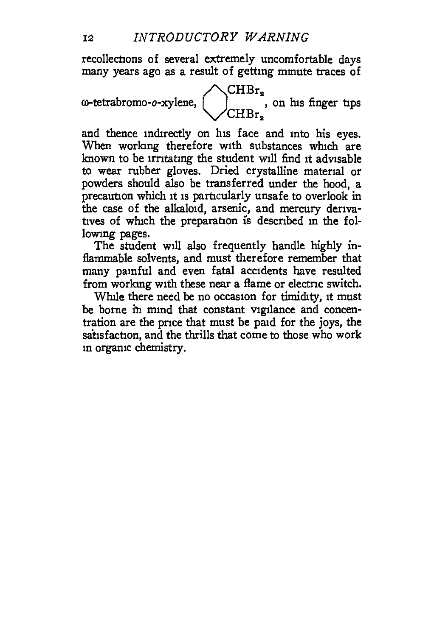recollections of several extremely uncomfortable days many years ago as a result of getting minute traces of

$$
\text{w-tetrabromo-o-xylene, } \overbrace{\text{CHBr}_2}_{CHBr_2}, \text{ on his finger tips}
$$

and thence indirectly on his face and into his eyes. When working therefore with substances which are known to be irritating the student will find *it* advisable to wear rubber gloves. Dried crystalline material or powders should also be transferred under the hood, a precaution which it is particularly unsafe to overlook in the case of the alkaloid, arsenic, and mercury derivatives of which the preparation is described in the following pages.

The student will also frequently handle highly inflammable solvents, and must therefore remember that many painful and even fatal accidents have resulted from working with these near a flame or electric switch.

While there need be no occasion for timidity, it must be borne in mind that constant vigilance and concentration are the price that must be paid for the joys, the satisfaction, and the thrills that come to those who work in organic chemistry.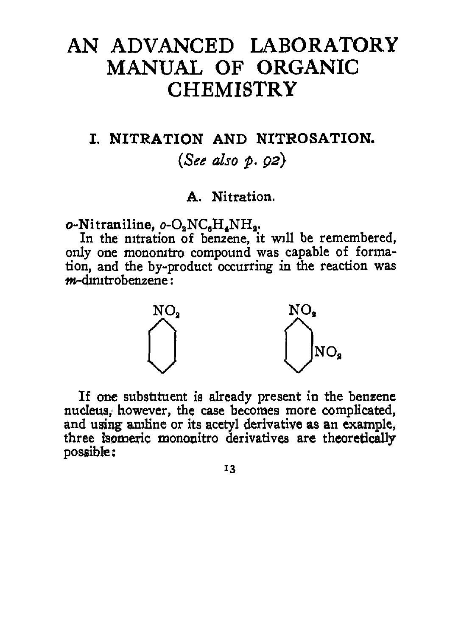# **A N ADVANCE D LABORATOR Y MANUAL OF ORGANIC CHEMISTR Y**

# **I. NITRATION AND NITROSATION.** *(See also p. 92)*

# **A.** Nitration.

 $o\text{-}N$ itraniline,  $o\text{-}O_2NC_eH_aNH_a$ .

In the nitration of benzene, it will be remembered, only one mononitro compound was capable of formation, and the by-product occurring in the reaction was w-dinitrobenzene:



If one substituent ia already present in the benzene nucleus, however, the case becomes more complicated, and using aniline or its acetyl derivative as an example, three isomeric mononitro derivatives are theoretically possible c

13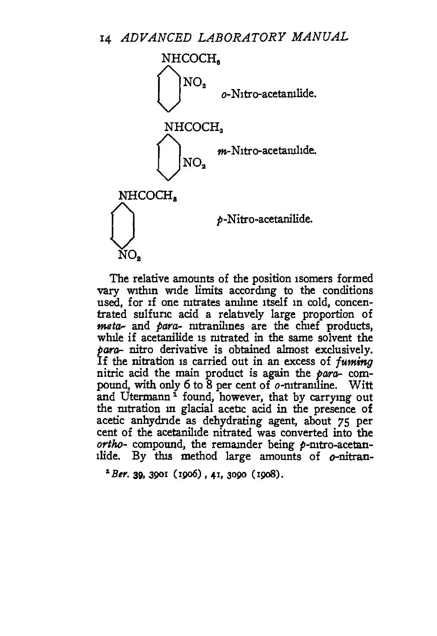

The relative amounts of the position isomers formed vary within wide limits according to the conditions used. for if one nitrates aniline itself in cold, concentrated sulfunc acid a relatively large proportion of *meta-* and *para-* mtranilines are the chief products, while if acetanilide is nitrated in the same solvent the *para-* nitro derivative is obtained almost exclusively. If the nitration is carried out in an excess of *fuming* nitric acid the main product is again the *para-* compound, with only 6 to 8 per cent of  $o$ -nitraniline. Witt and Utermann*<sup>1</sup>* found, however, that by carrying out the nitration in glacial acetic acid in the presence of acetic anhydride as dehydrating agent, about 75 per cent of the acetanilide nitrated was converted into the *ortho-* compound, the remainder being p-nitro-acetanilide. By this method large amounts of  $\rho$ -nitran-

*<sup>1</sup>Ber.* 39, 3901 (1906)*,* 41, 3090 (1908).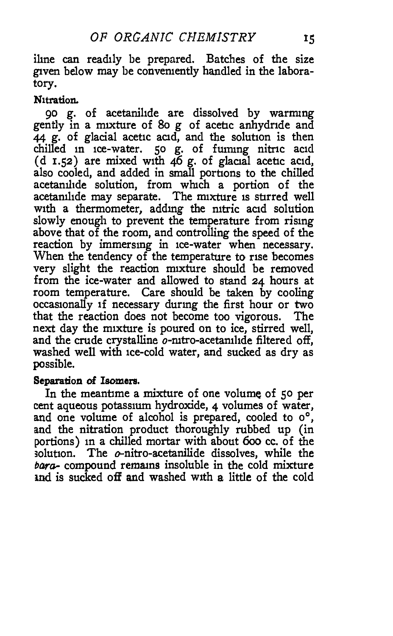ihne can readily be prepared. Batches of the size given below may be conveniently handled in the laboratory.

Nitration.

90 g. of acetanihde are dissolved by warming gently in a mixture of 80 g of acetic anhydride and 44 g. of glacial acetic acid, and the solution is then chilled in ice-water. 50 g. of fummg nitric acid  $(d_1, 52)$  are mixed with  $46$  g. of glacial acetic acid, also cooled, and added in small portions to the chilled acetanilide solution, from which a portion of the acetanihde may separate. The mixture is stirred well with a thermometer, adding the nitric acid solution slowly enough to prevent the temperature from rising above that of the room, and controlling the speed of the reaction by immersing in ice-water when necessary. When the tendency of the temperature to rise becomes very slight the reaction mixture should be removed from the ice-water and allowed to stand 24 hours at room temperature. Care should be taken by cooling occasionally if necessary during the first hour or two that the reaction does not become too vigorous. The next day the mixture is poured on to ice, stirred well, and the crude crystalline  $o$ -nitro-acetaminde filtered off. washed well with ice-cold water, and sucked as dry as possible.

# Separation of Isomers.

In the meantime a mixture of one volume of 50 per cent aqueous potassium hydroxide, 4 volumes of water, and one volume of alcohol is prepared, cooled to o°, and the nitration product thoroughly rubbed up (in portions) in a chilled mortar with about 600 cc. of the solution. The o-nitro-acetanilide dissolves, while the *bare\*-* compound remains insoluble in the cold mixture ind is sucked off and washed with a little of the cold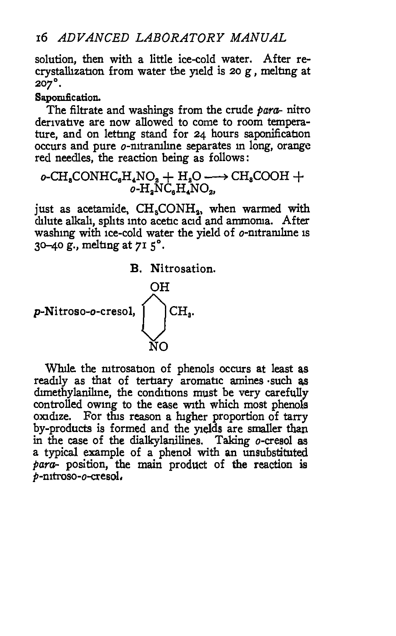solution, then with a little ice-cold water. After recrystallization from water the yield is 20  $g$ , melting at  $207^\circ$ .

Saponification.

The filtrate and washings from the crude *para*-nitro derivative are now allowed to come to room temperature, and on letting stand for 24 hours saponification occurs and pure o-nitraniline separates in long, orange red needles, the reaction being as follows:

 $\alpha$ -CH<sub>8</sub>CONHC<sub>6</sub>H<sub>4</sub>NO<sub>2</sub> + H<sub>2</sub>O ----> CH<sub>8</sub>COOH +  $\mathrm{H}_{\mathrm{a}}\mathrm{N}\mathrm{C}_{\mathrm{a}}\mathrm{H}_{\mathrm{4}}\mathrm{N}\mathrm{C}$ 

just as acetamide, CH<sub>8</sub>CONH<sub>2</sub>, when warmed with dilute alkali, splits into acetic acid and ammonia. After washing with ice-cold water the yield of *o*-nitraniline is  $30-40$  g., melting at 71  $5^\circ$ .



While the nitrosation of phenols occurs at least as readily as that of tertiary aromatic amines -such as dimethylanilme, the conditions must be very carefully controlled owing to the ease with which most phenols oxidize. For this reason a higher proportion of tarry by-products is formed and the yields are smaller than in the case of the dialkylanilines. Taking o-cresol as a typical example of a phenol with an unsubstituted *para-* position, the main product of the reaction is ^-nitroso-o-cresol«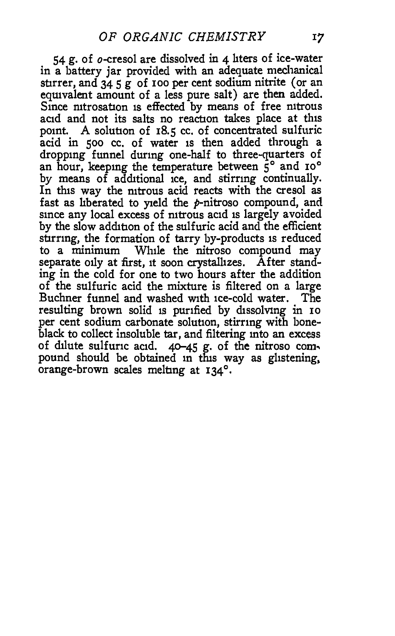54 g. of o-cresol are dissolved in 4 liters of ice-water in a battery jar provided with an adequate mechanical stirrer, and 34 5 g of 100 per cent sodium nitrite (or an equivalent amount of a less pure salt) are then added. Since nitrosation is effected by means of free nitrous acid and not its salts no reaction takes place at this point. A solution of 18.5 cc. of concentrated sulfuric acid in 500 cc. of water is then added through a dropping funnel during one-half to three-quarters of an hour, keeping the temperature between  $\hat{5}^{\circ}$  and  $10^{\circ}$ by means of additional ice, and stirring continually. In this way the nitrous acid reacts with the cresol as fast as liberated to yield the  $\nu$ -nitroso compound, and since any local excess of nitrous acid is largely avoided by the slow addition of the sulfuric acid and the efficient stirring, the formation of tarry by-products is reduced to a minimum While the nitroso compound may separate oily at first, it soon crystallizes. After standing in the cold for one to two hours after the addition of the sulfuric acid the mixture is filtered on a large Buchner funnel and washed with ice-cold water. The resulting brown solid is purified by dissolving in 10 per cent sodium carbonate solution, stirring with boneblack to collect insoluble tar, and filtering into an excess of dilute sulfuric acid.  $40-45$  g. of the nitroso compound should be obtained in this way as glistening, orange-brown scales melting at 134<sup>o</sup>.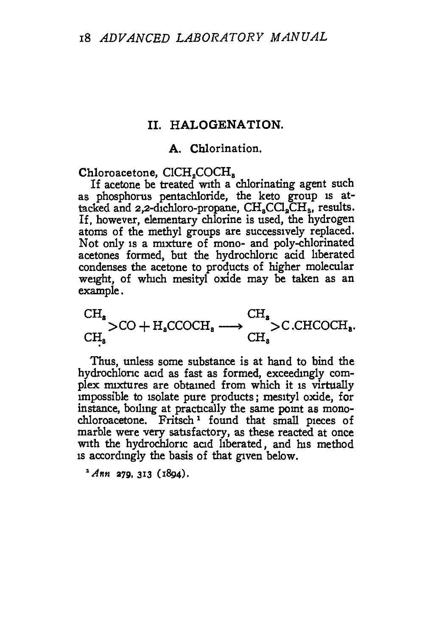# II. HALOGENATION.

#### A. Chlorination.

Chloroacetone, ClCH.COCH.

If acetone be treated with a chlorinating agent such as phosphorus pentachloride, the keto group is attacked and  $2.2$ -dichloro-propane,  $CH$ <sub>s</sub> $CCl$ <sub>s</sub> $CH_s$ , results. If, however, elementary chlorine is used, the hydrogen atoms of the methyl groups are successively replaced. Not only is a mixture of mono- and poly-chlorinated acetones formed, but the hydrochloric acid liberated condenses the acetone to products of higher molecular weight, of which mesityl oxide may be taken as an example.

 $CH<sub>s</sub>$  CH<sub>8</sub> CH<sub>8</sub>  $\rm{>CO+H_{a}CCOCH_{a}\longrightarrow \phantom{0}\sim\sim\sim\sim} \rm{<}C. CHCOCH_{a}.$  $\rm CH_{\textbf{8}}$  checks  $\rm CH_{\textbf{8}}$ 

Thus, unless some substance is at hand to bind the hydrochloric acid as fast as formed, exceedingly complex mixtures are obtained from which it is virtually impossible to isolate pure products; mesityl oxide, for instance, boiling at practically the same point as monochloroacetone. Fritsch<sup>1</sup> found that small pieces of marble were very satisfactory, as these reacted at once with the hydrochloric acid liberated, and his method is accordingly the basis of that given below.

 $^{4}$  Ann 279, 313 (1894).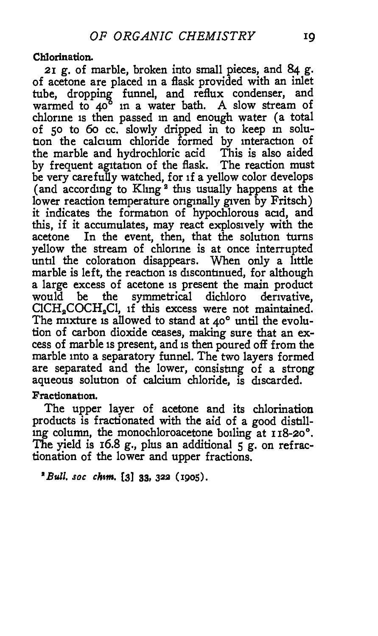Chlorination.

21 g. of marble, broken into small pieces, and 84 g. of acetone are placed in a flask provided with an inlet tube, dropping funnel, and reflux condenser, and warmed to 40<sup>8</sup> in a water bath. A slow stream of chlorine is then passed in and enough water (a total of 50 to 60 cc. slowly dripped in to keep in solution the calcium chloride formed by interaction of the marble and hydrochloric acid This is also aided by frequent agitation of the flask. The reaction must be very carefully watched, for if a yellow color develops (and according to Kling<sup>2</sup> this usually happens at the lower reaction temperature originally given by Fritsch) it indicates the formation of hypochlorous acid, and this, if it accumulates, may react explosively with the acetone In the event, then, that the solution turns yellow the stream of chlorine is at once interrupted until the coloration disappears. When only a little marble is left, the reaction is discontinued, for although a large excess of acetone is present the main product would be the symmetrical dichloro derivative,  $CICH<sub>2</sub>COCH<sub>2</sub>Cl$ , if this excess were not maintained. The mixture is allowed to stand at  $40^{\circ}$  until the evolution of carbon dioxide ceases, making sure that an excess of marble is present, and is then poured off from the marble into a separatory funnel. The two layers formed are separated and the lower, consisting of a strong aqueous solution of calcium chloride, is discarded.

#### Fractionation.

The upper layer of acetone and its chlorination products is fractionated with the aid of a good distilling column, the monochloroacetone boiling at 118-20°. The yield is  $16.8$  g., plus an additional  $5$  g. on refractionation of the lower and upper fractions.

*'Bull, soc chvm.* [3] 33, 32a (1905).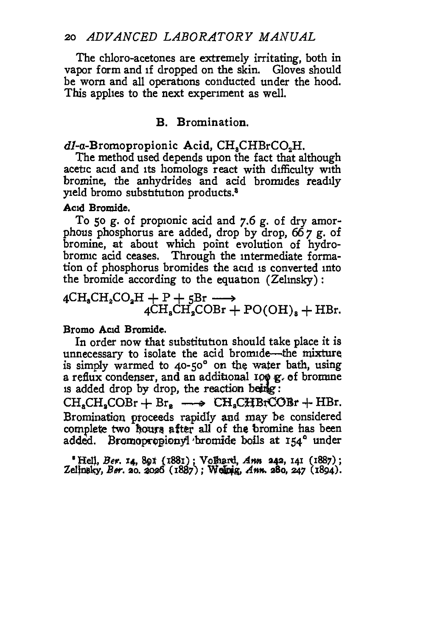The chloro-acetones are extremely irritating, both in vapor form and if dropped on the skin. Gloves should be worn and all operations conducted under the hood. This applies to the next experiment as well.

# B. Bromination.

## $dI$ -a-Bromopropionic Acid, CH.CHBrCO.H.

The method used depends upon the fact that although acetic acid and its homologs react with difficulty with bromine, the anhydrides and acid bromides readily yield bromo substitution products.<sup>8</sup>

#### Acid Bromide.

To 50 g. of propionic acid and 7.6 g. of dry amorphous phosphorus are added, drop by drop, *66* 7 g. of bromine, at about which point evolution of hydrobromic acid ceases. Through the intermediate formation of phosphorus bromides the acid is converted into the bromide according to the equation  $(Zelinsky)$ :

$$
4CHsCHsCOsH + P + 5Br \longrightarrow
$$
  
4CH<sub>s</sub>CH<sub>s</sub>COBr + PO(OH)<sub>s</sub> + HBr.

## Bromo Acid Bromide.

In order now that substitution should take place it is unnecessary to isolate the acid bromide—-the mixture is simply warmed to 40-50° on the water bath, using a reflux condenser, and an additional 100 g. of bromine is added drop by drop, the reaction being:

 $CH<sub>s</sub>CH<sub>s</sub>COBr + Br<sub>s</sub> \longrightarrow CH<sub>s</sub>CHBrCOBr + HBr.$ Bromination proceeds rapidly and may be considered complete two bours after all of the bromine has been added, Bromoprogiony! 'bromide boils at 154° under

<sup>\*</sup> Hell, *Ber.* 14, 891 (1881); Volhard, Ann 242, 141 (1887); , *Ber.* 20. 2036 (18S7) ; We&fe, *Ann.* 280, 247 (1894).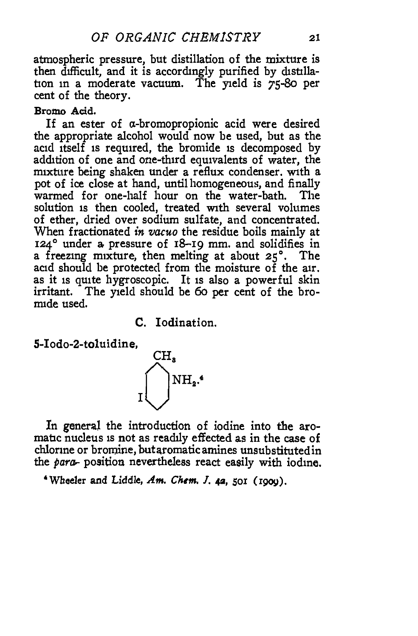atmospheric pressure, but distillation of the mixture is then difficult, and it is accordingly purified by distillation in a moderate vacuum. The yield is  $75-80$  per cent of the theory.

#### Bromo Acid.

If an ester of a-bromopropionic acid were desired the appropriate alcohol would now be used, but as the acid itself is required, the bromide is decomposed by addition of one and one-third equivalents of water, the mixture being shaken under a reflux condenser, with a pot of ice close at hand, until homogeneous, and finally warmed for one-half hour on the water-bath. The solution is then cooled, treated with several volumes of ether, dried over sodium sulfate, and concentrated. When fractionated *in vacuo* the residue boils mainly at 124° under a pressure of 18-19 mm. and solidifies in a freezing mixture, then melting at about 25°. The acid should be protected from the moisture of the air. as it is quite hygroscopic. It is also a powerful skin irritant. The yield should be 60 per cent of the bromide used.

C. Iodination.

5-Iodo-2-toluidine,

CH.  $NH<sub>2</sub>$ .<sup>4</sup>

In general the introduction of iodine into the aromatic nucleus is not as readily effected as in the case of chlorine or bromine, butaromaticamines unsubstituted in the *paro-* position nevertheless react easily with iodme.

\* Wheeler and Liddle, *Am. Chem. I. 4a,* 501 *(igog).*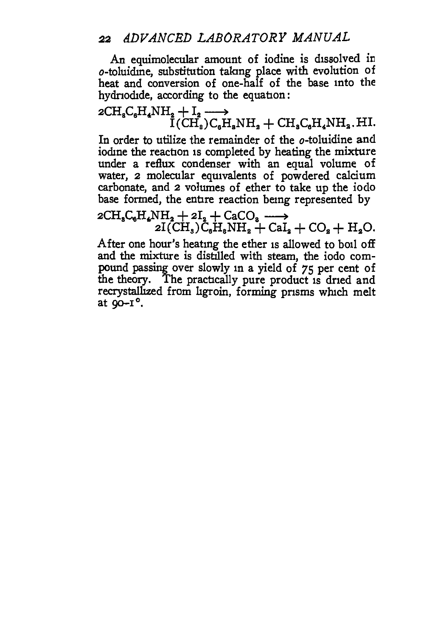# 22 *ADVANCED LABORATORY MANUAL*

An equimolecular amount of iodine is dissolved in o-toluidine, substitution taking place with evolution of heat and conversion of one-half of the base into the hydriodide, according to the equation:

 $_2\mathrm{CH}_\mathrm{s}\mathrm{C}_\mathrm{s}\mathrm{H}_\mathrm{4}\mathrm{NH}_\mathrm{2} + \mathrm{I}_\mathrm{2} \longrightarrow$  $I(CH<sub>s</sub>)C<sub>6</sub>H<sub>s</sub>NH<sub>2</sub> + CH<sub>s</sub>C<sub>6</sub>H<sub>4</sub>NH<sub>2</sub>$ . HI.

In order to utilize the remainder of the *o*-toluidine and iodine the reaction is completed by heating the mixture under a reflux condenser with an equal volume of water, 2 molecular equivalents of powdered calcium carbonate, and 2 volumes of ether to take up the iodo base formed, the entire reaction being represented by

 $2CH_sC_eH_4NH_2 + 2I_2 + CaCO_8 \longrightarrow$  $2I(\text{CH}_3)$ C<sub>a</sub>H<sub>a</sub>NH<sub>2</sub> + CaI<sub>2</sub> + CO<sub>2</sub> + H<sub>2</sub>O.

After one hour's heating the ether is allowed to boil off and the mixture is distilled with steam, the iodo compound passing over slowly m a yield of 75 per cent of the theory. The practically pure product is dried and recrystallized from ligroin, forming prisms which melt at  $90 - 1$ °.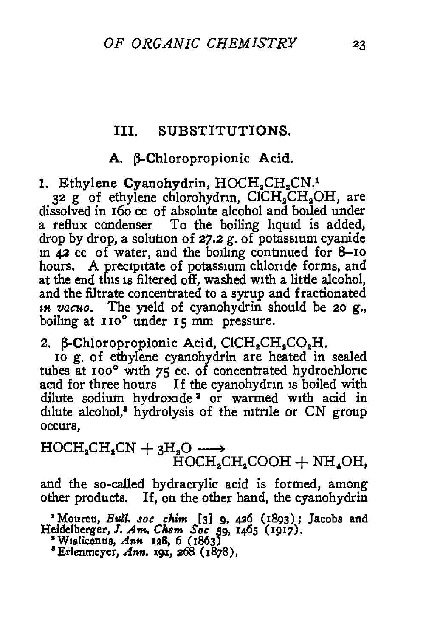# III. SUBSTITUTIONS.

# A. 6-Chloropropionic Acid.

# 1. Ethylene Cyanohydrin, HOCH<sub>2</sub>CH<sub>2</sub>CN<sub>1</sub>

 $32$  g of ethylene chlorohydrin, ClCH<sub>2</sub>CH<sub>2</sub>OH, are dissolved in 160 cc of absolute alcohol and boiled under<br>a reflux condenser To the boiling liquid is added. To the boiling liquid is added, drop by drop, a solution of 27.2 g. of potassium cyanide in  $42$  cc of water, and the boiling continued for 8-10 hours. A precipitate of potassium chloride forms, and at the end this is filtered off, washed with a little alcohol, and the filtrate concentrated to a syrup and fractionated *m vacuo*. The yield of cyanohydrin should be 20 g. boiling at  $110^\circ$  under  $15 \text{ mm}$  pressure.

2.  $\beta$ -Chloropropionic Acid, ClCH<sub>2</sub>CH<sub>2</sub>CO<sub>2</sub>H.

10 g. of ethylene cyanohydrin are heated in sealed tubes at ioo° with 75 cc. of concentrated hydrochloric acid for three hours If the cyanohydrin is boiled with dilute sodium hydroxide<sup>2</sup> or warmed with acid in dilute alcohol,<sup>8</sup> hydrolysis of the nitrile or CN group occurs,

 $HOCH_2CH_2CN + 3H_2O \longrightarrow$  $H OCH<sub>s</sub>CH<sub>s</sub>COOH + NH<sub>s</sub>OH$ ,

and the so-called hydracrylic acid is formed, among other products. If, on the other hand, the cyanohydrin

<sup>a</sup>Moureu, *Bull, soc chim* [3] g, 426 (1893); Jacobs and Heidelberger, *J. Am. Chem Soc* 39, 1465 (1917),

•Wislicenus, *Ann* 128, 6 (1863)

•Erlenmeyer, *Ann.* 191, 268 (1878),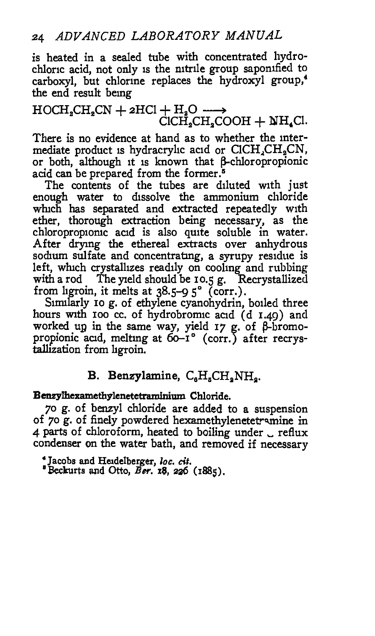is heated in a sealed tube with concentrated hydrochloric acid, not only is the nitrile group saponified to carboxyl, but chlorine replaces the hydroxyl group,\* the end result being

 $HOCH<sub>s</sub>CH<sub>s</sub>CN + 2HCl + H<sub>s</sub>O \longrightarrow$  $\text{Cl}$ CH<sub>2</sub>CH<sub>2</sub>COOH + NH<sub>2</sub>Cl.

There is no evidence at hand as to whether the intermediate product is hydracrylic acid or  $CICH_2CH_2CN$ , or both, although it is known that  $\beta$ -chloropropionic acid can be prepared from the former."

The contents of the tubes are diluted with just enough water to dissolve the ammonium chloride which has separated and extracted repeatedly with ether, thorough extraction being necessary, as the chloropropionic acid is also quite soluble in water. After drying the ethereal extracts over anhydrous sodium sulfate and concentrating, a syrupy residue is left, which crystallizes readily on cooling and rubbing with a rod The yield should be 10.5 g. Recrystallized from ligroin, it melts at  $38.5-95^{\circ}$  (corr.).

Similarly 10 g. of ethylene cyanohydrin, boiled three hours with 100 cc. of hydrobromic acid (d 1.49) and worked up in the same way, yield  $17$  g. of  $\beta$ -bromopropionic acid, melting at 60-1° (corr.) after recrystallization from ligroin.

# **B. Benzylamine, C<sub>a</sub>H**<sub>s</sub>CH<sub>2</sub>NH<sub>8</sub>.

# Benzylhexamethylenetetraminium Chloride.

70 g. of benzyl chloride are added to a suspension of 70 g. of finely powdered hexamethylenetetramine in 4 parts of chloroform, heated to boiling under  $\cup$  reflux condenser on the water bath, and removed if necessary

\* Jacobs and Heidelberger, *loc. cit.*

"Beckurts and Otto, *Ber,* 18, 236 **(1885).**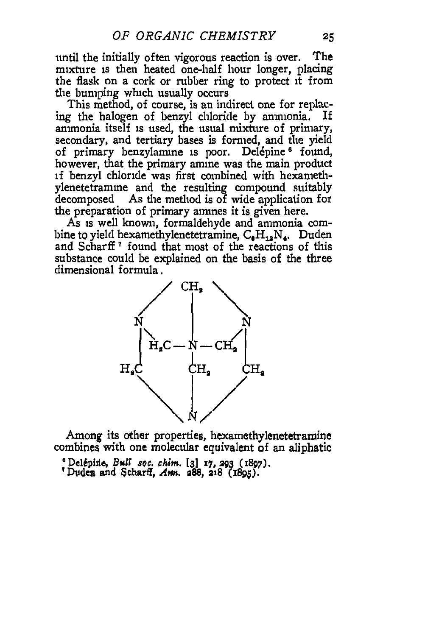until the initially often vigorous reaction is over. The mixture is then heated one-half hour longer, placing the flask on a cork or rubber ring to protect it from the bumping which usually occurs

This method, of course, is an indirect one for replacing the halogen of benzyl chloride by ammonia. If ammonia itself is used, the usual mixture of primary, secondary, and tertiary bases is formed, and the yield of primary benzylamine is poor. Delépine <sup>6</sup> found, however, that the primary amme was the main product if benzyl chloride was first combined with hexamethylenetetramine and the resulting compound suitably decomposed As the method is of wide application for the preparation of primary amines it is given here.

As is well known, formaldehyde and ammonia combine to yield hexamethylenetetramine,  $C_0H_{12}N_4$ . Duden and Scharff<sup>7</sup> found that most of the reactions of this substance could be explained on the basis of the three dimensional formula.



Among its other properties, hexamethylenetetramine combines with one molecular equivalent of an aliphatic

<sup>o</sup> Delépine, Bull soc. chim. [3] 17, 293 (1897).

T Pydc8 and Scharff, *Am.* a88, 218 (1895).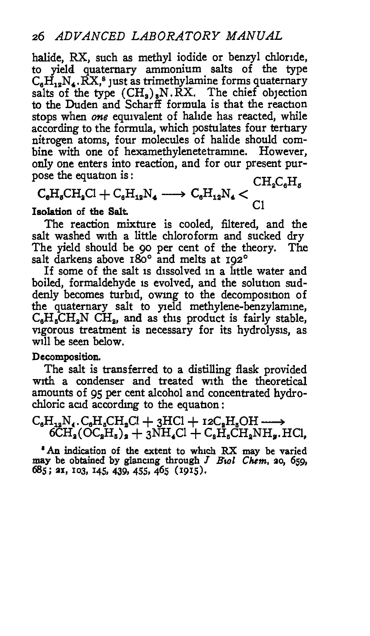halide, RX, such as methyl iodide or benzyl chloride, to yield quaternary ammonium salts of the type  $C_6H_{12}N_4$ . RX,<sup>8</sup> just as trimethylamine forms quaternary salts of the type  $(CH_3)$ , N.RX. The chief objection to the Duden and Scharff formula is that the reaction stops when *one* equivalent of halide has reacted, while according to the formula, which postulates four tertiary nitrogen atoms, four molecules of halide should combine with one of hexamethylenetetramme. However, only one enters into reaction, and for our present purpose the equation is:  $T_{\text{CIT}} \sim T$ 

 $\rm C_{6}H_{5}CH_{2}Cl + C_{6}H_{12}N_{4} \longrightarrow C_{6}H_{12}N_{4} <$ C 1

## Isolation of the Salt

The reaction mixture is cooled, filtered, and the salt washed with a little chloroform and sucked dry The yield should be 90 per cent of the theory. The salt darkens above 180° and melts at 192°

If some of the salt is dissolved in a little water and boiled, formaldehyde is evolved, and the solution suddenly becomes turbid, owing to the decomposition of the quaternary salt to yield methylene-benzylamine,  $C_6H_6CH_3N$  CH<sub>a</sub>, and as this product is fairly stable, vigorous treatment is necessary for its hydrolysis, as will be seen below.

#### Decomposition.

The salt is transferred to a distilling flask provided with a condenser and treated with the theoretical amounts of 95 per cent alcohol and concentrated hydrochloric acid according to the equation:

 $C_{\alpha}H_{\alpha}N_{\alpha}$ ,  $C_{\alpha}H_{\alpha}CH_{\alpha}CH_{\alpha}$  + 3HCl +  $12C_{\alpha}H_{\alpha}OH \longrightarrow$  $6\overline{CH}_8(\overline{OC}_9H_8)_8 + 3\overline{NH}_4Cl + C_8H_8CH_8NH_8$ .HCl,

"An indication of the extent to which RX may be varied may be obtained by glancing through *J Biol Chem*, 20, 659, 685; *ax,* 103, 145, 439, 455, 4^5 (1915).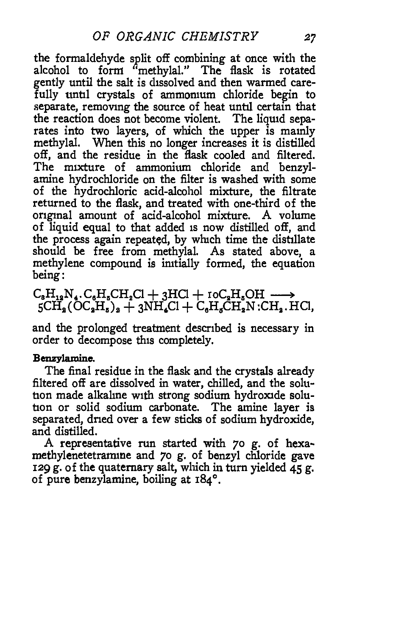the formaldehyde split off combining at once with the alcohol to form "methylal." The flask is rotated gently until the salt is dissolved and then warmed carefully until crystals of ammonium chloride begin to separate, removing the source of heat until certain that the reaction does not become violent. The liquid separates into two layers, of which the upper is mainly methylal. When this no longer increases it is distilled off, and the residue in the flask cooled and filtered. The mixture of ammonium chloride and benzylamine hydrochloride on the filter is washed with some of the hydrochloric acid-alcohol mixture, the filtrate returned to the flask, and treated with one-third of the original amount of acid-alcohol mixture. A volume of liquid equal to that added is now distilled off, and the process again repeated, by which time the distillate should be free from methylal. As stated above, a methylene compound is initially formed, the equation being:

 $\rm C_sH_{13}N_4$ . $\rm C_sH_sCH_2Cl + 3HCl + 10C_sH_sOH \longrightarrow$  $\rm 5CH_2({\rm OC}_2H_5)_2+3NH_4Cl+C_6H_5CH_2N:CH_2.HCI_3$ 

and the prolonged treatment described is necessary in order to decompose this completely.

#### Benzylaminc.

The final residue in the flask and the crystals already filtered off are dissolved in water, chilled, and the solution made alkaline with strong sodium hydroxide solution or solid sodium carbonate. The amine layer is separated, dried over a few sticks of sodium hydroxide, and distilled.

A representative run started with 70 g. of hexamethylenetetramine and 70 g. of benzyl chloride gave 129 g. of the quaternary salt, which in turn yielded 45 g. of pure benzylamine, boiling at 184°.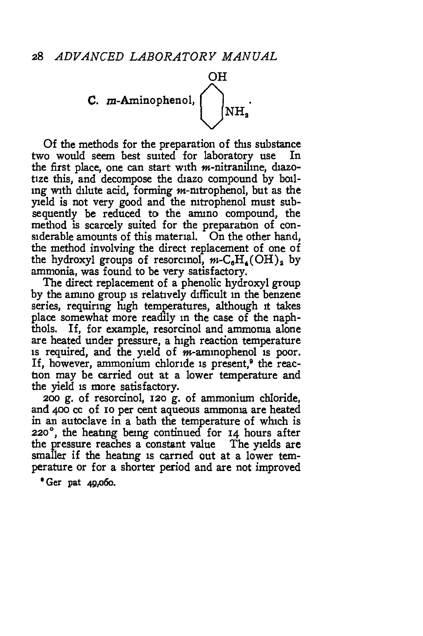

Of the methods for the preparation of this substance<br>to would seem best suited for laboratory use. In two would seem best suited for laboratory use the first place, one can start with w-nitranilme, diazotize this, and decompose the diazo compound by boiling with dilute acid, forming m-nitrophenol, but as the yield is not very good and the nitrophenol must subsequently be reduced to the amino compound, the method is scarcely suited for the preparation of considerable amounts of this material. On the other hand, the method involving the direct replacement of one of the hydroxyl groups of resorcinol,  $m-C<sub>a</sub>H<sub>4</sub>(OH)$ <sub>a</sub> by ammonia, was found to be very satisfactory.

The direct replacement of a phenolic hydroxyl group by the ammo group is relatively difficult in the benzene series, requiring high temperatures, although it takes place somewhat more readily m the case of the naphthols. If, for example, resorcinol and ammonia alone are heated under pressure, a high reaction temperature is required, and the yield of m-ammophenol is poor. If, however, ammonium chloride is present,<sup>9</sup> the reaction may be carried out at a lower temperature and the yield is more satisfactory.

200 g. of resorcinol, 120 g. of ammonium chloride, and 400 cc of 10 per cent aqueous ammonia are heated in an autoclave in a bath the temperature of which is 220°, the heating being continued for 14 hours after the pressure reaches a constant value The yields are smaller if the heating is carried out at a lower temperature or for a shorter period and are not improved

"Ger pat 49,060.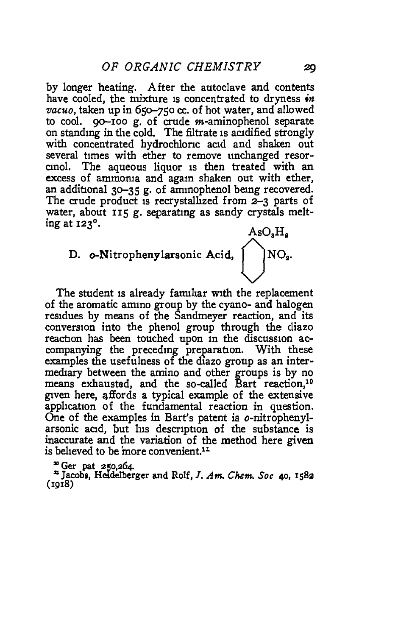by longer heating. After the autoclave and contents have cooled, the mixture is concentrated to dryness *in vacuo,* taken up in 650-750 cc. of hot water, and allowed to cool. 90-100 g. of crude m-aminophenol separate on standing in the cold. The filtrate is acidified strongly with concentrated hydrochloric acid and shaken out several times with ether to remove unchanged resorcinol. The aqueous liquor is then treated with an excess of ammonia and again shaken out with ether, an additional 30-35 g. of aminophenol being recovered. The crude product is recrystallized from 2-3 parts of water, about 115 g. separating as sandy crystals melting at  $123^\circ$ .

# D. o-Nitrophenylarsonic Acid,

 $\rm AsO_{\rm a}H_{\rm a}$ 

The student is already familiar with the replacement of the aromatic ammo group by the cyano- and halogen residues by means of the Sandmeyer reaction, and its conversion into the phenol group through the diazo reaction has been touched upon in the discussion accompanying the preceding preparation. With these examples the usefulness of the diazo group as an intermediary between the amino and other groups is by no means exhausted, and the so-called Bart reaction.<sup>10</sup> given here, affords a typical example of the extensive application of the fundamental reaction in question. One of the examples in Bart's patent is o-nitrophenylarsonic acid, but his description of the substance is inaccurate and the variation of the method here given is believed to be more convenient.<sup>11</sup>

<sup>30</sup> Ger pat 250,264.

*n* Jacobs, Heidelberger and Rolf, /. *Am. Chem. Soc* 40, 1582 (1918)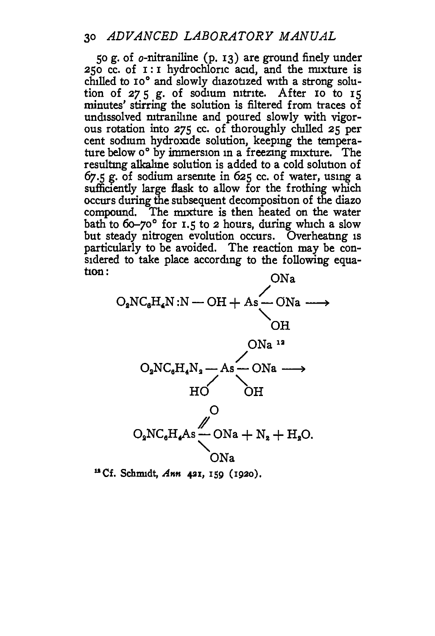50 g. of o-nitraniline (p. 13) are ground finely under 250 cc. of 1:1 hydrochloric acid, and the mixture is chilled to io° and slowly diazotized with a strong solution of  $275$  g. of sodium nitrite. After 10 to 15 minutes' stirring the solution is filtered from traces of undissolved nitraniline and poured slowly with vigorous rotation into 275 cc. of thoroughly chilled 25 per cent sodium hydroxide solution, keeping the temperature below o° by immersion in a freezing mixture. The resulting alkaline solution is added to a cold solution of 67.5 g. of sodium arsemte in 625 cc. of water, using a sufficiently large flask to allow for the frothing which occurs during the subsequent decomposition of the diazo compound. The mixture is then heated on the water bath to  $60-70^\circ$  for 1.5 to 2 hours, during which a slow but steady nitrogen evolution occurs. Overheating is particularly to be avoided. The reaction may be considered to take place according to the following equa- $\begin{array}{ccc} \text{tion:} & \begin{array}{ccc} \end{array} & \begin{array}{ccc} \end{array} & \begin{array}{ccc} \end{array} & \begin{array}{ccc} \end{array} & \begin{array}{ccc} \end{array} & \begin{array}{ccc} \end{array} & \begin{array}{ccc} \end{array} & \begin{array}{ccc} \end{array} & \begin{array}{ccc} \end{array} & \begin{array}{ccc} \end{array} & \begin{array}{ccc} \end{array} & \begin{array}{ccc} \end{array} & \begin{array}{ccc} \end{array} & \begin{array}{ccc} \end{array} & \begin{array}{ccc} \end{array} & \begin{array}{ccc} \end{array$ 

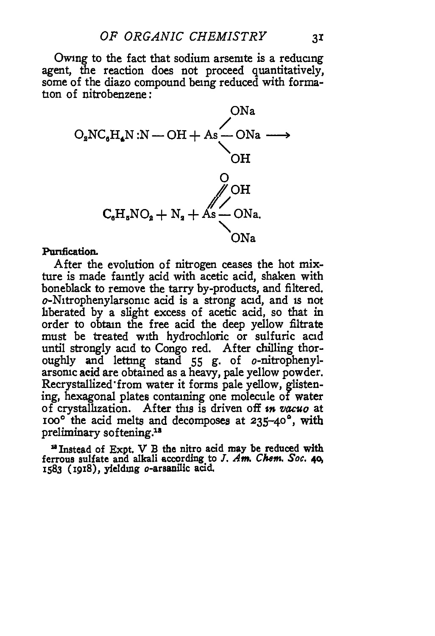Owing to the fact that sodium arsenite is a reducing agent, the reaction does not proceed quantitatively, some of the diazo compound being reduced with formation of nitrobenzene:



#### Purification.

After the evolution of nitrogen ceases the hot mixture is made faintly acid with acetic acid, shaken with boneblack to remove the tarry by-products, and filtered. 0-Nitrophenylarsonic acid is a strong acid, and is not liberated by a slight excess of acetic acid, so that in order to obtain the free acid the deep yellow filtrate must be treated with hydrochloric or sulfuric acid until strongly acid to Congo red. After chilling thoroughly and letting stand 55 g. of o-nitrophenylarsonic acid are obtained as a heavy, pale yellow powder. Recrystallized'from water it forms pale yellow, glistening, hexagonal plates containing one molecule of water of crystallization. After this is driven off in vacuo at ioo° the acid melts and decomposes at 235-40°, with preliminary softening.<sup>18</sup>

M Instead of Expt, V B the nitro acid may be reduced with ferrous sulfate and alkali according to *I. Am. Chem. Soc.* 40, 1583 *(191S),* yielding o-arsanilic acid.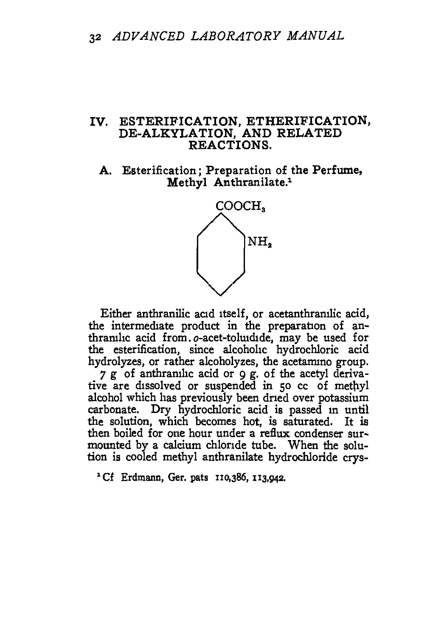## IV. ESTERIFICATION, ETHERIFICATION, DE-ALKYLATION, AND RELATED REACTIONS.

A. Esterification; Preparation of the Perfume, Methyl Anthranilate.<sup>1</sup>



Either anthranilic acid itself, or acetanthranilic acid, the intermediate product in the preparation of anthranihc acid from. o-acet-toluidide, may be used for the esterification, since alcoholic hydrochloric acid hydrolyzes, or rather alcoholyzes, the acetamino group.

7 g of anthranilic acid or 9 g. of the acetyl derivative are dissolved or suspended in 50 cc of methyl alcohol which has previously been dried over potassium carbonate. Dry hydrochloric acid is passed m until the solution, which becomes hot, is saturated. It is then boiled for one hour under a reflux condenser surmounted by a calcium chloride tube. When the solution is cooled methyl anthranilate hydrochloride crys-

<sup>1</sup>Cf Erdmann, Ger. pats 110,386, 113,942.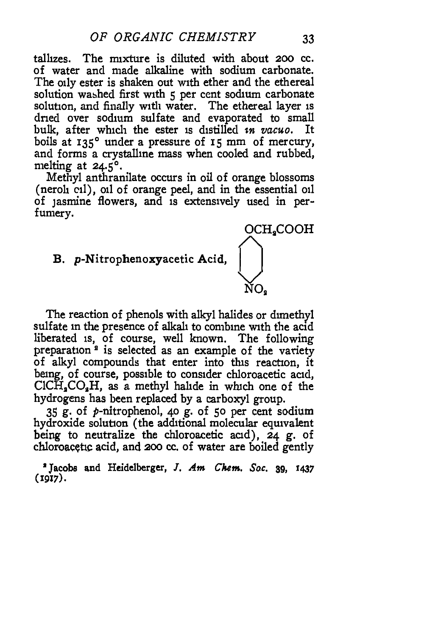talhzes. The mixture is diluted with about 200 cc. of water and made alkaline with sodium carbonate. The oily ester is shaken out with ether and the ethereal solution washed first with 5 per cent sodium carbonate solution, and finally with water. The ethereal layer is dried over sodium sulfate and evaporated to small bulk, after which the ester is distilled in vacuo. boils at 135° under a pressure of 15 mm of mercury, and forms a crystalline mass when cooled and rubbed, melting at 24.5°.

Methyl anthranilate occurs in oil of orange blossoms (neroh oil), oil of orange peel, and in the essential oil of jasmine flowers, and is extensively used in perfumery.

# OCH.COOH **B. p-Nitrophenoxyacetic Acid,**

The reaction of phenols with alkyl halides or dimethyl sulfate in the presence of alkali to combine with the acid liberated is, of course, well known. The following preparation<sup>2</sup> is selected as an example of the variety of alkyl compounds that enter into this reaction, it being, of course, possible to consider chloroacetic acid,  $CICH<sub>a</sub>CO<sub>a</sub>H$ , as a methyl halide in which one of the hydrogens has been replaced by a carboxyl group.

35 g. of p-nitrophenol, 40 g. of 50 per cent sodium hydroxide solution (the additional molecular equivalent being to neutralize the chloroacetic acid), 24 g. of chloroacetic acid, and 200 cc. of water **are** boiled gently

"Jacobs and Heidelberger, /. *Am Chem, Soc.* 39, 1437 (1917).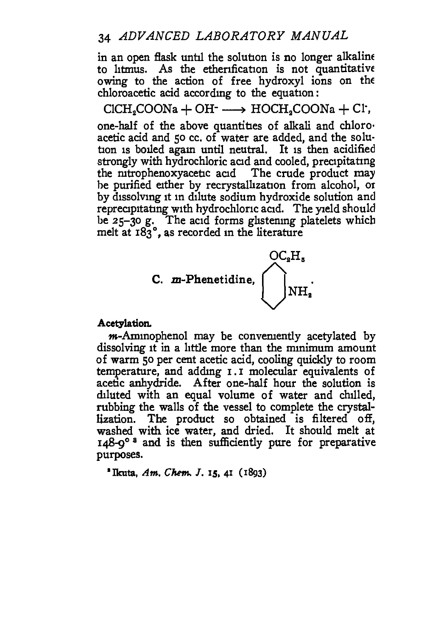# 34 *ADVANCED LABORATORY MANUAL*

in an open flask until the solution is no longer alkaline to litmus. As the ethenfication is not quantitative owing to the action of free hydroxyl ions on the chloroacetic acid according to the equation:

 $CICH<sub>a</sub>COONa + OH<sup>-</sup> \longrightarrow HOCH<sub>a</sub>COONa + Cl<sup>-</sup>,$ 

one-half of the above quantities of alkali and chloroacetic acid and 50 cc. of water are added, and the solution is boiled again until neutral. It is then acidified strongly with hydrochloric acid and cooled, precipitating the nitrophenoxyacetic acid The crude product may be purified either by recrystallization from alcohol, or by dissolving it m dilute sodium hydroxide solution and reprecipitating with hydrochloric acid. The yield should be 25-30 g. The acid forms glistening platelets which melt at 183°, as recorded in the literature



#### Acetylation.

w-Aminophenol may be conveniently acetylated by dissolving it in a little more than the minimum amount of warm 50 per cent acetic acid, cooling quickly to room temperature, and adding 1.1 molecular equivalents of acetic anhydride. After one-half hour the solution is diluted with an equal volume of water and chilled, rubbing the walls of the vessel to complete the crystallization. The product so obtained is filtered off. washed with ice water, and dried. It should melt at  $148-9^\circ$  and is then sufficiently pure for preparative purposes.

•Ikuta, *Am. Chem. J.* 15, 41 (1893)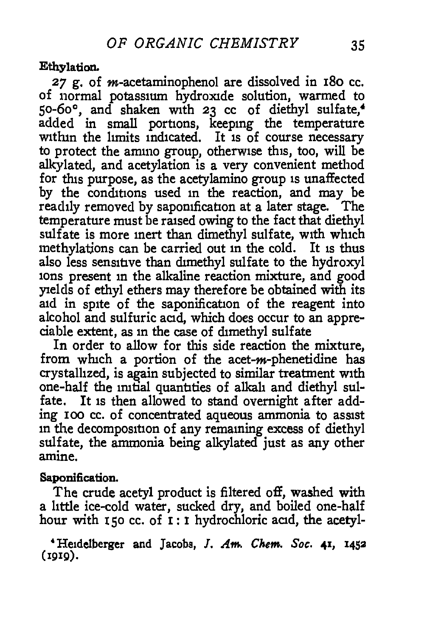#### Ethylation.

27 g. of m-acetaminophenol are dissolved in 180 cc. of normal potassium hydroxide solution, warmed to 50-60<sup>0</sup> , and shaken with 23 cc of diethyl sulfate,\* added in small portions, keeping the temperature within the limits indicated. It is of course necessary to protect the ammo group, otherwise this, too, will be alkylated, and acetylation is a very convenient method for this purpose, as the acetylamino group is unaffected by the conditions used in the reaction, and may be readily removed by saponification at a later stage. The temperature must be raised owing to the fact that diethyl sulfate is more inert than dimethyl sulfate, with which methylatjons can be carried out in the cold. It is thus also less sensitive than dimethyl sulfate to the hydroxyl ions present m the alkaline reaction mixture, and good yields of ethyl ethers may therefore be obtained with its aid in spite of the saponification of the reagent into alcohol and sulfuric acid, which does occur to an appreciable extent, as in the case of dimethyl sulfate

In order to allow for this side reaction the mixture, from which a portion of the acet-w-phenetidine has crystallized, is again subjected to similar treatment with one-half the initial quantities of alkali and diethyl sulfate. It is then allowed to stand overnight after adding 100 cc. of concentrated aqueous ammonia to assist m the decomposition of any remaining excess of diethyl sulfate, the ammonia being alkylated just as any other amine.

#### Saponification.

The crude acetyl product is filtered off, washed with a little ice-cold water, sucked dry, and boiled one-half hour with 150 cc. of 1: 1 hydrochloric acid, the acetyl-

\* Heidelberger and Jacobs, /. *Am. Chem. Soc.* 41, 1452 (1910).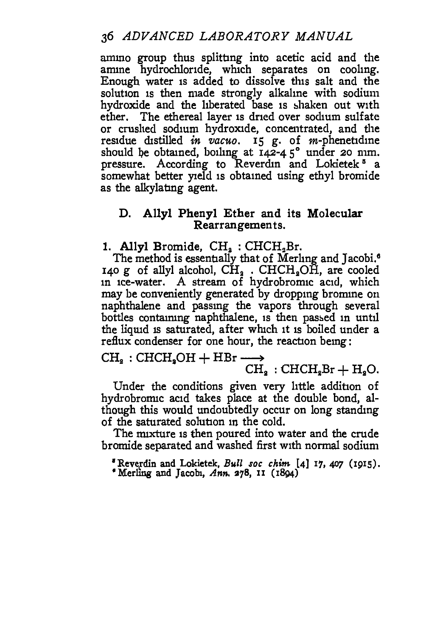# *S6 ADVANCED LABORATORY MANUAL*

amino group thus splitting into acetic acid and the amine hydrochloride, which separates on cooling. Enough water is added to dissolve this salt and the solution is then made strongly alkaline with sodium hydroxide and the liberated base is shaken out with ether. The ethereal layer is dried over sodium sulfate or crushed sodium hydroxide, concentrated, and the residue distilled *in vacuo.* 15 g. of m-phenetidine should be obtained, boiling at  $142-45^{\circ}$  under 20 mm. pressure. According to Reverdin and Lokietek<sup>5</sup> a somewhat better yield is obtained using ethyl bromide as the alkylatmg agent.

## **D. Allyl Phenyl Ether and its Molecular Rearrangements.**

## 1. Allyl Bromide, CH<sub>2</sub> : CHCH<sub>2</sub>Br.

The method is essentially that of Merling and Jacobi.<sup>6</sup> 140 g of allyl alcohol,  $\overrightarrow{CH}_3$ . CHCH<sub>3</sub>OH, are cooled in ice-water. A stream of hydrobromic acid, which may be conveniently generated by dropping bromine on naphthalene and passing the vapors through several bottles containing naphthalene, is then passed in until the liquid is saturated, after which it is boiled under a reflux condenser for one hour, the reaction being:

#### $CH<sub>a</sub>$  : CHCH<sub>a</sub>OH + HBr  $\longrightarrow$  $CH. : CHCH.Br + H.$ O.

Under the conditions given very little addition of hydrobromic acid takes place at the double bond, although this would undoubtedly occur on long standing of the saturated solution in the cold.

The mixture is then poured into water and the crude bromide separated and washed first with normal sodium

'Reverdin and Lokietek, *Bull soc chim* [4] 17, 407 (1915).

•Merlmg and Jacobi, *Ann.* 278, 11 (1894)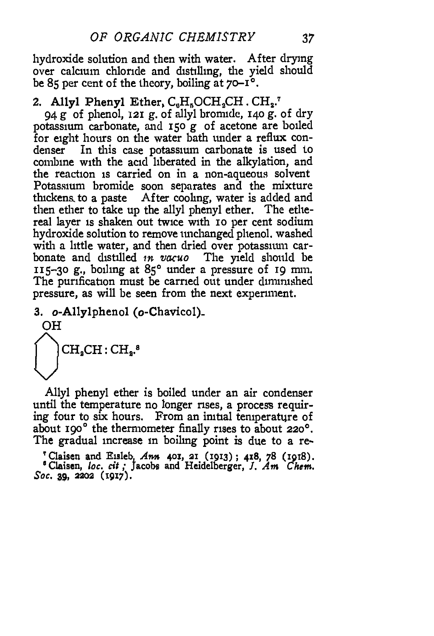hydroxide solution and then with water. After drying over calcium chloride and distilling, the yield should be 85 per cent of the theory, boiling at  $70-1$ °.

2. Allyl Phenyl Ether,  $C_0H_5OCH_2CH$ .  $CH_2$ .

94 g of phenol, 121 g. of allyl bromide, 140 g. of dry potassium carbonate, and 150 g of acetone are boiled for eight hours on the water bath under a reflux condenser In this case potassium carbonate is used to combine with the acid liberated in the alkylation, and the reaction is carried on in a non-aqueous solvent Potassium bromide soon separates and the mixture thickens to a paste After cooling, water is added and then ether to take up the allyl phenyl ether. The ethereal layer is shaken out twice with 10 per cent sodium hydroxide solution to remove unchanged phenol, washed with a little water, and then dried over potassium carbonate and distilled *in vacua* The yield should be 115-30 g., boiling at  $85^\circ$  under a pressure of 19 mm. The purification must be earned out under diminished pressure, as will be seen from the next experiment.

3. o-Allylphenol (o-Chavicol).



Allyl phenyl ether is boiled under an air condenser until the temperature no longer rises, a process requiring four to six hours. From an initial temperature of about 190° the thermometer finally rises to about 220°. The gradual increase m boiling point is due to a re-

<sup>T</sup>Claisen and Eisleb, *Ann* 401, 21 (1913); 418, 78 (1918). 'Claisen, *loc. cit;* Jacobs and Heidelberger, /. *Am Ckem. Soc,* 39, 3202 (1917).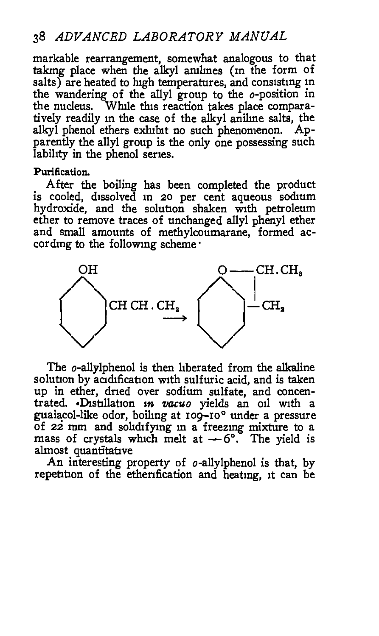markable rearrangement, somewhat analogous to that taking place when the alkyl anilines (in the form of salts) are heated to high temperatures, and consisting in the wandering of the allyl group to the o-position in the nucleus. While this reaction takes place comparatively readily in the case of the alkyl aniline salts, the alkyl phenol ethers exhibit no such phenomenon. Apparently the allyl group is the only one possessing such lability in the phenol series.

#### Purification.

After the boiling has been completed the product is cooled, dissolved in 20 per cent aqueous sodium hydroxide, and the solution shaken with petroleum ether to remove traces of unchanged allyl phenyl ether and small amounts of methylcoumarane, formed according to the following scheme •



The *o*-allylphenol is then liberated from the alkaline solution by acidification with sulfuric acid, and is taken up in ether, dried over sodium sulfate, and concentrated. 'Distillation *in vacuo* yields an oil with a guaiacol-like odor, boiling at 109-10° under a pressure of 22 mm and solidifying in a freezing mixture to a mass of crystals which melt at  $-6^{\circ}$ . The yield is almost quantitative

An interesting property of  $o$ -allylphenol is that, by repetition of the ethenfication and heating, it can be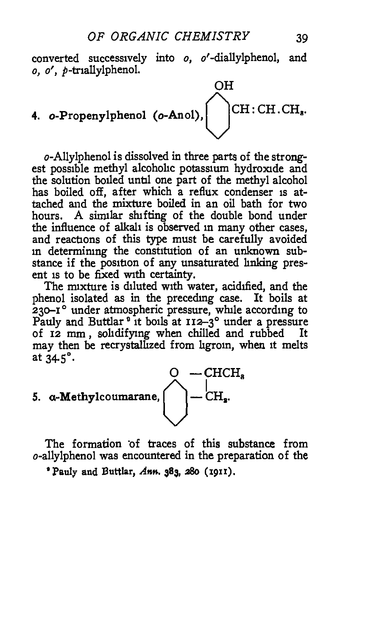converted successively into *0,* o'-diallylphenol, and *o. o', b*-triallylphenol.

# OH 4. **o-Propenylphenol** (**o-Anol**),  $\begin{bmatrix} \begin{bmatrix} \begin{bmatrix} \mathbf{CH} \cdot \mathbf{CH} \cdot \mathbf{CH}_{\mathbf{S}} \end{bmatrix} \end{bmatrix} \end{bmatrix}$

o-Allylphenol is dissolved in three parts of the strongest possible methyl alcoholic potassium hydroxide and the solution boiled until one part of the methyl alcohol has boiled off, after which a reflux condenser is attached and the mixture boiled in an oil bath for two hours. A similar shifting of the double bond under the influence of alkali is observed in many other cases, and reactions of this type must be carefully avoided in determining the constitution of an unknown substance if the position of any unsaturated linking present is to be fixed with certainty.

The mixture is diluted with water, acidified, and the phenol isolated as in the preceding case. It boils at 230-1<sup>°</sup> under atmospheric pressure, while according to Pauly and Buttlar<sup>o</sup> it boils at 112-3° under a pressure of 12 mm, solidifying when chilled and rubbed It may then be recrystallized from ligroin, when it melts at 34.5°.



The formation of traces of this substance from  $o$ -allylphenol was encountered in the preparation of the

9 Pauly and Buttlar, *Ann.* **383,** 380 (1911).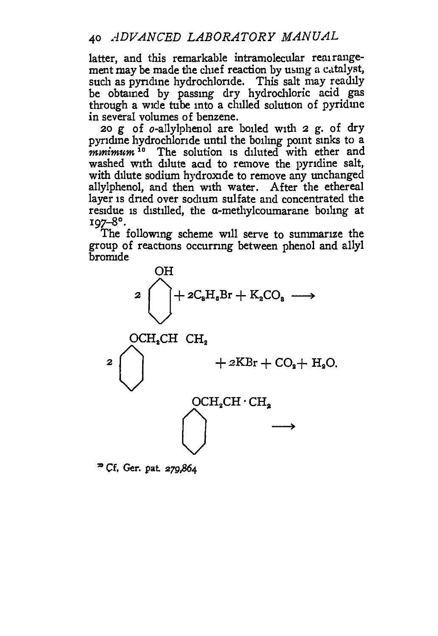# 40 *ADVANCED LABORATORY MANUAL*

latter, and this remarkable intramolecular reairangement may be made the chief reaction by using a catalyst, such as pyndine hydrochlonde. This salt may readily be obtained by passing dry hydrochloric acid gas through a wide tube into a chilled solution of pyridme in several volumes of benzene.

20 g of  $o$ -allylphenol are boiled with 2 g. of dry pyridine hydrochlonde until the boiling point sinks to a *minimum*<sup>10</sup> The solution is diluted with ether and washed with dilute acid to remove the pyridine salt, with dilute sodium hydroxide to remove any unchanged allylphenol, and then with water. After the ethereal layer is dried over sodium sulfate and concentrated the residue is distilled, the  $\alpha$ -methylcoumarane boiling at 197–8°.

The following scheme will serve to summarize the group of reactions occurring between phenol and **ally]** bromide



Cf, Ger. pat. 279,864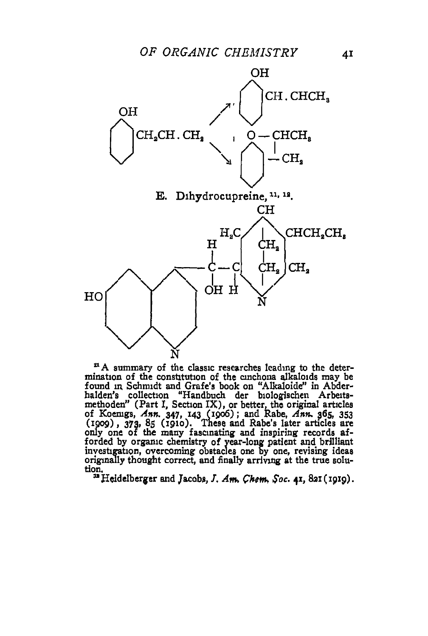

 $A$  summary of the classic researches leading to the determination of the constitution of the cinchona alkaloids may be found m Schmidt and Grafe's book on "Alkaloide" in Abderhalden's collection "Handbuch der biologischen Arbeitsmethoden" (Part I, Section IX), or better, the original articles of Koenigs, *Ann.* 347, 143 (1906); and Rabe, *Ann.* 365, 353 (1909), 373, 85 (1910). These and Rabe's later articles are only one of the many fascinating and inspiring records afforded by organic chemistry of year-long patient and brilliant investigation, overcoming obstacles one by one, revising ideas originally thought correct, and finally arriving at the true solution.

<sup>23</sup> Heidelberger and Jacobs, *J. Am, Chem, Soc.* 41, 821(1919).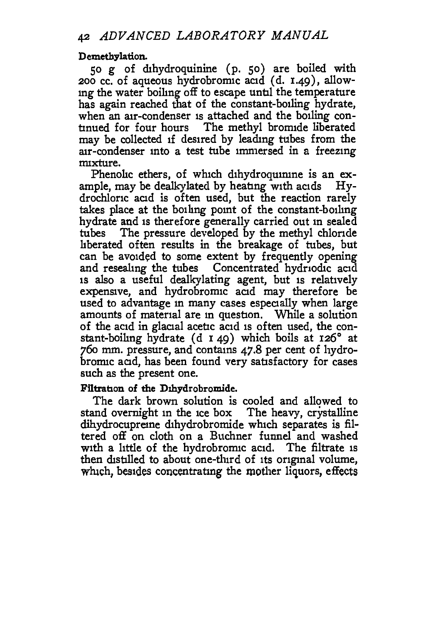#### Demethylation.

50 g of dihydroquinine (p. 50) are boiled with 200 cc. of aqueous hydrobromic acid (d. 1.49), allowing the water boiling off to escape until the temperature has again reached that of the constant-boiling hydrate, when an air-condenser is attached and the boiling continued for four hours The methyl bromide liberated may be collected if desired by leading tubes from the air-condenser into a test tube immersed in a freezing mixture.

Phenolic ethers, of which dihydroquinine is an example, may be dealkylated by heating with acids Hydrochloric aad is often used, but the reaction rarely takes place at the boiling point of the constant-boiling hydrate and is therefore generally carried out in sealed tubes The pressure developed by the methyl chloride liberated often results in the breakage of tubes, but can be avoided to some extent by frequently opening and resealing the tubes Concentrated hydriodic acid is also a useful dealkylating agent, but is relatively expensive, and hydrobromic aad may therefore be used to advantage in many cases especially when large amounts of material are in question. While a solution of the acid in glaaal acetic acid is often used, the constant-boiling hydrate  $(d_1 49)$  which boils at  $126^\circ$  at 760 mm. pressure, and contains 47.8 per cent of hydrobromic aad, has been found very satisfactory for cases such as the present one.

#### Filtration of the Dihydrobromide.

The dark brown solution is cooled and allowed to stand overnight m the ice box The heavy, crystalline dihydrocupreine dihydrobromide which separates is filtered off on cloth on a Buchner funnel and washed with a little of the hydrobromic acid. The filtrate is then distilled to about one-third of its original volume, which, besides concentrating the mother liquors, effects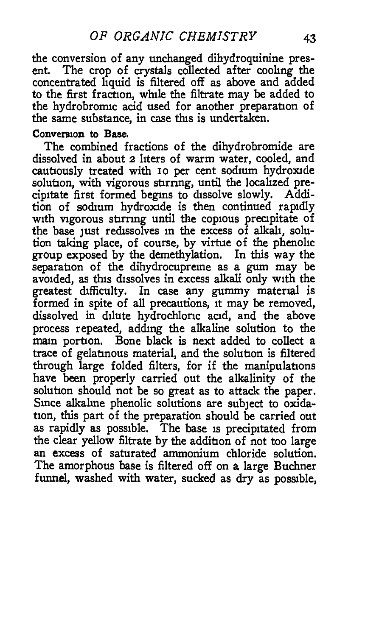the conversion of any unchanged dihydroquinine present. The crop of crystals collected after cooling the concentrated liquid is filtered off as above and added to the first fraction, while the filtrate may be added to the hydrobromic acid used for another preparation of the same substance, in case this is undertaken.

#### Conversion to Base.

The combined fractions of the dihydrobromide are dissolved in about 2 liters of warm water, cooled, and cautiously treated with 10 per cent sodium hydroxide solution, with vigorous stirring, until the localized precipitate first formed begins to dissolve slowly. Addition of sodium hydroxide is then continued rapidly with vigorous stirring until the copious precipitate of the base just redissolves m the excess of alkali, solution taking place, of course, by virtue of the phenolic group exposed by the demethylation. In this way the separation of the dihydrocupreine as a gum may be avoided, as this dissolves in excess alkali only with the greatest difficulty. In case any gummy material is formed in spite of all precautions, it may be removed, dissolved in dilute hydrochloric acid, and the above process repeated, adding the alkaline solution to the mam portion. Bone black is next added to collect a trace of gelatinous material, and the solution is filtered through large folded filters, for if the manipulations have been properly carried out the alkalinity of the solution should not be so great as to attack the paper. Since alkaline phenolic solutions are subject to oxidation, this part of the preparation should be carried out as rapidly as possible. The base is precipitated from the clear yellow filtrate by the addition of not too large an excess of saturated ammonium chloride solution. The amorphous base is filtered off on a large Buchner funnel, washed with water, sucked as dry as possible,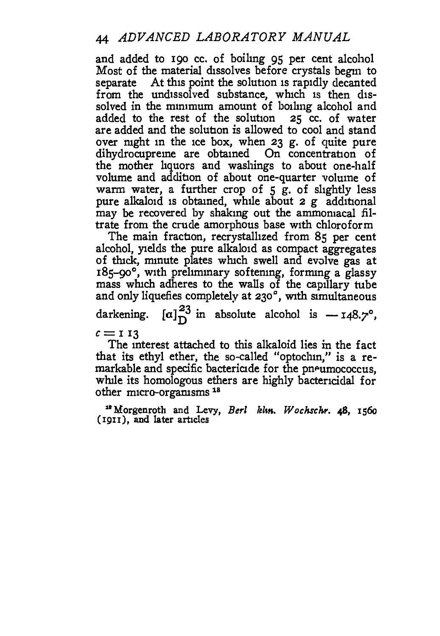and added to 190 cc. of boiling 95 per cent alcohol Most of the material dissolves before crystals begin to separate At this point the solution is rapidly decanted from the undissolved substance, which is then dissolved in the minimum amount of boiling alcohol and added to the rest of the solution 25 cc. of water are added and the solution is allowed to cool and stand over night m the ice box, when 23 g. of quite pure dihydrocupreme are obtained On concentration of the mother liquors and washings to about one-half volume and addition of about one-quarter volume of warm water, a further crop of  $5$  g, of slightly less pure alkaloid is obtained, while about 2 g additional may be recovered by shaking out the ammoniacal filtrate from the crude amorphous base with chloroform

The main fraction, recrystallized from 85 per cent alcohol, yields the pure alkaloid as compact aggregates of thick, minute plates which swell and evolve gas at 185-90°, with preliminary softening, forming a glassy mass which adheres to the walls of the capillary tube and only liquefies completely at 230°, with simultaneous darkening.  $[\alpha]_D^{\geq 3}$  in absolute alcohol is -- 148.7°,  $c = 113$ 

The interest attached to this alkaloid lies in the fact that its ethyl ether, the so-called "optochin," is a remarkable and specific bactericide for the pneumococcus, while its homologous ethers are highly bactericidal for other micro-organisms<sup>18</sup>

<sup>18</sup> Morgenroth and Levy, Berl klin. Wochschr. 48, 1560 (1911), and later articles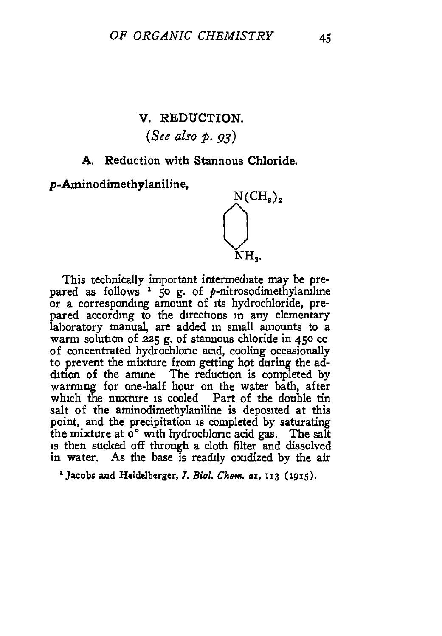# **V. REDUCTION.** *(See also p. 93)*

## **A. Reduction with Stannous Chloride.**

**p-Aminodimethylaniline,**



This technically important intermediate may be prepared as follows <sup>1</sup> 50 g. of p-nitrosodimethylanilme or a corresponding amount of its hydrochloride, prepared according to the directions in any elementary laboratory manual, are added in small amounts to a warm solution of 225 g. of stannous chloride in 450 cc of concentrated hydrochloric acid, cooling occasionally to prevent the mixture from getting hot during the addition of the amine The reduction is completed by warming for one-half hour on the water bath, after which the mixture is cooled Part of the double tin salt of the aminodimethylaniline is deposited at this point, and the precipitation is completed by saturating the mixture at o° with hydrochloric acid gas. The salt is then sucked off through a cloth filter and dissolved in water. As the base is readily oxidized by the air

<sup>2</sup> Jacobs and Heidelberger, *J. Biol. Chem.* 21, 113 (1915).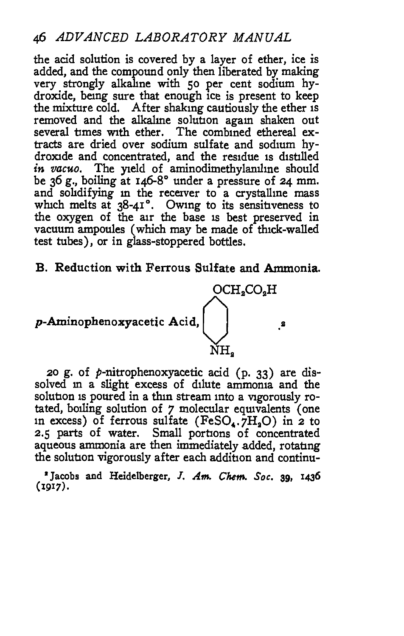the acid solution is covered by a layer of ether, ice is added, and the compound only then liberated by making very strongly alkaline with 50 per cent sodium hydroxide, being sure that enough ice is present to keep the mixture cold. After shaking cautiously the ether is removed and the alkaline solution again shaken out several times with ether. The combined ethereal extracts are dried over sodium sulfate and sodium hydroxide and concentrated, and the residue is distilled *in vacuo*. The yield of aminodimethylaniline should be  $36$  g., boiling at  $146-8^\circ$  under a pressure of  $24$  mm. and solidifying in the receiver to a crystalline mass which melts at 38-41°. Owing to its sensitiveness to the oxygen of the air the base is best preserved in vacuum ampoules (which may be made of thick-walled test tubes), or in glass-stoppered bottles.

**B. Reduction with Ferrous Sulfate and Ammonia.**



20 g. of  $p$ -nitrophenoxyacetic acid (p. 33) are dissolved in a slight excess of dilute ammonia and the solution is poured in a thin stream into a vigorously rotated, boiling solution of 7 molecular equivalents (one in excess) of ferrous sulfate (FeSO<sub>4</sub>.7H<sub>a</sub>O) in 2 to 2.5 parts of water. Small portions of concentrated aqueous ammonia are then immediately added, rotating aqueous ammonia are then immediately added, rotating<br>the solution vigorously after each addition and continu-

 Jacobs and Heidelberger, 7. *Am. Chetn. Soc.* 39, 1436 (1917).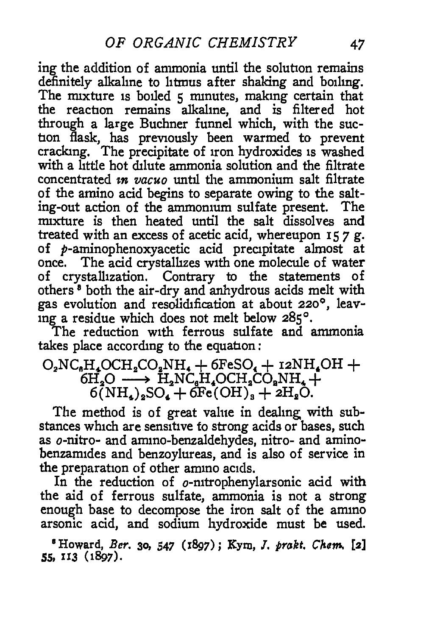ing the addition of ammonia until the solution remains definitely alkaline to litmus after shaking and boiling. The mixture is boiled 5 minutes, making certain that the reaction remains alkaline, and is filtered hot through a large Buchner funnel which, with the suction flask, has previously been warmed to prevent cracking. The precipitate of iron hydroxides is washed with a little hot dilute ammonia solution and the filtrate concentrated *in vacuo* until the ammonium salt filtrate of the amino acid begins to separate owing to the salting-out action of the ammonium sulfate present. The mixture is then heated until the salt dissolves and treated with an excess of acetic acid, whereupon 15 7 g. of p-aminophenoxyacetic acid precipitate almost at once. The acid crystallizes with one molecule of water of crystallization. Contrary to the statements of others<sup>8</sup> both the air-dry and anhydrous acids melt with gas evolution and resolidification at about 220°, leaving a residue which does not melt below 285°.

The reduction with ferrous sulfate and ammonia takes place according to the equation:

 $\rm O_2NC_sH_4OCH_2CO_2NH_4 + 6FeSO_4 + 12NH_4OH +$  $6\mathrm{H_{2}O} \longrightarrow \mathrm{H_{2}NC_{6}H_{4}OCH_{2}CO_{2}NH_{4}} +$  $6(NH_{\rm \bullet})_{\rm \scriptscriptstyle 2} {\rm SO}_{\rm \bullet} + 6{\rm Fe}({\rm OH})_{\rm \scriptscriptstyle 3} + 2{\rm H}_{\rm \scriptscriptstyle 2} {\rm O}_{\rm \circ}$ 

The method is of great value in dealing, with substances which are sensitive fo strong acids or bases, such as o-nitro- and ammo-benzaldehydes, nitro- and aminobenzamides and benzoylureas, and is also of service in the preparation of other amino acids.

In the reduction of  $\rho$ -nitrophenylarsonic acid with the aid of ferrous sulfate, ammonia is not a strong enough base to decompose the iron salt of the amino arsonic acid, and sodium hydroxide must be used.

"Howard, *Bar.* 30, 547 (1897); Kyra, *J. prakt. Cham,* [2] 55, 113 (1897).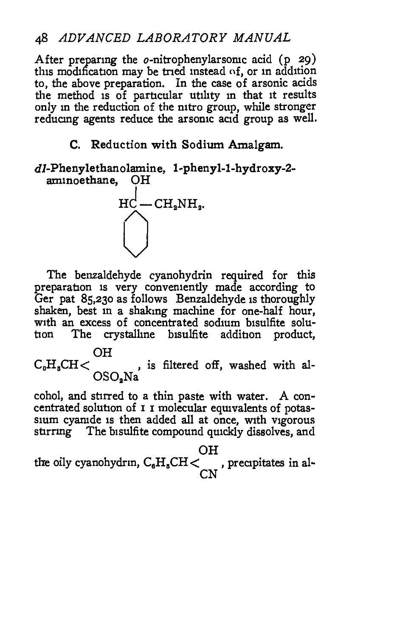After preparing the  $o$ -nitrophenylarsonic acid (p 29) this modification may be tried instead of, or in addition to, the above preparation. In the case of arsonic acids the method is of particular utility in that it results only in the reduction of the nitro group, while stronger reducing agents reduce the arsonic acid group as well.

**C. Reduction with Sodium Amalgam.**

**<i/-Phenylethanolamine? l-phenyl-l-hydroxy-2 aminoethane,** OH



The benzaldehyde cyanohydrin required for this preparation is very conveniently made according to Ger pat 85,230 as follows Benzaldehyde is thoroughly shaken, best m a shaking machine for one-half hour, with an excess of concentrated sodium bisulfite solution The crystalline bisulfite addition product,

OH  $\rm C_{0}H_{s}CH<$  , is filtered off, washed with al- $\mathsf{OSO}_\mathbf{2}\mathsf{Na}$ 

cohol, and stirred to a thin paste with water. A concentrated solution of 1 1 molecular equivalents of potassium cyanide is then added all at once, with vigorous stirring The bisulfite compound quickly dissolves, and

OH

the oily cyanohydrin,  $C_6H_5CH<$ , precipitates in al-CN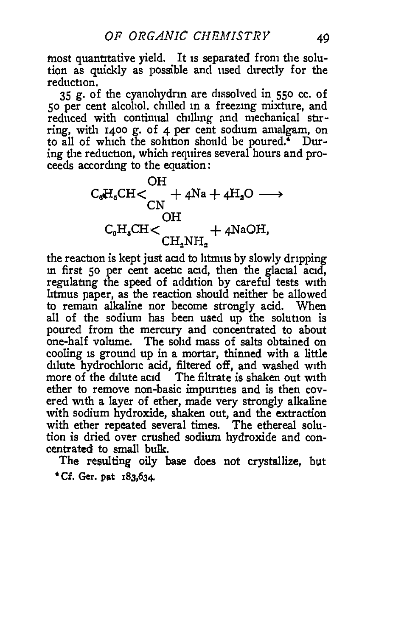most quantitative vield. It is separated from the solution as quickly as possible and used directly for the reduction.

35 g. of the cyanohydrm are dissolved in 550 cc. of 50 per cent alcohol, chilled in a freezing mixture, and reduced with continual chilling and mechanical stirring, with 1400 g. of 4 per cent sodium amalgam, on to all of which the solution should be poured.\* During the reduction, which requires several hours and proceeds according to the equation:



the reaction is kept just acid to litmus by slowly dripping in first 50 per cent acetic acid, then the glacial acid, regulating the speed of addition by careful tests with litmus paper, as the reaction should neither be allowed to remain alkaline nor become strongly acid. When all of the sodium has been used up the solution is poured from the mercury and concentrated to about one-half volume. The solid mass of salts obtained on cooling is ground up in a mortar, thinned with a little dilute hydrochloric acid, filtered off, and washed with more of the dilute acid The filtrate is shaken out with ether to remove non-basic impurities and is then covered with a layer of ether, made very strongly alkaline with sodium hydroxide, shaken out, and the extraction with ether repeated several times. The ethereal solution is dried over crushed sodium hydroxide and concentrated to small bulk.

The resulting oily base does not crystallize, but *\** Cf. Ger. pat 183,634.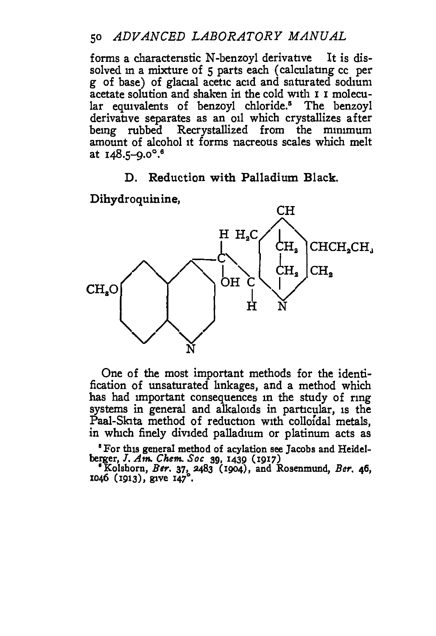# SO *ADVANCED LABORATORY MANUAL*

forms a characteristic N-benzoyl derivative It is dissolved m a mixture of 5 parts each (calculating cc per g of base) of glacial acetic acid and saturated sodium acetate solution and shaken in the cold with 1 1 molecular equivalents of benzoyl chloride.<sup>5</sup> The benzoyl derivative separates as an oil which crystallizes after being rubbed Recrystallized from the minimum amount of alcohol it forms nacreous scales which melt at  $148.5 - 9.0$ <sup>o</sup>.<sup>6</sup>

#### **D. Reduction with Palladium Black.**

**Dihydroquinine,**



One of the most important methods for the identification of unsaturated linkages, and a method which has had important consequences in the study of ring systems in general and alkaloids in particular, is the Paal-Skita method of reduction with colloidal metals, in which finely divided palladium or platinum acts as

*1* For this general method of acylation see Jacobs and Heidelberger, /. *Am. Chem. Soc* 39, 1439 (1917)

"Kolshorn, *Ber.* 37, 2483 (1904), and Rosenmund, *Ber.* 46, 1046 (1913), give 147°.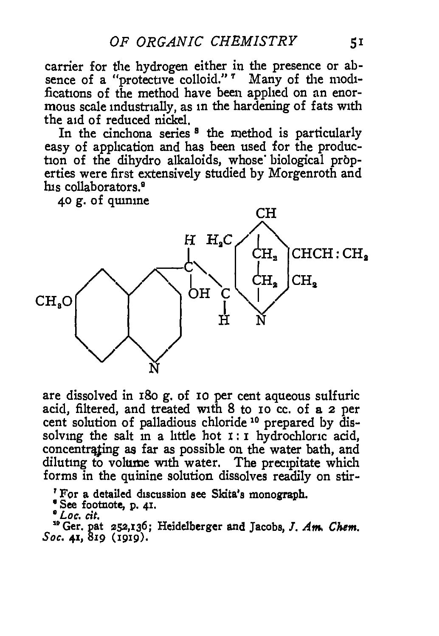carrier for the hydrogen either in the presence or absence of a "protective colloid."<sup>7</sup> Many of the modifications of the method have been applied on an enormous scale industrially, as in the hardening of fats with the aid of reduced nickel.

In the cinchona series<sup>8</sup> the method is particularly easy of application and has been used for the production of the dihydro alkaloids, whose biological properties were first extensively studied by Morgenroth and his collaborators.<sup>9</sup>

40 g. of quinine



are dissolved in 180 g. of 10 per cent aqueous sulfuric acid, filtered, and treated with 8 to 10 cc. of a 2 per cent solution of palladious chloride<sup>10</sup> prepared by dissolving the salt in a little hot  $i : I$  hydrochloric acid, concentrating as far as possible on the water bath, and diluting to volume with water. The precipitate which forms in the quinine solution dissolves readily on stir-

7 For a detailed discussion see Skita's monograph.

See footnote, p. 41.

<sup>o</sup> Loc. cit.

 *Loc. cit.* <sup>10</sup>Ger. pat 252,136; Heidelberger and Jacobs, 7. *Am. Chem. Soc.* 41, 819 (1919).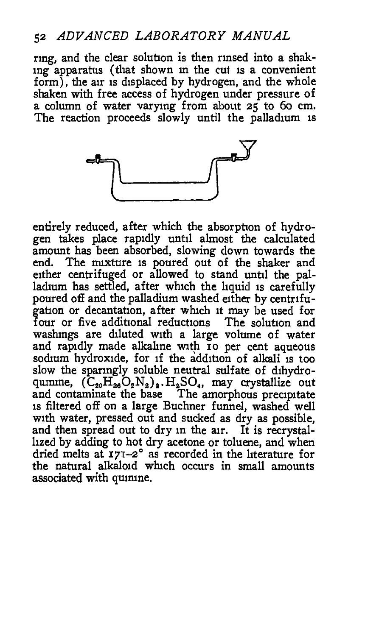ring, and the clear solution is then rinsed into a shaking apparatus (that shown in the cut is a convenient form), the air is displaced by hydrogen, and the whole shaken with free access of hydrogen under pressure of a column of water varying from about  $25$  to 60 cm. The reaction proceeds slowly until the palladium is



entirely reduced, after which the absorption of hydrogen takes place rapidly until almost the calculated amount has been absorbed, slowing down towards the end. The mixture is poured out of the shaker and either centrifuged or allowed to stand until the palladium has settled, after which the liquid is carefully poured off and the palladium washed either by centrifugation or decantation, after which it may be used for four or five additional reductions The solution and washings are diluted with a large volume of water and rapidly made alkaline with 10 per cent aqueous sodium hydroxide, for if the addition of alkali is too slow the sparingly soluble neutral sulfate of dihydroquinine,  $(\overline{C}_{20}H_{26}O_2N_2)_2$ .  $H_2SO_4$ , may crystallize out and contaminate the base The amorphous precipitate is filtered off on a large Buchner funnel, washed well with water, pressed out and sucked as dry as possible, and then spread out to dry in the air. It is recrystallized by adding to hot dry acetone or toluene, and when dried melts at 171-2° as recorded in the literature for the natural alkaloid which occurs in small amounts associated with quinine.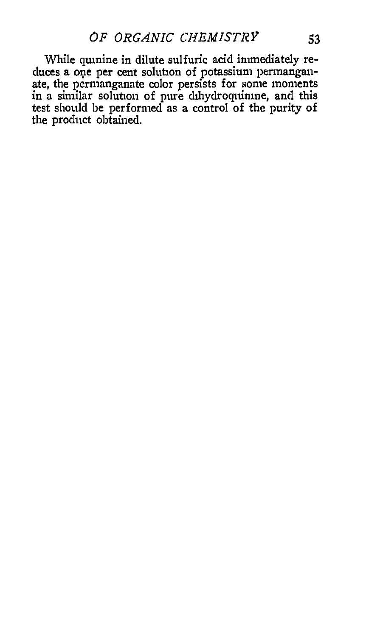While quinine in dilute sulfuric acid immediately reduces a one per cent solution of potassium permanganate, the permanganate color persists for some moments in a similar solution of pure dihydroquinine, and this test should be performed as a control of the purity of the product obtained.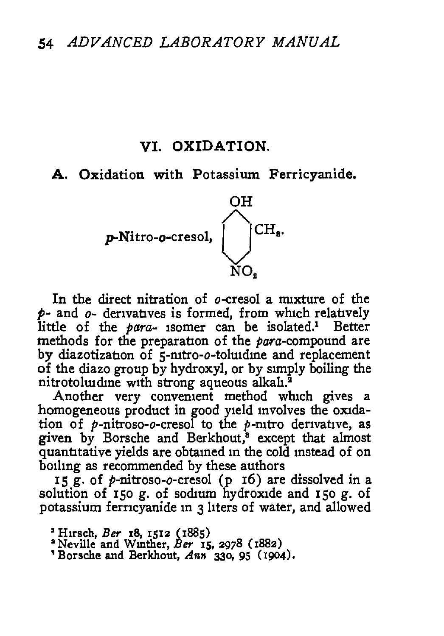# **VI. OXIDATION.**

**A. Oxidation with Potassium Ferricyanide.**



In the direct nitration of *o*-cresol a mixture of the *p-* and *o~* derivatives is formed, from which relatively little of the para- isomer can be isolated.<sup>1</sup> Better methods for the preparation of the *para*-compound are by diazotization of 5-nitro-o-toluidine and replacement of the diazo group by hydroxyl, or by simply boiling the nitrotoluidine with strong aqueous alkali.<sup>3</sup>

Another very convenient method which gives a homogeneous product in good yield involves the oxidation of  $p$ -nitroso-o-cresol to the  $p$ -nitro derivative, as given by Borsche and Berkhout,<sup>8</sup> except that almost quantitative yields are obtained in the cold instead of on boiling as recommended by these authors

15 g. of  $p$ -nitroso-o-cresol (p 16) are dissolved in a solution of 150 g. of sodium hydroxide and 150 g. of potassium ferricyanide in 3 liters of water, and allowed

<sup>1</sup> Hirsch, *Ber* 18, 1512 (1885)

a Neville and Winther, *Ber* 15, 2978 (1882) 'Borsche and Berkhout, *Ann* 330, 95 (1904).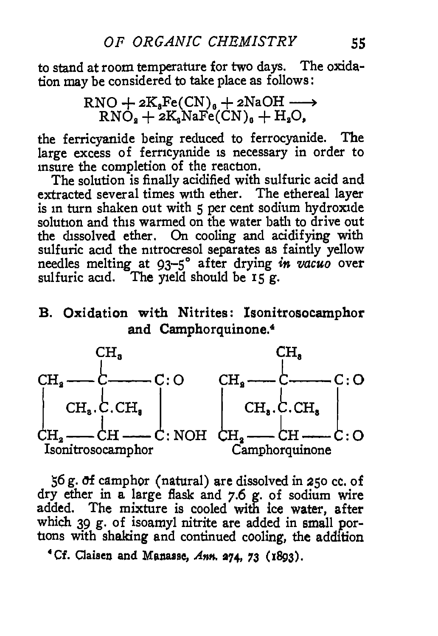to stand at room temperature for two days. The oxidation may be considered to take place as follows:

$$
RNO + 2K8Fe(CN)6 + 2NaOH \longrightarrow RNO2 + 2K3NaFe(CN)6 + H2O,
$$

the ferricyanide being reduced to ferrocyanide. The large excess of ferncyanide is necessary in order to insure the completion of the reaction.

The solution is finally acidified with sulfuric acid and extracted several times with ether. The ethereal layer is in turn shaken out with 5 per cent sodium hydroxide solution and this warmed on the water bath to drive out the dissolved ether. On cooling and acidifying with sulfuric acid the nitrocresol separates as faintly yellow needles melting at 93-5 ° after drying *in vacuo* over sulfuric acid. The yield should be 15 g.

# **B. Oxidation with Nitrites: Isonitrosocamphor and Camphorquinone.<sup>4</sup>**



56 g. *Of* camphor (natural) are dissolved in 250 cc. of dry ether in a large flask and *7.6* g. of sodium wire added. The mixture is cooled with ice water, after which 39 g. of isoamyl nitrite are added in small portions with shaking and continued cooling, the addition

\*Cf. Gaisen and M&nasse, *Ann.* 974, 73 (1893),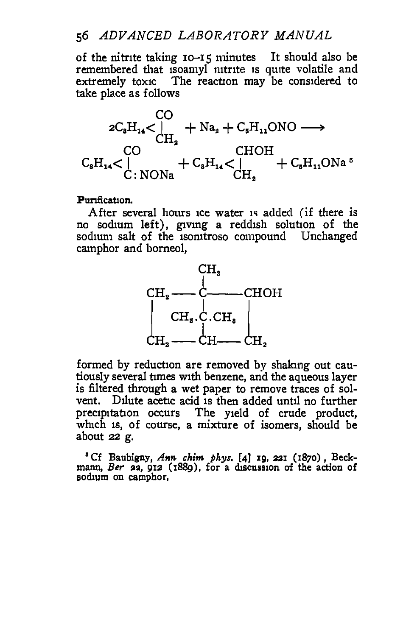# 56 *ADVANCED LABORATORY MANUAL*

of the nitrite taking 10-15 minutes It should also be remembered that isoamyl nitrite is quite volatile and extremely toxic The reaction may be considered to take place as follows

$$
\begin{matrix} & CO \\ 2C_8H_{14} < \vert & + Na_2 + C_6H_{11}ONO \longrightarrow \\ & CH_2 & \text{CHOH} \\ & C_8H_{14} < \vert & + C_8H_{14} < \vert & + C_8H_{11}ONA \vert \\ & C: NONA & CH_8 & \text{CH}_9 \end{matrix}
$$

Punfication.

After several hours ice water is added (if there is no sodium left), giving a reddish solution of the sodium salt of the isonitroso compound Unchanged camphor and borneol,



formed by reduction are removed by shaking out cautiously several times with benzene, and the aqueous layer is filtered through a wet paper to remove traces of solvent. Dilute acetic acid is then added until no further precipitation occurs The yield of crude product, which is, of course, a mixture of isomers, should be about 22 g.

<sup>5</sup> Cf Baubigny, Ann chim phys. [4] 19, 221 (1870), Beckmann, *Ber* aa, 912 (1889), for a discussion of the action of sodium on camphor,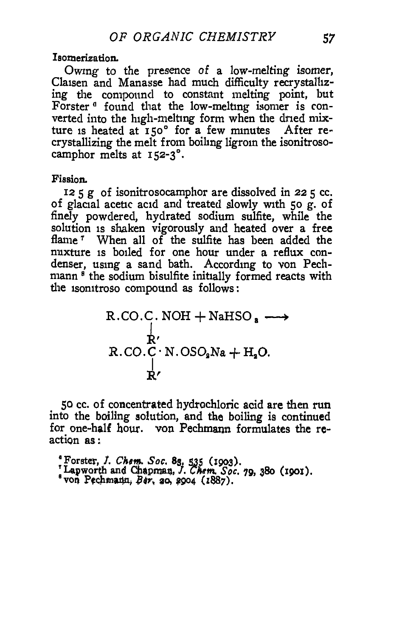Isomerization.

Owing to the presence of a low-melting isomer, Claisen and Manasse had much difficulty recrystalhzing the compound to constant melting point, but Forster<sup>a</sup> found that the low-melting isomer is converted into the high-melting form when the dried mixture is heated at 150° for a few minutes After recrystallizing the melt from boibng ligrom the isonitroso $camphor$  melts at  $152-3^\circ$ .

#### Fission.

12  $\leq$  g of isonitrosocamphor are dissolved in 22  $\leq$  cc. of glacial acetic acid and treated slowly with 50 g. of finely powdered, hydrated sodium sulfite, while the solution is shaken vigorously and heated over a free flame<sup> $\tau$ </sup> When all of the sulfite has been added the mixture is boiled for one hour under a reflux condenser, using a sand bath. According to von Pechmann<sup>8</sup> the sodium bisulfite initially formed reacts with the isonitroso compound as follows:

R.CO.C. NOH + NaHSO<sub>a</sub> 
$$
\longrightarrow
$$
  
\nR  
\nR.CO.C·N.OSO<sub>a</sub>Na + H<sub>a</sub>O.  
\nR  
\nR

50 cc. of concentrated hydrochloric acid are then run into the boiling solution, and the boiling is continued for one-half hour, von Pechmann formulates the reaction as:

<sup>a</sup> Forster, *J. Chem. Soc.* 83, 535 (1903).<br>' Lapworth and Chapman, *J. Chem. Soc. 7*9, 380 (1901).<br>' von Pechmann, *Ber*, 20, 2904 (1887).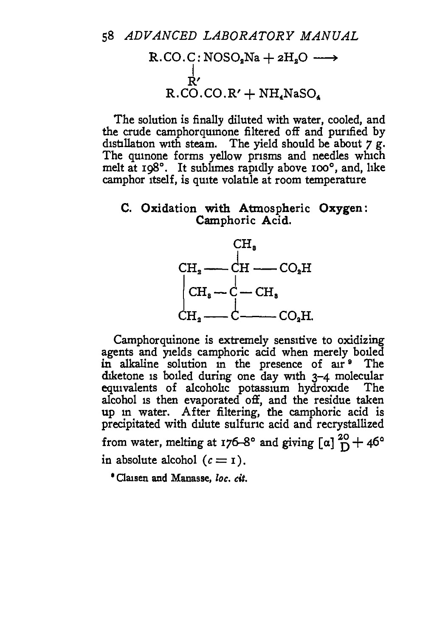# 58 *ADVANCED LABORATORY MANUAL*  $R.CO.C: NOSO<sub>2</sub>Na + 2H<sub>2</sub>O \longrightarrow$ R'  $R. CO. CO. R' + NH<sub>4</sub>NaSO<sub>4</sub>$

The solution is finally diluted with water, cooled, and the crude camphorquinone filtered off and purified by distillation with steam. The yield should be about 7 g. The qumone forms yellow prisms and needles which melt at 198°. It sublimes rapidly above 100°, and, like camphor itself, is quite volatile at room temperature

#### **C. Oxidation with Atmospheric Oxygen: Camphoric Acid.**



Camphorquinone is extremely sensitive to oxidizing agents and yields camphoric acid when merely boiled in alkaline solution in the presence of air<sup>9</sup> The diketone is boiled during one day with 3-4 molecular equivalents of alcoholic potassium hydroxide The alcohol is then evaporated off, and the residue taken up m water. After filtering, the camphoric acid is precipitated with dilute sulfuric acid and recrystallized from water, melting at 176–8° and giving  $\left[\alpha\right]_D^{20} + 46^\circ$ in absolute alcohol  $(c = 1)$ .

<sup>o</sup> Claisen and Manasse, loc. cit.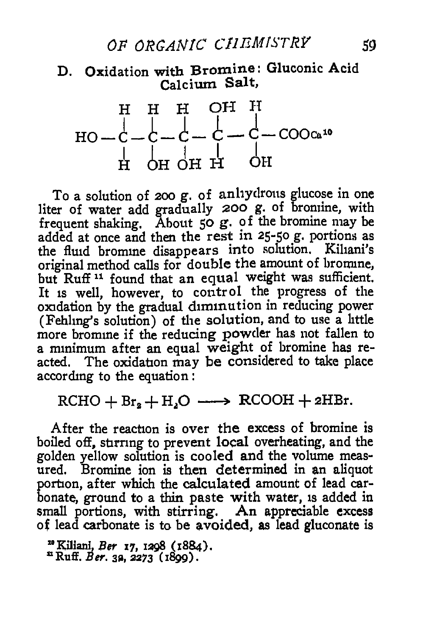



To a solution of 200 g. of anhydrous glucose in one liter of water add gradually 200 g. of bromine, with frequent shaking. About 50 *g.* of the bromine may be added at once and then the rest in 25-50 g. portions as the fluid bromine disappears into solution. Kiliani's original method calls for double the amount of bromine, but Ruff<sup>11</sup> found that an equal weight was sufficient. It is well, however, to control the progress of the oxidation by the gradual diminution in reducing power (Fehhng's solution) of the solution, and to use a little more bromine if the reducing powder has not fallen to a minimum after an equal weight of bromine has reacted. The oxidation may be considered to take place according to the equation:

 $RCHO + Br<sub>2</sub> + H<sub>2</sub>O \longrightarrow RCOOH + 2HBr.$ 

After the reaction is over the excess of bromine is boiled off, stirring to prevent local overheating, and the golden yellow solution is cooled and the volume measured. Bromine ion is then determined in an aliquot portion, after which the calculated amount of lead carbonate, ground to a thin paste with water, is added in small portions, with stirring. An appreciable excess *of* lead carbonate is to be avoided, as lead gluconate is

"Kiliatii, *Ber* 17, 1298 (1884). <sup>u</sup>Ruff, *Ber.* 39, 2273 (1899).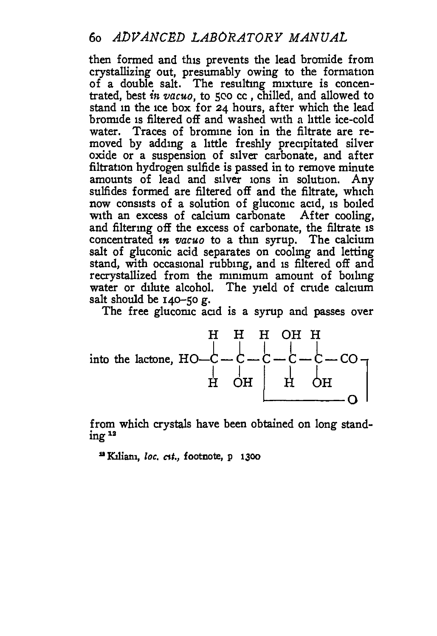then formed and this prevents the lead bromide from crystallizing out, presumably owing to the formation of a double salt. The resulting mixture is concentrated, best *in vacuo,* to SCO cc , chilled, and allowed to stand in the ice box for 24 hours, after which the lead bromide is filtered off and washed with a little ice-cold water. Traces of bromine ion in the filtrate are removed by adding a little freshly precipitated silver oxide or a suspension of silver carbonate, and after filtration hydrogen sulfide is passed in to remove minute amounts of lead and silver ions in solution. Any sulfides formed are filtered off and the filtrate, which now consists of a solution of glucomc acid, is boiled with an excess of calcium carbonate After cooling, and filtering off the excess of carbonate, the filtrate is concentrated *in vacuo* to a thin syrup. The calcium salt of gluconic acid separates on cooling and letting stand, with occasional rubbing, and is filtered off and recrystallized from the minimum amount of boiling water or dilute alcohol. The yield of crude calcium salt should be 140-50 g.

The free gluconic acid is a syrup and passes over



from which crystals have been obtained on long stand  $ine<sup>12</sup>$ 

"Kiliani, *loc. at.,* footnote, p 1300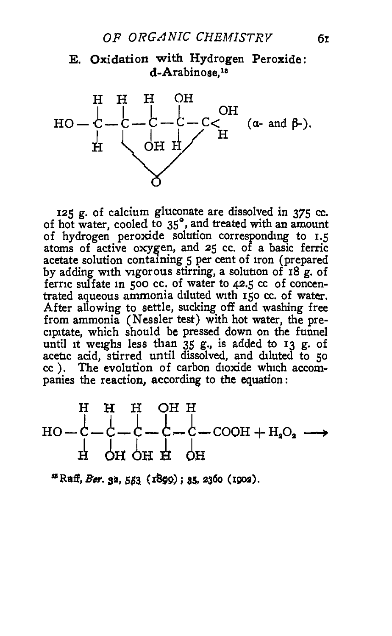**E. Oxidation with Hydrogen Peroxide: d-Arabinose,<sup>18</sup>**



125 g. of calcium gluconate are dissolved in 375 cc. of hot water, cooled to 35 °, and treated with an amount of hydrogen peroxide solution corresponding to 1.5 atoms of active oxygen, and 25 cc. of a basic ferric acetate solution containing 5 per cent of iron (prepared by adding with vigorous stirring, a solution of 18 g. of ferric sulfate in 500 cc. of water to 42.5 cc of concentrated aqueous ammonia diluted with 150 cc. of water. After allowing to settle, sucking off and washing free from ammonia (Nessler test) with hot water, the precipitate, which should be pressed down on the funnel until it weighs less than 35 g., is added to 13 g. of acetic acid, stirred until dissolved, and diluted to 50 cc ). The evolution of carbon dioxide which accompanies the reaction, according to the equation:



<sup>35</sup> Ruff, *Ber.* 32, 553 (1899); 35, 2360 (1902).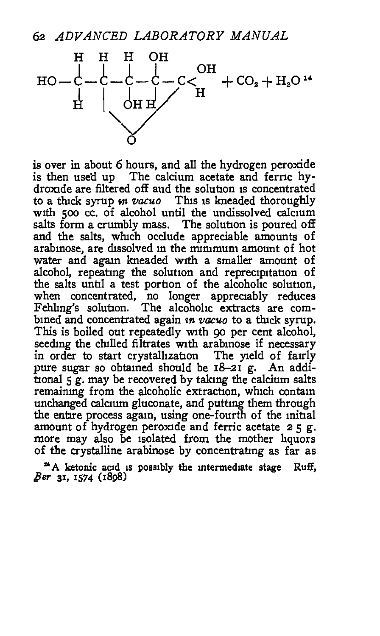

is over in about 6 hours, and all the hydrogen peroxide is then used up The calcium acetate and ferric hydroxide are filtered off and the solution is concentrated to a thick syrup *w vacuo* This is kneaded thoroughly with 500 cc. of alcohol until the undissolved calcium salts form a crumbly mass. The solution is poured off and the salts, which occlude appreciable amounts of arabinose, are dissolved in the minimum amount of hot water and again kneaded with a smaller amount of alcohol, repeating the solution and reprecipitation of the salts until a test portion of the alcoholic solution, when concentrated, no longer appreciably reduces Fehlmg's solution. The alcoholic extracts are combined and concentrated again *in vacuo* to a thick syrup. This is boiled out repeatedly with 90 per cent alcohol, seeding the chilled filtrates with arabinose if necessary in order to start crystallization The yield of fairly pure sugar so obtained should be  $18-21$  g. An additional 5 g. may be recovered by taking the calcium salts remaimng from the alcoholic extraction, which contain unchanged calcium gluconate, and putting them through the entire process again, using one-fourth of the initial amount of hydrogen peroxide and ferric acetate  $2 \leq g$ . more may also be isolated from the mother liquors of the crystalline arabinose by concentrating as far as

"A ketonic acid is possibly the intermediate stage Ruff, *£er* 31, 1574 (1898)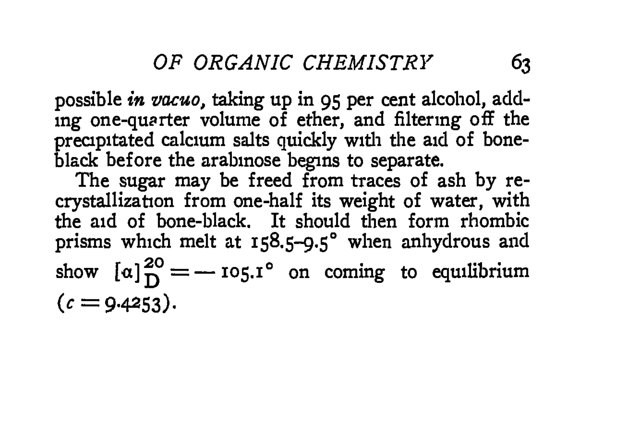possible *in vacuo,* taking up in 95 per cent alcohol, adding one-quarter volume of ether, and filtering off the precipitated calcium salts quickly with the aid of boneblack before the arabinose begins to separate.

The sugar may be freed from traces of ash by recrystallization from one-half its weight of water, with the aid of bone-black. It should then form rhombic prisms which melt at 158.5-9.5° when anhydrous and show  $[\alpha]_D^{20} = -105.1^\circ$  on coming to equilibrium  $(c = 9.4253)$ .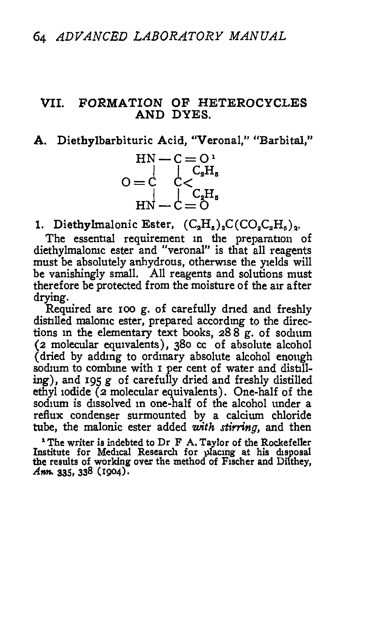# VII. FORMATION OF HETEROCYCLES AND DYES.

A. Diethylbarbituric Acid, "Veronal," "Barbital,"

$$
\begin{array}{c}\n\text{HN} - \text{C} = \text{O}^1 \\
\text{I} & \text{C}_s\text{H}_s \\
\text{O} = \text{C} & \text{C}_c \\
\text{IN} - \text{C} = \text{O}\n\end{array}
$$

1. Diethylmalonic Ester,  $(C_2H_5)_2C(CO_2C_2H_5)_2$ .

The essential requirement in the preparation of diethylmalonic ester and "veronal" is that all reagents must be absolutely anhydrous, otherwise the yields will be vanishingly small. All reagents and solutions must therefore be protected from the moisture of the air after drying.

Required are ioo g. of carefully dried and freshly distilled malomc ester, prepared according to the directions in the elementary text books, 288 g. of sodium (2 molecular equivalents), 380 cc of absolute alcohol (dried by adding to ordinary absolute alcohol enough sodium to combine with I per cent of water and distilling), and 195 g of carefully dried and freshly distilled ethyl iodide (2 molecular equivalents). One-half of the sodium is dissolved m one-half of the alcohol under a reflux condenser surmounted by a calcium chloride tube, the malonic ester added *with stirring,* and then

<sup>1</sup> The writer is indebted to Dr F A. Taylor of the Rockefeller Institute for Medical Research for placing at his disposal the results of working over the method of Fischer and Dilthey, *Ann.* 335, 338 (1904)-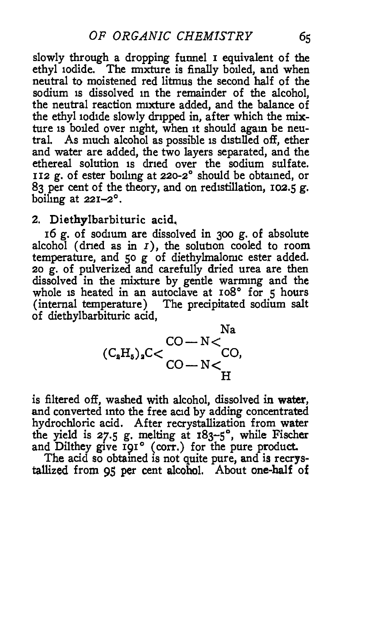slowly through a dropping funnel 1 equivalent of the ethyl iodide. The mixture is finally boiled, and when neutral to moistened red litmus the second half of the sodium is dissolved in the remainder of the alcohol, the neutral reaction mixture added, and the balance of the ethyl iodide slowly dripped in, after which the mixture is boiled over night, when it should again be neutral. As much alcohol as possible is distilled off, ether and water are added, the two layers separated, and the ethereal solution is dried over the sodium sulfate. 112 g. of ester boiling at 220-2° should be obtained, or 83 per cent of the theory, and on redistillation, 102.5 g. boiling at  $221 - 2$ °.

**2. Diethylbarbituric acid,**

16 g. of sodium are dissolved in 300 g. of absolute alcohol (dried as in  $I$ ), the solution cooled to room temperature, and 50 g of diethylmalonic ester added. 20 g. of pulverized and carefully dried urea are then dissolved in the mixture by gentle warming and the whole is heated in an autoclave at 108° for 5 hours (internal temperature) The precipitated sodium salt of diethylbarbituric acid,

Na CO —N < (CaH<sup>6</sup> ) <sup>9</sup>C< CO, CO —N < H

is filtered off, washed with alcohol, dissolved in **water,** and converted into the free aad by adding concentrated hydrochloric acid. After recrystallization from water the yield is  $27.5$  g. melting at  $183-5^\circ$ , while Fischer and Dilthey give 191° (corr.) for the pure product.

The acid so obtained is not quite pure, and is recrystallized from 95 per cent alcohol. About one-half of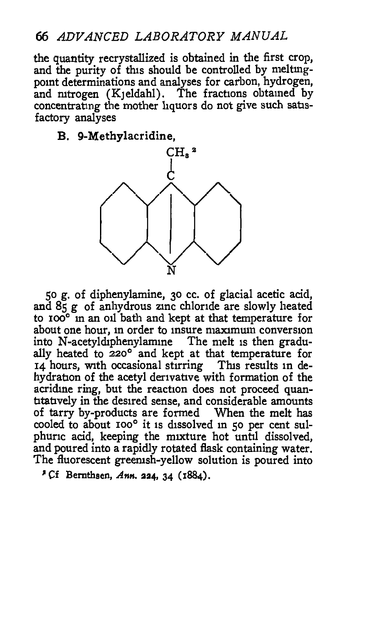the quantity recrystallized is obtained in the first crop, and the purity of this should be controlled by meltingpoint determinations and analyses for carbon, hydrogen, and nitrogen (Kjeldahl). The fractions obtained by concentrating the mother liquors do not give such satisfactory analyses

B. 9-Methylacridine,



50 g. of diphenylamine, 30 cc. of glacial acetic acid, and 85 g of anhydrous zinc chloride are slowly heated to 100° in an oil bath and kept at that temperature for about one hour, in order to insure maximum conversion into N-acetyldiphenylamme The melt is then gradually heated to 220° and kept at that temperature for 14 hours, with occasional stirring This results in dehydration of the acetyl derivative with formation of the acridine ring, but the reaction does not proceed quantitatively in the desired sense, and considerable amounts of tarry by-products are formed When the melt has cooled to about ioo° it is dissolved in 50 per cent sulphuric acid, keeping the mixture hot until dissolved, and poured into a rapidly rotated flask containing water. The fluorescent greenish-yellow solution is poured into

'Cf Bernthsen, *Ann.* 224, 34 (1884).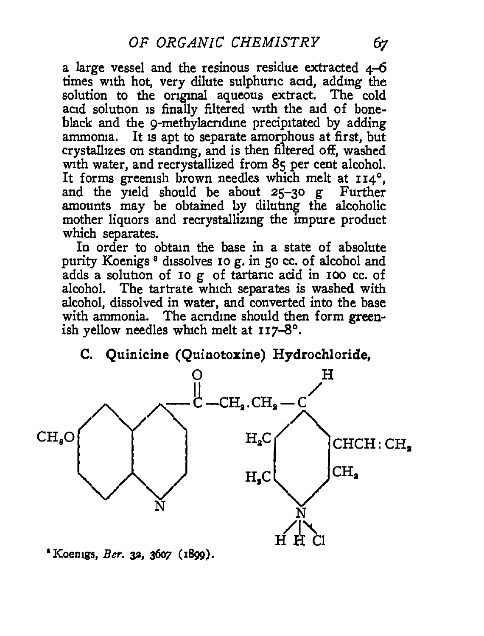a large vessel and the resinous residue extracted 4-6 times with hot, very dilute sulphuric acid, adding the solution to the original aqueous extract. The cold acid solution is finally filtered with the aid of boneblack and the 9-methylacndine precipitated by adding ammonia. It is apt to separate amorphous at first, but crystallizes on standing, and is then filtered off, washed with water, and recrystallized from 85 per cent alcohol. It forms greenish brown needles which melt at 114°, and the yield should be about 25-30 g Further amounts may be obtained by diluting the alcoholic mother liquors and recrystallizing the impure product which separates.

In order to obtain the base in a state of absolute purity Koenigs <sup>8</sup> dissolves 10 g. in 50 cc. of alcohol and adds a solution of 10 g of tartaric acid in 100 cc. of alcohol. The tartrate which separates is washed with alcohol, dissolved in water, and converted into the base with ammonia. The acridine should then form greenish yellow needles which melt at 117-8°.

**C. Quinicine (Quinotoxine) Hydrochloride,**

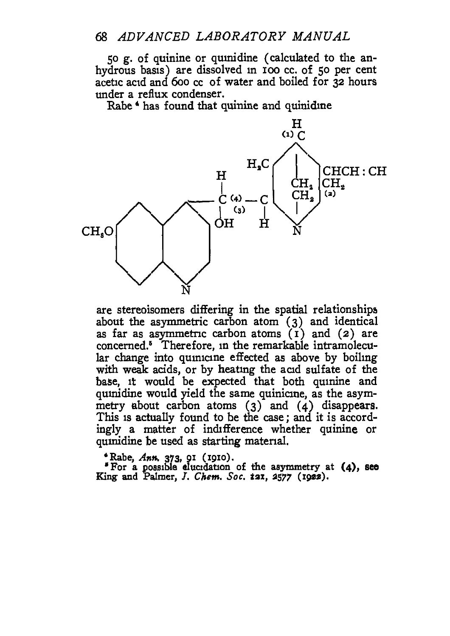50 g. of quinine or quinidine (calculated to the anhydrous basis) are dissolved in ioo cc. of 50 per cent acetic acid and 600 cc of water and boiled for 32 hours under a reflux condenser.

Rabe \* has found that quinine and quinidine



are stereoisomers differing in the spatial relationships about the asymmetric carbon atom (3) and identical as far as asymmetric carbon atoms  $(1)$  and  $(2)$  are concerned.<sup>6</sup> Therefore, in the remarkable intramolecular change into quinicine effected as above by boiling with weak acids, or by heating the acid sulfate of the base, it would be expected that both quinine and quinidine would yield the same quinicine, as the asymmetry about carbon atoms  $(3)$  and  $(4)$  disappears. This is actually found to be the case; and it is accordingly a matter of indifference whether quinine or quinidine be used as starting material.

\*Rabe, Ann. 373, 91 (1910).

"For a possible elucidation of the asymmetry at (4), see King and Palmer, /. *Chem. Soc. tax,* 4577 (ipes).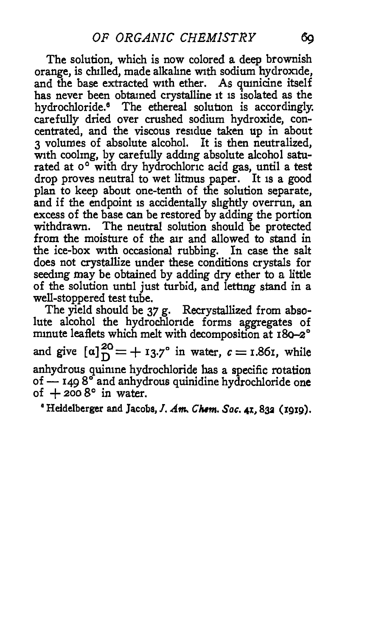The solution, which is now colored a deep brownish orange, is chilled, made alkaline with sodium hydroxide, and the base extracted with ether. As quinicine itself has never been obtained crystalline it is isolated as the hydrochloride.<sup>6</sup> The ethereal solution is accordingly. carefully dried over crushed sodium hydroxide, concentrated, and the viscous residue taken up in about 3 volumes of absolute alcohol. It is then neutralized, with cooling, by carefully adding absolute alcohol saturated at o° with dry hydrochloric acid gas, until a test drop proves neutral to wet litmus paper. It is a good plan to keep about one-tenth of the solution separate, and if the endpoint is accidentally slightly overrun, an excess of the base can be restored by adding the portion withdrawn. The neutral solution should be protected from the moisture of the air and allowed to stand in the ice-box with occasional rubbing. In case the salt does not crystallize under these conditions crystals for seeding may be obtained by adding dry ether to a little of the solution until just turbid, and letting stand in a well-stoppered test tube.

The yield should be 37 g. Recrystallized from absolute alcohol the hydrochloride forms aggregates of minute leaflets which melt with decomposition at 180-2° and give  $\left[\alpha\right]_D^{20} = + 13.7^\circ$  in water,  $c = 1.86$ 1, while anhydrous quinine hydrochloride has a specific rotation of — 149 8° and anhydrous quinidine hydrochloride one of  $+2008$ ° in water.

<sup>a</sup> Heidelberger and Jacobs, *J. Am. Chem. Soc.* 41, 832 (1919).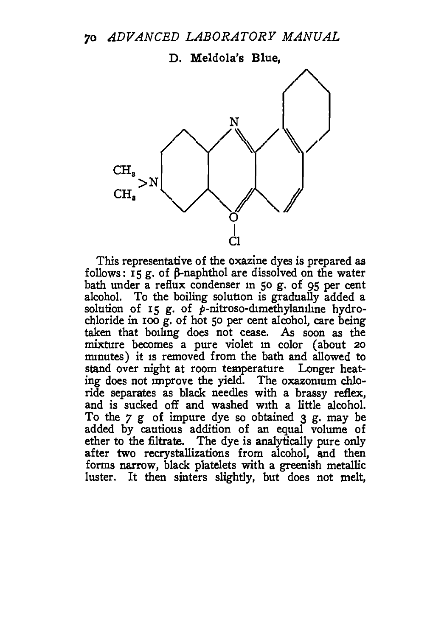**D. Meldola's Blue,**



This representative of the oxazine dyes is prepared as follows:  $\overline{15}$  g. of  $\beta$ -naphthol are dissolved on the water bath under a reflux condenser in 50 *g.* of 95 per cent alcohol. To the boiling solution is gradually added a solution of  $15$  g. of  $\overline{p}$ -nitroso-dimethylaniline hydrochloride in 100 g. of hot 50 per cent alcohol, care being taken that boiling does not cease. As soon as the mixture becomes a pure violet in color (about 20 minutes) it is removed from the bath and allowed to stand over night at room temperature Longer heating does not improve the yield. The oxazonium chloride separates as black needles with a brassy reflex, and is sucked off and washed with a little alcohol. To the  $7 g$  of impure dye so obtained  $3 g$ . may be added by cautious addition of an equal volume of ether to the filtrate. The dye is analytically pure only after two recrystallizations from alcohol, and then forms narrow, black platelets with a greenish metallic luster. It then sinters slightly, but does not melt,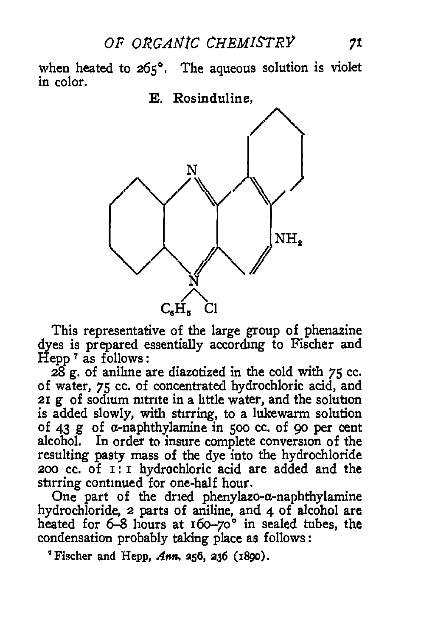*OF ORGANIC CHEMISTRY* 71<br>
when heated to 265°. The aqueous solution is violet<br>
in color. **E.** Rosinduline,

*/* **/\ N NH<sup>a</sup> X**<br>+<br>+

**This representative of the large group of phenazine**<br>dyes is prepared essentially according to Fischer and<br>Hepp<sup>7</sup> as follows:<br>28 g, of aniline are diazotized in the cold with 75 cc. Li<br>he large group of phenazine<br>y according to Fischer and dyes is prepared essentially according to Fischer and **Hepp**<sup>7</sup> as follows:

28<br>10 of w<br>21 g<br>15 ad **f**<br>28<br>of w<br>21 g of v<br>21 g<br>is a<br>of 4 28<br>f wa<br>**1** g (<br>add **p** <sup>*r*</sup> as follows<br> **B** g. of anilme<br>
vater, 75 cc. c<br>
c of sodium n<br>
dded slowly,<br> **B** g of a-nap line<br>c.c<br>n n<br>.v. **slowledge 35 source 35 solution**<br> **c** concentrated hydrochloric acid, a<br> **p** nitrite in a little water, and the solution, with stirring, to a lukewarm solution<br>
aphthylamine in 500 cc, of 90 per co 28 g. of anilune are diazotized in the cold with 75 cc.<br>of water, 75 cc. of concentrated hydrochloric acid, and<br>21 g of sodium nitrite in a little water, and the solution 75 cc.<br>l, and<br>lution<br>lution **cc.**<br>nd<br>on<br>on<br>ent 21 g of sodium nitrite in a little water, and the solution<br>is added slowly, with stirring, to a lukewarm solution<br>of 43 g of  $\alpha$ -naphthylamine in 500 cc. of 90 per cent<br>alcohol. In order to insure complete conversion of

200 cc. of **i**: **i** hydrochloric acid are added and the stirring continued for one-half hour.<br>One part of the dried phenylazo- $\alpha$ -naphthylamine<br>hydrochloride, 2 parts of aniline, and 4 of alcohol are<br>heated for 6–8 hours **stirring continued** for one-half hour.<br>
One part of the dried phenylazo-α-naphthylamine<br>
hydrochloride, 2 parts of aniline, and 4 of alcohol are<br>
heated for 6-8 hours at 160-70° in sealed tubes, the<br>
condensation probabl  **Hence 1 Figure 2018** in sealed tubes, the ensation probably taking place as follows:<br>scher and Hepp, *Ann.* **256**, 236 (1890).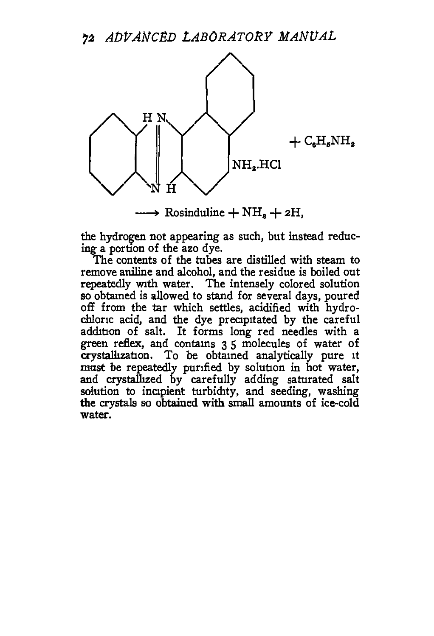*ADVANCED LABORATORY MANUAL*



the hydrogen not appearing as such, but instead reducing a portion of the azo dye.

The contents of the tubes are distilled with steam to remove aniline and alcohol, and the residue is boiled out repeatedly with water. The intensely colored solution so obtained is allowed to stand for several days, poured off from the tar which settles, acidified with hydrochloric acid, and the dye precipitated by the careful addition of salt. It forms long red needles with a green reflex, and contains 3 5 molecules of water of crystallization. To be obtained analytically pure it must be repeatedly purified by solution in hot water, and crystallized by carefully adding saturated salt solution to incipient turbidity, and seeding, washing the crystals so obtained with small amounts of ice-cold water.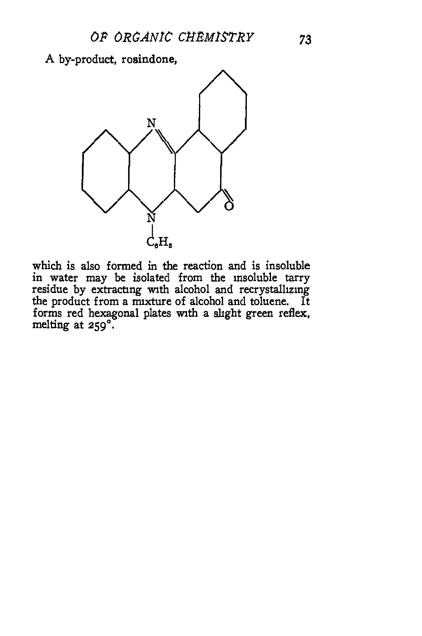A by-product, **rosindone,**



which is also formed in the reaction and is insoluble in water may be isolated from the insoluble tarry residue by extracting with alcohol and recrystallizmg the product from a mixture of alcohol and toluene. It forms red hexagonal plates with a slight green reflex, melting at 259 °.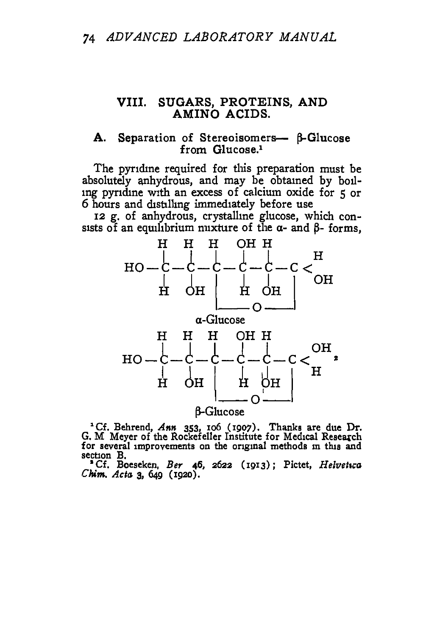### **VIII. SUGARS, PROTEINS, AND AMINO ACIDS.**

#### A. Separation of Stereoisomers- **6-Glucose from Glucose.<sup>1</sup>**

The pyridine required for this preparation must be absolutely anhydrous, and may be obtained by boiling pyridine with an excess of calcium oxide for 5 or 6 hours and distilling immediately before use

12 g. of anhydrous, crystalline glucose, which consists of an equilibrium mixture of the  $\alpha$ - and  $\beta$ - forms,



<sup>1</sup> Cf. Behrend, *Ann* 353, 106 (1907). Thanks are due Dr.<br>G. M Meyer of the Rockefeller Institute for Medical Research for several improvements on the original methods in this and section B.

'Cf. Boeseken, *Ber* 46, 2622 (1913); Pictet, *Helvetica Chim. Ada* 3, 649 (1920).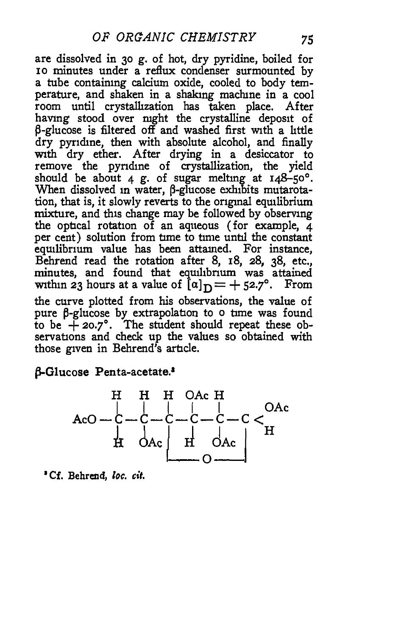are dissolved in 30 g. of hot, dry pyridine, boiled for 10 minutes under a reflux condenser surmounted by a tube containing calcium oxide, cooled to body temperature, and shaken in a shaking machine in a cool room until crystallization has taken place. After having stood over night the crystalline deposit of  $\beta$ -glucose is filtered off and washed first with a little dry pyridme, then with absolute alcohol, and finally with dry ether. After drying in a desiccator to remove the pyridine of crystallization, the yield should be about 4 g. of sugar melting at  $148-50^\circ$ . When dissolved in water,  $\beta$ -glucose exhibits mutarotation, that is, it slowly reverts to the original equilibrium mixture, and this change may be followed by observing the optical rotation of an aqueous (for example, 4 per cent) solution from time to time until the constant equilibrium value has been attained. For instance, Behrend read the rotation after 8, 18, 28, 38, etc., minutes, and found that equilibrium was attained within 23 hours at a value of  $[a]_D = +52.7^\circ$ . From the curve plotted from his observations, the value of pure  $\beta$ -glucose by extrapolation to o time was found to be  $+$  20.7°. The student should repeat these observations and check up the values so obtained with those given in Behrend's article.

**^-Glucose Penta-acetate.<sup>8</sup>**



•Cf. Behrend, *he. cit.*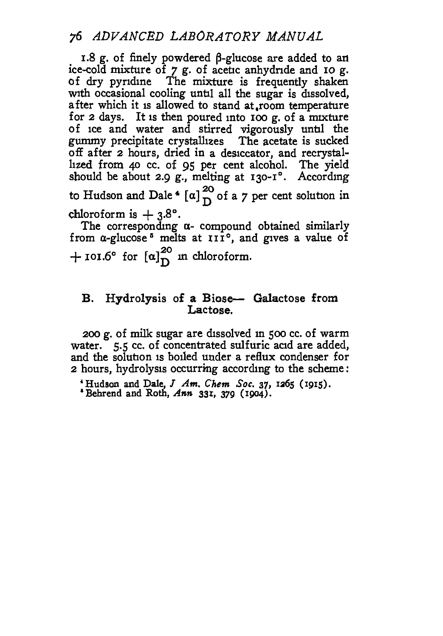$1.8$  g. of finely powdered  $\beta$ -glucose are added to an ice-cold mixture of *7* g. of acetic anhydride and io g. of dry pyndine The mixture is frequently shaken with occasional cooling until all the sugar is dissolved, after which it is allowed to stand at .room temperature for 2 days. It is then poured into ioo g. of a mixture of ice and water and stirred vigorously until the gummy precipitate crystallizes The acetate is sucked off after 2 hours, dried in a desiccator, and recrystallized from 40 cc. of 95 per cent alcohol. The yield should be about 2.9  $g$ , melting at 130-1°. According 20 to Hudson and Date  $\lceil \alpha \rceil D$  or a  $\gamma$  per cent solution in chloroform is  $+3.8^{\circ}$ .

The corresponding  $\alpha$ - compound obtained similarly from  $\alpha$ -glucose<sup>5</sup> melts at  $111^{\circ}$ , and gives a value of  $+$  101.6° for  $\left[\alpha\right]_D^{20}$  in chloroform.

### **B. Hydrolysis of a Biose— Galactose from Lactose.**

200 g. of milk sugar are dissolved in 500 cc. of warm water. 5.5 cc. of concentrated sulfuric acid are added, and the solution is boiled under a reflux condenser for 2 hours, hydrolysis occurring according to the scheme:

•Behrend and Roth, *Ann* 331, 379 (1904).

<sup>4</sup> Hudson and Dale, / *Am. Chem Soc.* 37, 1265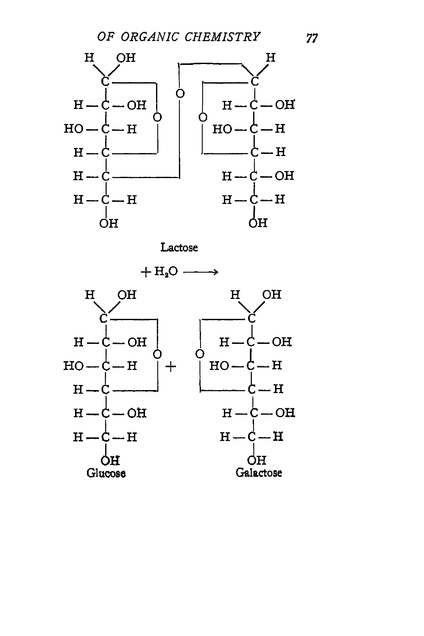

Lactose

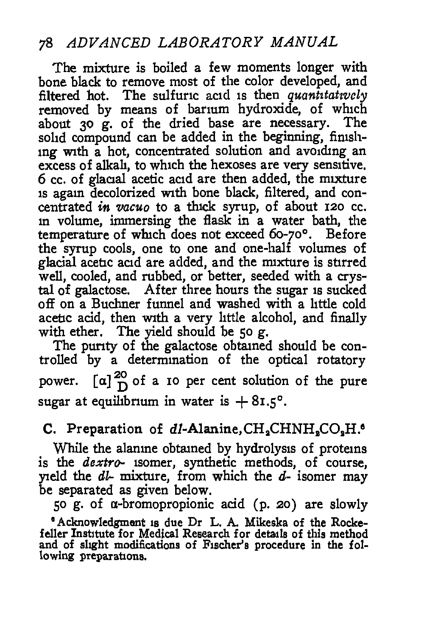# 78 *ADVANCED LABORATORY MANUAL*

The mixture is boiled a few moments longer with bone black to remove most of the color developed, and filtered hot. The sulfunc acid is then *quantitatively* removed by means of barium hydroxide, of which about 30 g. of the dried base are necessary. The solid compound can be added in the beginning, finishing with a hot, concentrated solution and avoiding an excess of alkali, to which the hexoses are very sensitive. 6 cc. of glacial acetic acid are then added, the mixture is again decolorized with bone black, filtered, and concentrated *in vacua* to a thick syrup, of about 120 cc. in volume, immersing the flask in a water bath, the temperature of which does not exceed 60-70°. Before the syrup cools, one to one and one-half volumes of glacial acetic aad are added, and the mixture is stirred well, cooled, and rubbed, or better, seeded with a crystal of galactose. After three hours the sugar is sucked off on a Buchner funnel and washed with a little cold acetic acid, then with a very little alcohol, and finally with ether. The yield should be 50 g.

The purity of the galactose obtained should be controlled by a determination of the optical rotatory power.  $\left[\alpha\right]^{20}_{\Omega}$  of a 10 per cent solution of the pure sugar at equilibrium in water is  $+8$ 1.5°.

## C. Preparation of dl-Alanine, CH<sub>2</sub>CHNH<sub>2</sub>CO<sub>a</sub>H<sub>2</sub><sup>e</sup>

While the alanine obtained by hydrolysis of proteins is the *dextro-* isomer, synthetic methods, of course, yield the *dl-* mixture, from which the *d-* isomer may be separated as given below.

50 g. of  $\alpha$ -bromopropionic acid (p. 20) are slowly •Acknowledgment is due Dr L. A. Mikeska of the Rockefeller Institute for Medical Research for details of this method and of slight modifications of Fischer's procedure in the following preparations.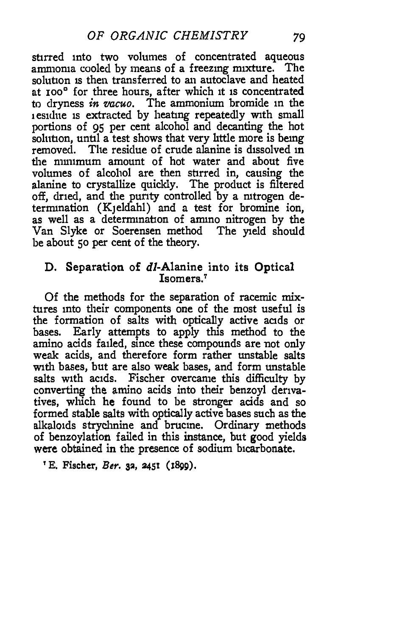stirred into two volumes of concentrated aqueous ammonia cooled by means of a freezing mixture. The solution is then transferred to an autoclave and heated at ioo° for three hours, after which it is concentrated to dryness *in vacua.* The ammonium bromide m the iesidue is extracted by heating repeatedly with small portions of 95 per cent alcohol and decanting the hot solution, until a test shows that very little more is being removed. The residue of crude alanine is dissolved m the minimum amount of hot water and about five volumes of alcohol are then stirred in, causing the alanine to crystallize quickly. The product is filtered off, dried, and the purity controlled by a nitrogen determination (Kjeldahl) and a test for bromine ion, as well as a determination of amino nitrogen by the Van Slyke or Soerensen method The yield should Van Slyke or Soerensen method be about 50 per cent of the theory.

#### D. Separation of *d1*-Alanine into its Optical Isomers.<sup>7</sup>

Of the methods for the separation of racemic mixtures into their components one of the most useful is the formation of salts with optically active acids or bases. Early attempts to apply this method to the amino acids failed, since these compounds are not only weak acids, and therefore form rather unstable salts with bases, but are also weak bases, and form unstable salts with acids. Fischer overcame this difficulty by converting the amino acids into their benzoyl derivatives, which he found to be stronger acids and so formed stable salts with optically active bases such as the alkaloids strychnine and brucme. Ordinary methods of benzoylation failed in this instance, but good yields were obtained in the presence of sodium bicarbonate.

<sup>T</sup>E, Fischer, *Ber.* 3a, 2451 (1899).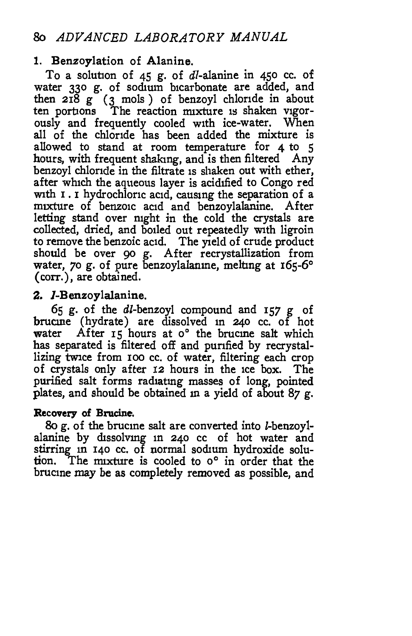## 1. Benzoylation of Alanine.

To a solution of  $45$  g. of dl-alanine in  $450$  cc. of water 330 g. of sodium bicarbonate are added, and then  $2\tilde{18}$   $g''(3)$  mols ) of benzoyl chloride in about ten portions The reaction mixture is shaken vigorously and frequently cooled with ice-water. When all of the chloride has been added the mixture is allowed to stand at room temperature for 4 to 5 hours, with frequent shaking, and is then filtered Any benzoyl chloride in the nitrate is shaken out with ether, after which the aqueous layer is acidified to Congo red with 1.1 hydrochloric acid, causing the separation of a mixture of benzoic acid and benzovlalanine. After letting stand over night in the cold the crystals are collected, dried, and boiled out repeatedly with ligroin to remove the benzoic acid. The yield of crude product should be over 90 g. After recrystallization from water, 70 g. of pure benzoylalanine, melting at 165-6° (corr.), are obtained.

## 2. /-Benzoylalanine.

65 g. of the d/-benzoyl compound and 157 g of brucine (hydrate) are dissolved in 240 cc. of hot water After 15 hours at 0° the brucine salt which has separated is filtered off and purified by recrystallizing twice from 100 cc. of water, filtering each crop of crystals only after 12 hours in the ice box. The purified salt forms radiating masses of long, pointed plates, and should be obtained in a yield of about 87 g.

## Recovery of Brucine.

80 g. of the brucine salt are converted into *l*-benzoylalanine by dissolving in 240 cc of hot water and stirring in 140 cc. of normal sodium hydroxide solution. The mixture is cooled to o° in order that the brucine may be as completely removed as possible, and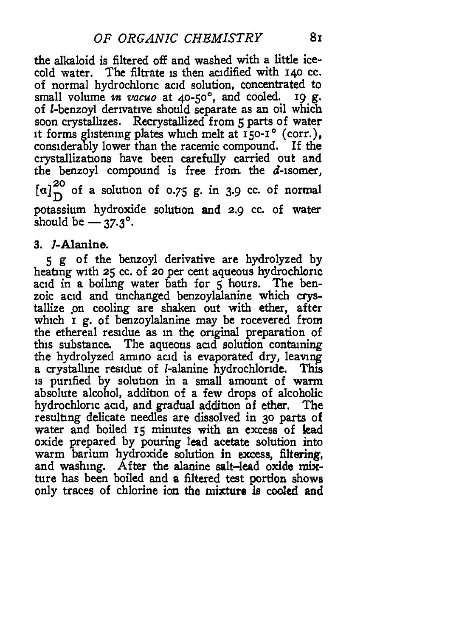the alkaloid is filtered off and washed with a little icecold water. The filtrate is then acidified with 140 cc. of normal hydrochloric acid solution, concentrated to small volume *in vacuo* at 40-50°, and cooled. 19 g. of J-benzoyl derivative should separate as an oil which soon crystallizes. Recrystallized from 5 parts of water it forms glistening plates which melt at 150-1° (corr.), considerably lower than the racemic compound. If the crystallizations have been carefully carried out and the benzoyl compound is free from the  $d$ -isomer,  $\left[\alpha\right]_D^{20}$  of a solution of 0.75 g. in 3.9 cc. of normal potassium hydroxide solution and 2.9 cc. of water should be — *37-3°-*

## 3. /-Alanine.

5 g of the benzoyl derivative are hydrolyzed by heating with 25 cc. of 20 per cent aqueous hydrochloric acid in a boiling water bath for 5 hours. The benzoic acid and unchanged benzoylalanine which crystallize pn cooling are shaken out with ether, after which 1 g. of benzoylalanine may be rocevered from the ethereal residue as in the original preparation of this substance. The aqueous acid solution containing the hydrolyzed ammo acid is evaporated dry, leaving a crystalline residue of /-alanine hydrochlonde. This is purified by solution in a small amount of warm absolute alcohol, addition of a few drops of alcoholic hydrochloric acid, and gradual addition of ether. The resulting delicate needles are dissolved in 30 parts of water and boiled 15 minutes with an excess of lead oxide prepared by pouring lead acetate solution into warm barium hydroxide solution in excess, filtering, and washing. After the alanine salt-lead oxide mixture has been boiled and a filtered test portion shows only traces of chlorine ion the mixture is cooled and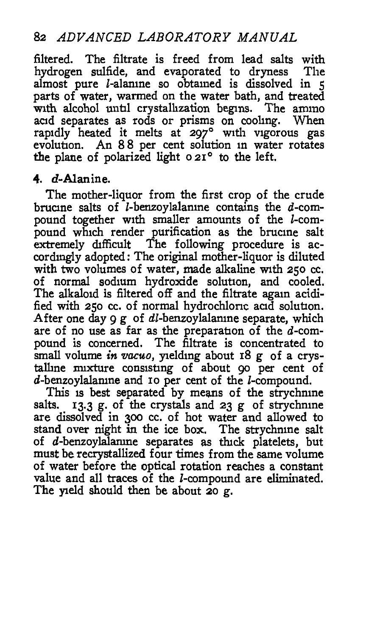filtered. The filtrate is freed from lead salts with hydrogen sulfide, and evaporated to dryness The almost pure *l*-alanine so obtained is dissolved in  $\epsilon$ parts of water, warmed on the water bath, and treated with alcohol until crystallization begins. The ammo acid separates as rods or prisms on cooling. When rapidly heated it melts at 297° with vigorous gas evolution. An 8 8 per cent solution in water rotates the plane of polarized light  $0.21^\circ$  to the left.

## 4. d-Alanine.

The mother-liquor from the first crop of the crude brucine salts of  $l$ -benzoylalanine contains the  $d$ -compound together with smaller amounts of the *l*-compound which render purification as the brucine salt extremely difficult The following procedure is accordingly adopted: The original mother-liquor is diluted with two volumes of water, made alkaline with 250 cc. of normal sodium hydroxide solution, and cooled. The alkaloid is filtered off and the filtrate again acidified with 250 cc. of normal hydrochloric acid solution. After one day  $9 g$  of dl-benzoylalanine separate, which are of no use as far as the preparation of the d-compound is concerned. The filtrate is concentrated to small volume *in vacuo*, yielding about 18 g of a crystalline mixture consisting of about 90 per cent of  $d$ -benzoylalanine and 10 per cent of the  $l$ -compound.

This is best separated by means of the strychnine salts. 13.3 g. of the crystals and  $23$  g of strychnine are dissolved in 300 cc. of hot water and allowed to stand over night in the ice box. The strychnine salt of d-benzoylalanine separates as thick platelets, but must be recrystallized four times from the same volume of water before the optical rotation reaches a constant value and all traces of the *l*-compound are eliminated. The yield should then be about 20 g.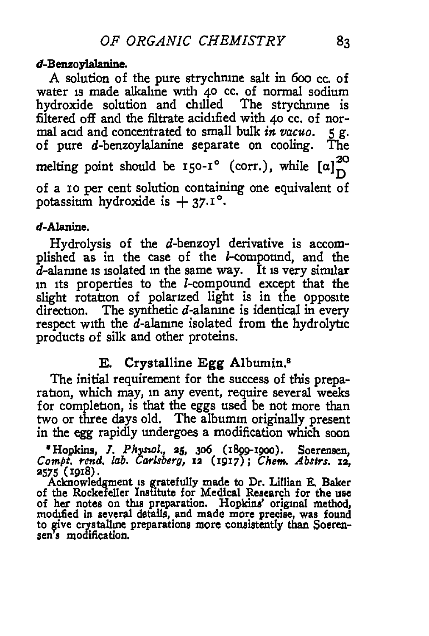### *d-B* enzoylalanine.

A solution of the pure strychnine salt in 600 cc. of water is made alkaline with 40 cc. of normal sodium hydroxide solution and chilled The strychnine is filtered off and the filtrate acidified with 40 cc. of normal acid and concentrated to small bulk *in vacuo.* 5 g. of pure  $d$ -benzoylalanine separate on cooling. The 30 melting point should be 150-1° (corr.), while  $[\alpha]_D^{\infty}$ of a 10 per cent solution containing one equivalent of potassium hydroxide is  $+37.1^{\circ}$ .

#### d-Alanine.

Hydrolysis of the  $d$ -benzoyl derivative is accomplished as in the case of the  $l$ -compound, and the  $d$ -alanine is isolated in the same way. It is very similar in its properties to the *l*-compound except that the slight rotation of polarized light is in the opposite direction. The synthetic  $d$ -alanine is identical in every respect with the  $d$ -alanne isolated from the hydrolytic products of silk and other proteins.

## E. Crystalline Egg Albumin.<sup>8</sup>

The initial requirement for the success of this preparation, which may, in any event, require several weeks for completion, is that the eggs used be not more than two or three days old. The albumin originally present in the *egg* rapidly undergoes a modification which soon

'Hopkins, 7. *Physxol,* 25, 306 (1809-1900). Soerensen, *Compt. rend. lab. Carlsberg,* 12 (1917) ; *Chem. Abstrs.* 12, 2575 (1918).

Acknowledgment is gratefully made to Dr. Lillian E. Baker of the Rockefeller Institute for Medical Research for the use of her notes on this preparation. Hopkins' original method, modified In several details, and made more precise, was found to give crystalline preparations more consistently than Soerensen's modification.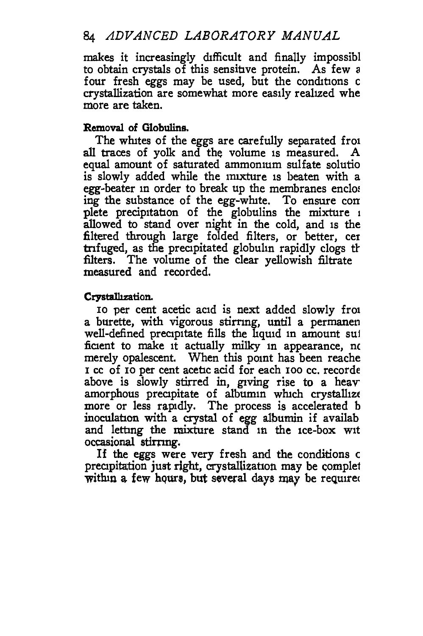## 84 *ADVANCED LABORATORY MANUAL*

makes it increasingly difficult and finally impossibl to obtain crystals of this sensitive protein. As few a four fresh eggs may be used, but the conditions c crystallization are somewhat more easily realized whe more are taken.

#### Removal of Globulins.

The whites of the eggs are carefully separated froi all traces of yolk and the volume is measured. equal amount of saturated ammonium sulfate solutio is slowly added while the mixture is beaten with a egg-beater in order to break up the membranes enclos ing the substance of the egg-white. To ensure con plete precipitation of the globulins the mixture i allowed to stand over night in the cold, and is the filtered through large folded filters, or better, cer trifuged, as the precipitated globulin rapidly clogs the filters. The volume of the clear yellowish filtrate measured and recorded.

#### Crystallization.

io per cent acetic acid is next added slowly froi a burette, with vigorous stirring, until a permanen well-defined precipitate fills the liquid in amount sui ficient to make it actually milky in appearance, nc merely opalescent. When this point has been reache i cc of io per cent acetic acid for each ioo cc. recorde above is slowly stirred in, giving rise to a heav amorphous precipitate of albumin which crystallize more or less rapidly. The process is accelerated b inoculation with a crystal of egg albumin if availab and letting the mixture stand in the ice-box wit occasional stirring.

If the eggs were very fresh and the conditions c precipitation just right, crystallization may be complet within a few hours, but several days may be required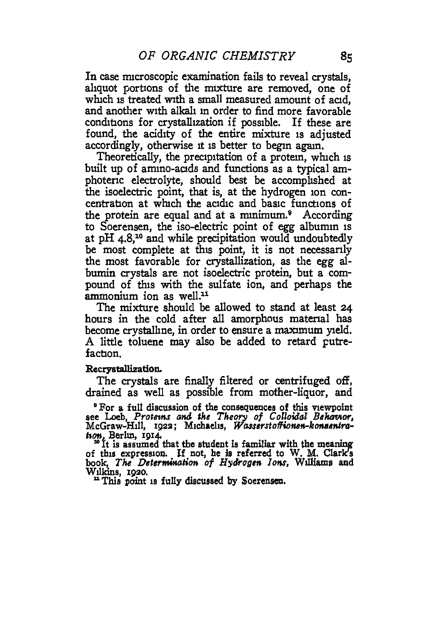In case microscopic examination fails to reveal crystals, aliquot portions of the mixture are removed, one of which is treated with a small measured amount of acid, and another with alkali in order to find more favorable conditions for crystallization if possible. If these are found, the acidity of the entire mixture is adjusted accordingly, otherwise it is better to begin again.

Theoretically, the precipitation of a protein, which is built up of amino-acids and functions as a typical amphotenc electrolyte, should best be accomplished at the isoelectric point, that is, at the hydrogen ion concentration at which the acidic and basic functions of the protein are equal and at a minimum.<sup>9</sup> According to Soerensen, the iso-electric point of egg albumin is at pH 4.8,<sup>10</sup> and while precipitation would undoubtedly be most complete at this point, it is not necessarily the most favorable for crystallization, as the *egg* albumin crystals are not isoelectric protein, but a compound of this with the sulfate ion, and perhaps the ammonium ion as well.<sup>11</sup>

The mixture should be allowed to stand at least 24 hours in the cold after all amorphous material has become crystalline, in order to ensure a maximum yield. A little toluene may also be added to retard putrefaction.

#### RecrystalUzation.

The crystals are finally filtered or centrifuged off, drained as well as possible from mother-liquor, and

0 For a full discussion of the consequences of this viewpoint see Loeb, *Protetns and the Theory of Colloidal Behavior,* McGraw-Hill, 1922; Michaelis, Wasserstoffionen-konsentration. Berlin, 1914.<br><sup>26</sup> It is assumed that the student is familiar with the meaning

of this expression. If not, he is referred to W. M. Clark's book, *The Determination of Hydrogen Ions,* Williams and Wilkins, 1920.

"This point is fully discussed by Soerensen.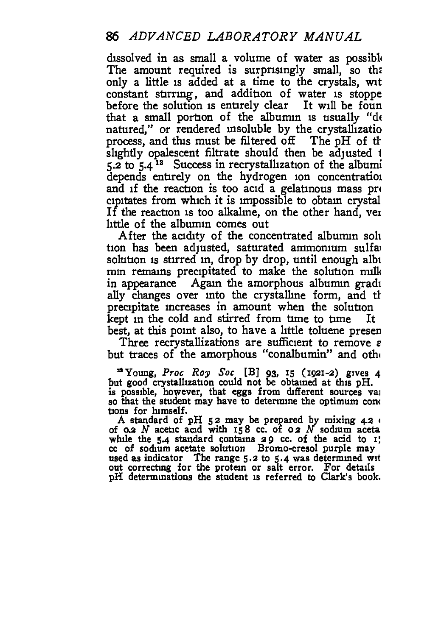dissolved in as small a volume of water as possibli The amount required is surprisingly small, so the only a little is added at a time to the crystals, wit constant stirring, and addition of water is stoppe before the solution is entirely clear It will be foun that a small portion of the albumin is usually "d< natured," or rendered insoluble by the crystallizatio process, and this must be filtered off The  $pH$  of the slightly opalescent filtrate should then be adjusted t 5.2 to 5.4<sup>12</sup> Success in recrystallization of the albumi depends entirely on the hydrogen ion concentratioi and if the reaction is too acid a gelatinous mass pr< cipitates from which it is impossible to obtain crystal If the reaction is too alkaline, on the other hand, ver little of the albumin comes out

After the acidity of the concentrated albumin soh tion has been adjusted, saturated ammonium sulfai solution is stirred in, drop by drop, until enough albi min remains precipitated to make the solution milk in appearance Again the amorphous albumin gradi ally changes over into the crystalline form, and tt precipitate increases in amount when the solution kept in the cold and stirred from time to time It best, at this point also, to have a little toluene presen

Three recrystallizations are sufficient to remove a but traces of the amorphous "conalbumin" and oth<

\*\* Young, *Proc Roy Soc* [B] 93, 15 (1921-2) gives 4 but good crystallization could not fee obtained at this pH. is possible, however, that eggs from different sources vai so that the student may have to determine the optimum com tions for himself.

A standard of pH 52 may be prepared by mixing 4.2 < of 0.2 *N* acetic acid with 158 cc. of 02 *N* sodium aceta while the 5.4 standard contains 29 cc. of the acid to 1;<br>cc of sodium acetate solution Bromo-cresol purple may used as indicator The range 5.2 to 5.4 was determined wit out correcting for the protein or salt error. For details pH determinations the student is referred to Clark's book.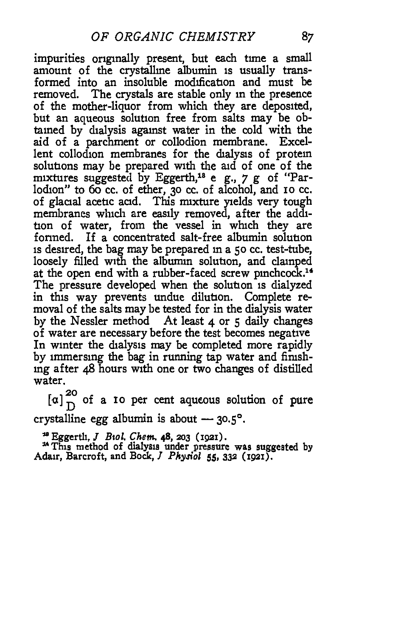impurities originally present, but each time a small amount of the crystalline albumin is usually transformed into an insoluble modification and must be removed. The crystals are stable only in the presence of the mother-liquor from which they are deposited, but an aqueous solution free from salts may be obtained by dialysis against water in the cold with the aid of a parchment or collodion membrane. Excellent collodion membranes for the dialysis of protein solutions may be prepared with the aid of one of the mixtures suggested by Eggerth,<sup>18</sup> e *g-, 7 g* of "Parlodion" to 60 cc. of ether, 30 cc. of alcohol, and 10 cc. of glacial acetic acid. This mixture yields very tough membranes which are easily removed, after the addition of water, from the vessel in which they are formed. If a concentrated salt-free albumin solution is desired, the bag may be prepared m a 50 cc. test-tube, loosely filled with the albumin solution, and clamped at the open end with a rubber-faced screw pmchcock.<sup>14</sup> The pressure developed when the solution is dialyzed in this way prevents undue dilution. Complete removal of the salts may be tested for in the dialysis water by the Nessler method At least 4 or 5 daily changes of water are necessary before the test becomes negative In winter the dialysis may be completed more rapidly by immersing the bag in running tap water and finishing after 48 hours with one or two changes of distilled water.

20  $[$ <sup> $\mu$ </sup> $]$  $\bar{D}$  of a 10 per cent aqueous solution of pure crystalline egg albumin is about - 30.5°.

<sup>18</sup> Eggertli, *J Biol. Chem.* 48, 203 (1921).

<sup>18</sup> Eggerth, *J Btol. Chem.* 48, 203 (1921).<br><sup>M</sup> This method of dialysis under pressure was suggested by Adair, Barcroft, and Bock, / *Physxol* 55, 333 (1921).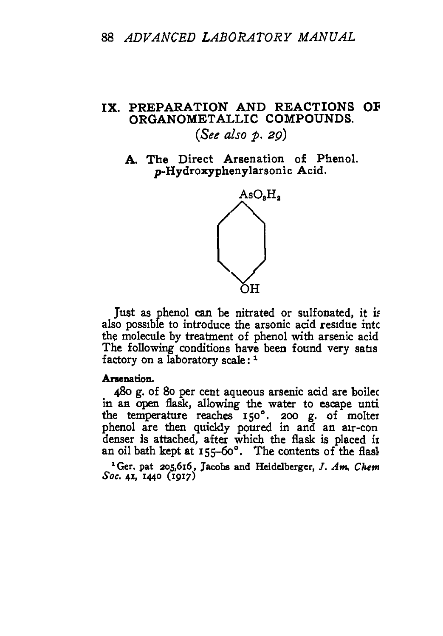## IX. PREPARATION AND REACTIONS OF ORGANOMETALLIC COMPOUNDS. *(See also p. 2gi)*

A. The Direct Arsenation of Phenol. p-Hydroxyphenylarsonic Acid.



Just as phenol can be nitrated or sulfonated, it is also possible to introduce the arsonic acid residue intc the molecule by treatment of phenol with arsenic acid The following conditions have been found very satis  $factory$  on a laboratory scale:

#### Arsenation.

480 g. of 80 per cent aqueous arsenic acid are boilec in an open flask, allowing the water to escape unti the temperature reaches 150°. 200 g. of molter phenol are then quickly poured in and an air-con denser is attached, after which the flask is placed ir an oil bath kept at 155-60°. The contents of the flasl

\*Ger. pat 205,616, Jacobs and Heidelberger, /. *Am. Chem Soc.* 41, 1440 (1917)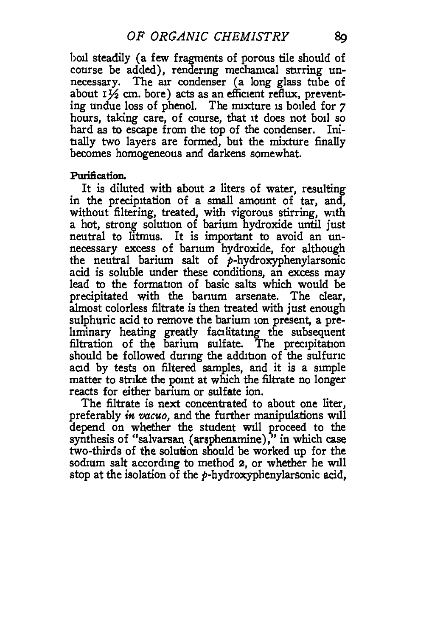boil steadily (a few fragments of porous tile should of course be added), rendering mechanical stirring unnecessary. The air condenser (a long glass tube of about *1%* cm. bore) acts as an efficient reflux, preventing undue loss of phenol. The mixture is boiled for 7 hours, taking care, of course, that it does not boil so hard as to escape from the top of the condenser. Initially two layers are formed, but the mixture finally becomes homogeneous and darkens somewhat.

#### Purification.

It is diluted with about 2 liters of water, resulting in the precipitation of a small amount of tar, and, without filtering, treated, with vigorous stirring, with a hot, strong solution of barium hydroxide until just neutral to litmus. It is important to avoid an unnecessary excess of barium hydroxide, for although the neutral barium salt of p-hydroxyphenylarsonic acid is soluble under these conditions, an excess may lead to the formation of basic salts which would be precipitated with the barium arsenate. The clear, almost colorless filtrate is then treated with just enough sulphuric acid to remove the barium ion present, a preliminary heating greatly facilitating the subsequent filtration of the barium sulfate. The precipitation should be followed during the addition of the sulfuric acid by tests on filtered samples, and it is a simple matter to strike the point at which the filtrate no longer reacts for either barium or sulfate ion.

The filtrate is next concentrated to about one liter, preferably *in vacuo,* and the further manipulations will depend on whether the student will proceed to the synthesis of "salvarsan (arsphenamine)," in which case two-thirds of the solution should be worked up for the sodium salt according to method 2, or whether he will stop at the isolation of the  $\nu$ -hydroxyphenylarsonic acid,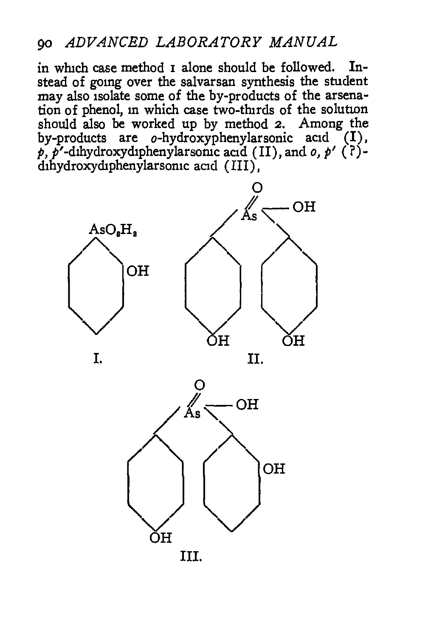in which case method I alone should be followed. Instead of going over the salvarsan synthesis the student may also isolate some of the by-products of the arsenation of phenol, in which case two-thirds of the solution should also be worked up by method *2.* Among the by-products are  $o$ -hydroxyphenylarsonic acid  $(I)$ , *p,* p'-dihydroxydiphenylarsonic acid (II), and *0, p'* ( ?) dihydroxydiphenylarsonic acid (III),



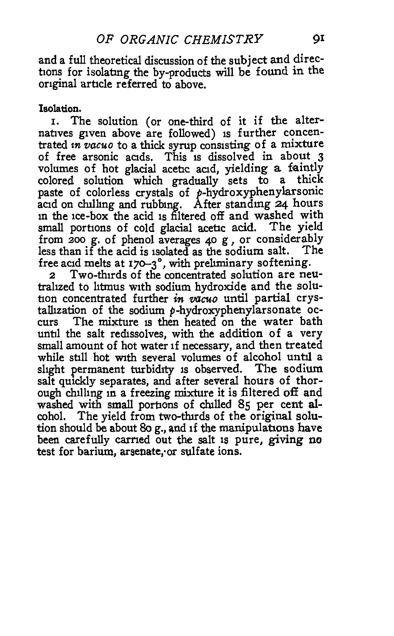and a full theoretical discussion of the subject and directions for isolating the by-products will be found in the original article referred to above.

#### Isolation.

1. The solution (or one-third of it if the alternatives given above are followed) is further concentrated *in vacuo* to a thick syrup consisting of a mixture of free arsonic acids. This is dissolved in about 3 volumes of hot glacial acetic acid, yielding a faintly colored solution which gradually sets to a thick paste of colorless crystals of  $p$ -hydroxyphenylarsonic acid on chilling and rubbing. After standing 24 hours in the ice-box the acid is filtered off and washed with small portions of cold glacial acetic acid. The vield from 200 g. of phenol averages 40 *g,* or considerably less than if the acid is isolated as the sodium salt. The free acid melts at  $170-3^\circ$ , with preliminary softening.

2 Two-thirds of the concentrated solution are neutralized to litmus with sodium hydroxide and the solution concentrated further *in vacuo* until partial crystallization of the sodium  $\phi$ -hydroxyphenylarsonate occurs The mixture is then heated on the water bath until the salt redissolves, with the addition of a very small amount of hot water if necessary, and then treated while still hot with several volumes of alcohol until a slight permanent turbidity is observed. The sodium slight permanent turbidity is observed. salt quickly separates, and after several hours of thorough chilling in a freezing mixture it is filtered off and washed with small portions of chilled 85 per cent alcohol. The yield from two-thirds of the original solution should be about 80 g., and if the manipulations have been carefully carried out the salt is pure, giving no test for barium, arsenate, or sulfate ions.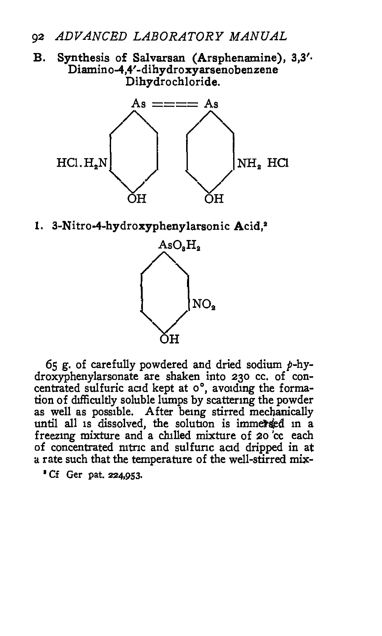**B. Synthesis of Salvarsan (Arsphenamine), 3,3'- Diamino-4,4/ -dihydroxyarsenobenzene Dihydrochloride.**



**1. 3-Nitro-4-hydroxyphenylarsonic Acid,<sup>2</sup>**



65 g. of carefully powdered and dried sodium  $p$ -hydroxyphenylarsonate are shaken into 230 cc. of concentrated sulfuric acid kept at o°, avoiding the formation of difficultly soluble lumps by scattering the powder as well as possible. After being stirred mechanically until all is dissolved, the solution is immefrsjed m a freezing mixture and a chilled mixture of 20 'cc each of concentrated nitric and sulfuric acid dripped in at a rate such that the temperature of the well-stirred mix-

<sup>1</sup> Cf Ger pat. 224,953.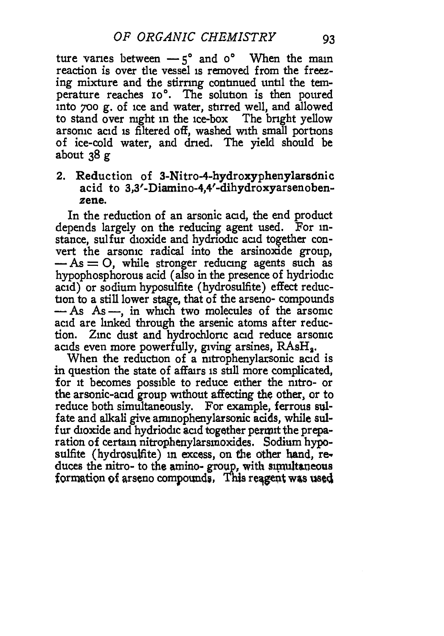ture varies between  $-5^{\circ}$  and  $0^{\circ}$  When the main reaction is over the vessel is removed from the freezing mixture and the stirring continued until the temperature reaches 10°. The solution is then poured into 700 g. of ice and water, stirred well, and allowed to stand over night in the ice-box The bright yellow arsonic acid is filtered off, washed with small portions of ice-cold water, and dried. The yield should be about 38 g

2. Reduction of 3-Nitro-4-hydroxyphenylarsdnic acid to 3,3'-Diamino-4,4'-dihydroxyarsenobenzene.

In the reduction of an arsonic acid, the end product depends largely on the reducing agent used. For instance, sulfur dioxide and hydriodic acid together convert the arsonic radical into the arsinoxide group,  $-$  As  $=$  O, while stronger reducing agents such as hypophosphorous acid (also in the presence of hydriodic acid) or sodium hyposulfite (hydrosulfite) effect reduction to a still lower stage, that of the arseno- compounds — As As—, in which two molecules of the arsonic acid are linked through the arsenic atoms after reduction. Zinc dust and hydrochloric acid reduce arsonic acids even more powerfully, giving arsines,  $RAsH<sub>2</sub>$ .

When the reduction of a nitrophenylarsonic acid is in question the state of affairs is still more complicated, for it becomes possible to reduce either the nitro- or the arsonic-aad group without affecting the other, or to reduce both simultaneously. For example, ferrous sulfate and alkali give ammophenylarsonic acids, while sulfur dioxide and hydriodic acid together permit the preparation of certain nitrophenylarsinoxides. Sodium hyposulfite (hydrosulfite) in excess, on the other hand, reduces the nitro- to the amino- group, with simultaneous formation of arseno compounds. This reagent was used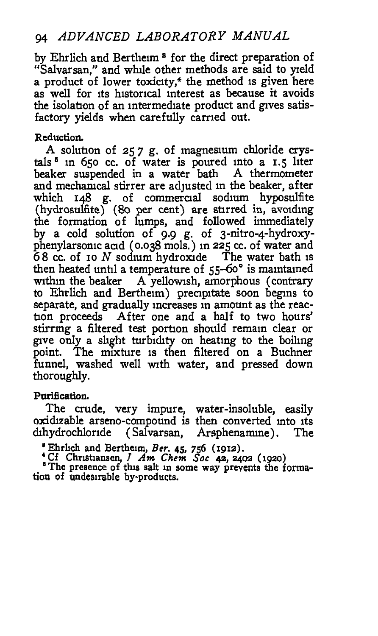# 94 *ADVANCED LABORATORY MANUAL*

by Ehrlich and Bertheim<sup>a</sup> for the direct preparation of "Salvarsan," and while other methods are said to yield a product of lower toxicity,<sup>4</sup> the method is given here as well for its historical interest as because it avoids the isolation of an intermediate product and gives satisfactory yields when carefully earned out.

#### Reduction.

A solution of 25 7 g. of magnesium chloride crystals <sup>B</sup> in 650 cc. of water is poured into a 1.5 liter beaker suspended in a water bath A thermometer and mechanical stirrer are adjusted in the beaker, after which 148 g. of commercial sodium hyposulfite (hydrosulfite) (80 per cent) are stirred in, avoiding the formation of lumps, and followed immediately by a cold solution of 9.9 g. of 3-nitro-4-hydroxyphenylarsonic acid (0.038 mols.) in 225 cc. of water and 6 8 cc. of 10 *N* sodium hydroxide The water bath is then heated until a temperature of 55-60° is maintained within the beaker A yellowish, amorphous (contrary to Ehrlich and Bertheim) precipitate soon begins to separate, and gradually increases in amount as the reaction proceeds After one and a half to two hours' stirring a filtered test portion should remain clear or give only a slight turbidity on heating to the boiling point. The mixture is then filtered on a Buchner funnel, washed well with water, and pressed down thoroughly.

#### Purification.

The crude, very impure, water-insoluble, easily oxidizable arseno-compound is then converted into its dihydrochlonde (Salvarsan, Arsphenamine). The

"Ehrlich and Bertheim, *Ber.* 45, 756 (1912).

\*Cf Christiansen, / *Am Chem Soc* 43,2402 (1920) 8 The presence of this salt in some way prevents the forma-

tion of undesirable by-products.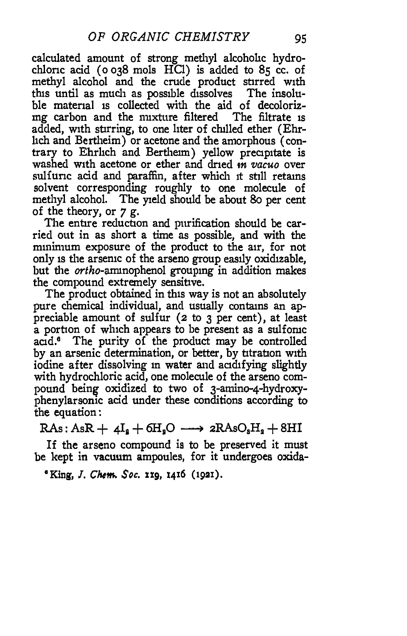calculated amount of strong methyl alcoholic hydrochloric acid (0 038 mols HC1) is added to 85 cc. of methyl alcohol and the crude product stirred with this until as much as possible dissolves The insoluble material is collected with the aid of decolorizing carbon and the mixture filtered The filtrate is added, with stirring, to one liter of chilled ether (Ehrhch and Bertheim) or acetone and the amorphous (contrary to Ehrlich and Bertheim) yellow precipitate is washed with acetone or ether and dried *m vacuo* over sulfuric acid and paraffin, after which it still retains solvent corresponding roughly to one molecule of methyl alcohol. The yield should be about 80 per cent of the theory, or 7 g.

The entire reduction and purification should be carried out in as short a time as possible, and with the minimum exposure of the product to the air, for not only is the arsenic of the arseno group easily oxidizable, but the *ortho-aminophenol* grouping in addition makes the compound extremely sensitive.

The product obtained in this way is not an absolutely pure chemical individual, and usually contains an appreciable amount of sulfur (2 to 3 per cent), at least a portion of which appears to be present as a sulfonic acid.<sup>6</sup> The purity of the product may be controlled by an arsenic determination, or better, by titration with iodine after dissolving in water and acidifying slightly with hydrochloric acid, one molecule of the arseno compound being oxidized to two of 3-amino-4-hydroxyphenylarsonic acid under these conditions according to the equation:

 $RAs: AsR + 4I<sub>a</sub> + 6H<sub>a</sub>O \longrightarrow 2RAsO<sub>a</sub>H<sub>a</sub> + 8HI$ 

If the arseno compound is to be preserved it must be kept in vacuum ampoules, for it undergoes oxida-

"King, 7. *Chem. Soc,* 1x9, 1416 (1921).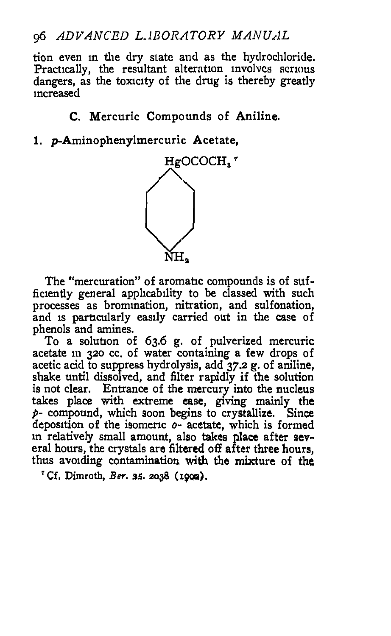tion even in the dry slate and as the hydrochloride. Practically, the resultant alteration involves serious dangers, as the toxicity of the drug is thereby greatly increased

- C. Mercuric Compounds of Aniline.
- 1. p-Aminophenylmercuric Acetate,



The "mercuration" of aromatic compounds is of sufficiently general applicability to be classed with such processes as bromination, nitration, and sulfonation, and is particularly easily carried out in the case of phenols and amines.

To a solution of 63.6 g. of pulverized mercuric acetate m 320 cc. of water containing a few drops of acetic acid to suppress hydrolysis, add 37.2 g. of aniline, shake until dissolved, and filter rapidly if the solution is not clear. Entrance of the mercury into the nucleus takes place with extreme ease, giving mainly the *p-* compound, which soon begins to crystallize. Since deposition of the isomeric  $o$ - acetate, which is formed in relatively small amount, also takes place after several hours, the crystals are filtered off after three hours, thus avoiding contamination, with the mixture of the

<sup>T</sup>Cf, Dimroth, *Ber.* 35, 2038 (190a),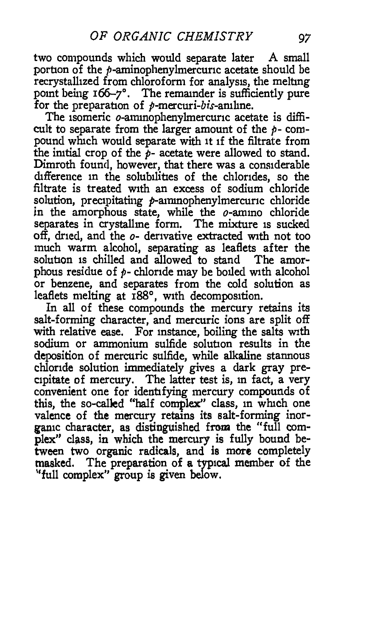two compounds which would separate later A small portion of the  $p$ -aminophenylmercuric acetate should be recrystallized from chloroform for analysis, the melting point being 166-7°. The remainder is sufficiently pure for the preparation of  $\nu$ -mercuri- $\delta$ is-aniline.

The isomeric *o*-aminophenylmercuric acetate is difficult to separate from the larger amount of the *p-* compound which would separate with it if the filtrate from the initial crop of the  $p$ - acetate were allowed to stand. Dimroth found, however, that there was a considerable difference in the solubilities of the chlorides, so the filtrate is treated with an excess of sodium chloride solution, precipitating  $p$ -aminophenylmercuric chloride in the amorphous state, while the  $\rho$ -amino chloride separates in crystalline form. The mixture is sucked off, dried, and the 0- derivative extracted with not too much warm alcohol, separating as leaflets after the solution is chilled and allowed to stand The amorphous residue of *p-* chloride may be boiled with alcohol or benzene, and separates from the cold solution as leaflets melting at 188°, with decomposition.

In all of these compounds the mercury retains its salt-forming character, and mercuric ions are split off with relative ease. For instance, boiling the salts with sodium or ammonium sulfide solution results in the deposition of mercuric sulfide, while alkaline stannous chloride solution immediately gives a dark gray precipitate of mercury. The latter test is, in fact, a very convenient one for identifying mercury compounds of this, the so-called "half complex" class, in which one valence of the mercury retains its salt-forming inorganic character, as distinguished from the "full complex" class, in which the mercury is fully bound between two organic radicals, and is more completely masked. The preparation of a typical member of the "full complex" group is given below.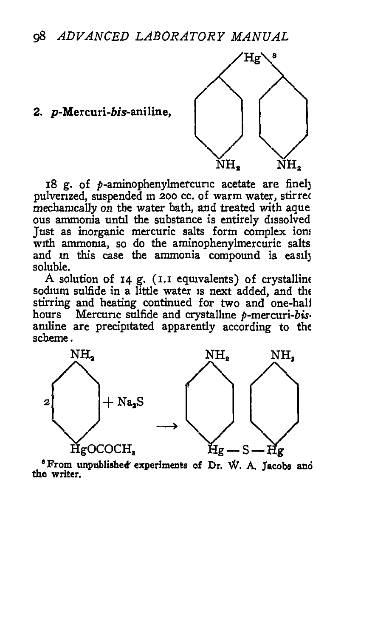2. *p*-Mercuri-bis-aniline.



 $18$  g. of  $\psi$ -aminophenylmercuric acetate are finely pulverized, suspended m 200 cc. of warm water, stirrec mechanically on the water bath, and treated with aque ous ammonia until the substance is entirely dissolved Just as inorganic mercuric salts form complex ions with ammonia, so do the aminophenylmercuric salts and in this case the ammonia compound is easily soluble.

A solution of 14 g. (1.1 equivalents) of crystalline sodium sulfide in a little water is next added, and the stirring and heating continued for two and one-half hours Mercuric sulfide and crystalline  $p$ -mercuri-bisaniline are precipitated apparently according to the scheme.



8 Prom unpublished' experiments of Dr. W. A. Jacobs and the writer.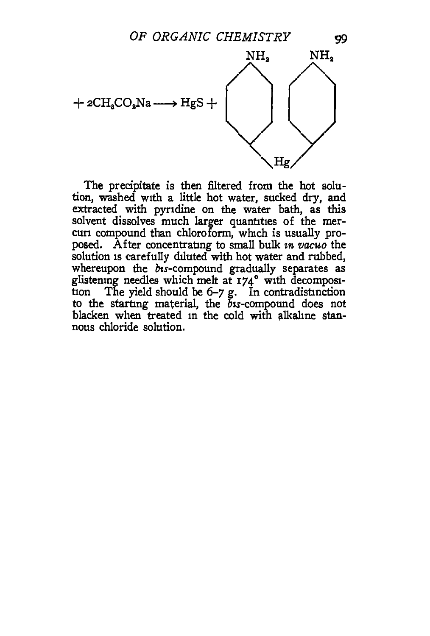

The precipitate is then filtered from the hot solution, washed with a little hot water, sucked dry, and extracted with pyndine on the water bath, as this solvent dissolves much larger quantities of the mercuri compound than chloroform, which is usually proposed. After concentrating to small bulk *in vacuo* the solution is carefully diluted with hot water and rubbed, whereupon the  $b$ is-compound gradually separates as glistening needles which melt at 174° with decomposition The yield should be *6-7* g. In contradistinction to the starting material, the  $\bar{b}$ *is*-compound does not blacken when treated m the cold with alkaline stannous chloride solution.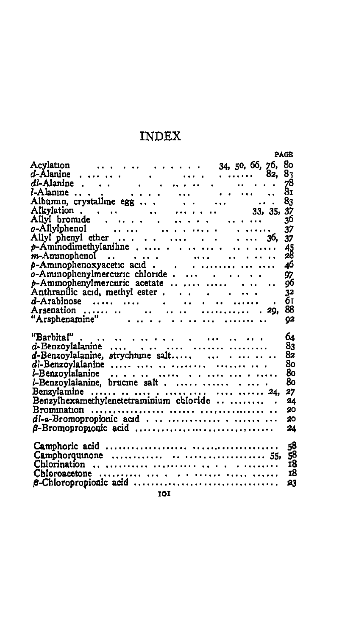# INDEX

| <b>PAGE</b>                                                                                                                                                                                                                                                                                                                                                           |                 |
|-----------------------------------------------------------------------------------------------------------------------------------------------------------------------------------------------------------------------------------------------------------------------------------------------------------------------------------------------------------------------|-----------------|
| Acylation<br><i>d</i> -Alanine<br><i>d</i> -Alanine<br><i>d</i> -Alanine<br><i>d</i> -Alanine<br><i>d</i> -Alanine<br><i>d</i> -Alanine<br><i>d</i> -Alanine<br><i>d</i> -Alanine<br><i>d</i> -Alanine<br><i>d</i> -Alanine<br><i>d</i> -Alanine<br><i>d</i> -Alanine<br><i>d</i> -Alanine<br><i>d</i> -Alanine<br><i>d</i> -Alanine<br><i>d</i> -Alanine<br><i>d</i> |                 |
|                                                                                                                                                                                                                                                                                                                                                                       |                 |
|                                                                                                                                                                                                                                                                                                                                                                       |                 |
|                                                                                                                                                                                                                                                                                                                                                                       |                 |
|                                                                                                                                                                                                                                                                                                                                                                       |                 |
|                                                                                                                                                                                                                                                                                                                                                                       |                 |
|                                                                                                                                                                                                                                                                                                                                                                       |                 |
| <i>o</i> -Allyiphenol     37<br>Allyi phenyl ether      36, 37<br>p-Aminodimethylaniline      45                                                                                                                                                                                                                                                                      |                 |
|                                                                                                                                                                                                                                                                                                                                                                       |                 |
|                                                                                                                                                                                                                                                                                                                                                                       |                 |
|                                                                                                                                                                                                                                                                                                                                                                       | $\frac{45}{28}$ |
| m-Ammophenol<br>m-Ammophenoxyacetic acid<br>o-Ammophenoxyacetic acid<br>o-AmmophenyImercuric acetate<br>p-AmmophenyImercuric acetate<br>intervalses and the contract of the contract of the contract of the contract of the contract of                                                                                                                               |                 |
|                                                                                                                                                                                                                                                                                                                                                                       |                 |
|                                                                                                                                                                                                                                                                                                                                                                       |                 |
|                                                                                                                                                                                                                                                                                                                                                                       | 32              |
|                                                                                                                                                                                                                                                                                                                                                                       | бī              |
|                                                                                                                                                                                                                                                                                                                                                                       | 88              |
|                                                                                                                                                                                                                                                                                                                                                                       | 92              |
|                                                                                                                                                                                                                                                                                                                                                                       |                 |
|                                                                                                                                                                                                                                                                                                                                                                       | 64              |
| d-Benzoylalanine                                                                                                                                                                                                                                                                                                                                                      | 83              |
| d-Benzoylalanine, strychnine salt                                                                                                                                                                                                                                                                                                                                     | 82              |
|                                                                                                                                                                                                                                                                                                                                                                       | 80              |
| dl-Benzoylalanine                                                                                                                                                                                                                                                                                                                                                     | 80              |
|                                                                                                                                                                                                                                                                                                                                                                       | 80              |
| l-Benzoylalanine, brucine salt  .                                                                                                                                                                                                                                                                                                                                     |                 |
|                                                                                                                                                                                                                                                                                                                                                                       | 27              |
|                                                                                                                                                                                                                                                                                                                                                                       | 24              |
|                                                                                                                                                                                                                                                                                                                                                                       | 20              |
|                                                                                                                                                                                                                                                                                                                                                                       | 20              |
| B-Bromopropionic acid                                                                                                                                                                                                                                                                                                                                                 | 24              |
|                                                                                                                                                                                                                                                                                                                                                                       |                 |
|                                                                                                                                                                                                                                                                                                                                                                       | 58              |
|                                                                                                                                                                                                                                                                                                                                                                       | 58              |
|                                                                                                                                                                                                                                                                                                                                                                       | ī8              |
|                                                                                                                                                                                                                                                                                                                                                                       | <b>18</b>       |
| $\beta$ -Chloropropionic acid                                                                                                                                                                                                                                                                                                                                         | 23              |
| IOI                                                                                                                                                                                                                                                                                                                                                                   |                 |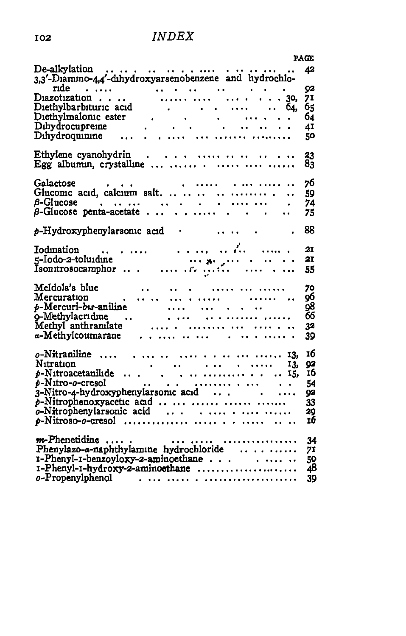# 102 *INDEX*

|                                                                                                                                                                                                                                                                                                                                                                                                                                                                                                                                                                                                                                                                                                     | PAGE                                         |
|-----------------------------------------------------------------------------------------------------------------------------------------------------------------------------------------------------------------------------------------------------------------------------------------------------------------------------------------------------------------------------------------------------------------------------------------------------------------------------------------------------------------------------------------------------------------------------------------------------------------------------------------------------------------------------------------------------|----------------------------------------------|
|                                                                                                                                                                                                                                                                                                                                                                                                                                                                                                                                                                                                                                                                                                     | 42                                           |
| ride<br>$\sim 100$ and $\sim 100$<br>$\cdots$ $\cdots$ $\cdots$ $\cdots$ $\cdots$ $\cdots$ $\cdots$ $\cdots$ $\cdots$ $\cdots$ $\cdots$ $\cdots$ $\cdots$ $\cdots$ $\cdots$ $\cdots$ $\cdots$ $\cdots$ $\cdots$ $\cdots$ $\cdots$ $\cdots$ $\cdots$ $\cdots$ $\cdots$ $\cdots$ $\cdots$ $\cdots$ $\cdots$ $\cdots$ $\cdots$ $\cdots$ $\cdots$ $\cdots$ $\cdots$ $\cdots$ $\cdots$<br>Diazotization<br>Diethylbarbituric acid<br>$\cdot$ 64,<br>Diethylmalonic ester<br>$\mathcal{L}^{\mathcal{A}}$ , and $\mathcal{L}^{\mathcal{A}}$ , and $\mathcal{L}^{\mathcal{A}}$ , and $\mathcal{L}^{\mathcal{A}}$ , and $\mathcal{L}^{\mathcal{A}}$<br>$\sim$ 100 $\pm$<br>Dihydrocupreine<br>Dihydroquinine | 92<br>71<br>65<br>64<br>41<br>50             |
| Ethylene cyanohydrin<br>Egg albumin, crystalline                                                                                                                                                                                                                                                                                                                                                                                                                                                                                                                                                                                                                                                    | 23<br>83                                     |
| Galactose                                                                                                                                                                                                                                                                                                                                                                                                                                                                                                                                                                                                                                                                                           | 76<br>59<br>74<br>75                         |
| $p$ -Hydroxyphenylarsonic acid                                                                                                                                                                                                                                                                                                                                                                                                                                                                                                                                                                                                                                                                      | 88                                           |
| $\mathcal{L}$ . $\ldots$ .<br>Iodination<br>$\sim$ 1000 m $^{-1}$ .<br>5-Iodo-2-toluidine<br>5-lodo-2-toluidine<br>Isonitrosocamphor                                                                                                                                                                                                                                                                                                                                                                                                                                                                                                                                                                | 21<br>21<br>55                               |
| Meldola's blue<br>ti () i () internetination<br>i () i () i () i () () i ()<br>Mercuration<br>.<br>$\n  b-Mercuri-bus-aniline\n$<br>$\langle\,\cdot\,,\,\cdot\,\rangle$ , $\langle\,\cdot\,\rangle$<br>o-Methvlacridine<br>$\sim$ $\sim$ $\sim$<br>.<br>$\ddot{\phantom{a}}$<br>Methyl anthranilate<br><br>a-Methylcoumarane                                                                                                                                                                                                                                                                                                                                                                        | 70<br>96<br>ο8<br>66<br>32<br>39             |
| o-Nitraniline     13,<br>Nitration<br>$p$ -Nıtroacetanilıde<br>p-Nitro-o-cresol<br>أواوا العقدية ووودونها الوارد المواردي                                                                                                                                                                                                                                                                                                                                                                                                                                                                                                                                                                           | 16<br>02<br>16<br>54<br>92<br>33<br>20<br>16 |
| $m$ -Phenetidine<br>Phenylazo-a-naphthylamine hydrochloride $\ldots \ldots$<br>r-Phenyl-1-benzoyloxy-2-aminoethane<br>r-Phenyl-1-hydroxy-2-aminoethane<br>o-Propenylphenol                                                                                                                                                                                                                                                                                                                                                                                                                                                                                                                          | 34<br>71<br>50<br>48<br>39                   |